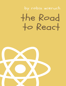# by robin wieruch the Road to React

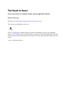# **The Road to React**

## Your journey to master plain yet pragmatic React

## Robin Wieruch

This book is for sale at <http://leanpub.com/the-road-to-learn-react>

This version was published on 2020-04-20



This is a [Leanpub](http://leanpub.com/) book. Leanpub empowers authors and publishers with the Lean Publishing process. [Lean Publishing](http://leanpub.com/manifesto) is the act of publishing an in-progress ebook using lightweight tools and many iterations to get reader feedback, pivot until you have the right book and build traction once you do.

© 2016 - 2020 Robin Wieruch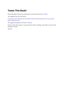# **Tweet This Book!**

Please help Robin Wieruch by spreading the word about this book on [Twitter](http://twitter.com)!

The suggested tweet for this book is:

[I am going to learn #ReactJs with The Road to React by @rwieruch Join me on my journey](https://twitter.com/intent/tweet?text=I%20am%20going%20to%20learn%20%23ReactJs%20with%20The%20Road%20to%20React%20by%20@rwieruch%20Join%20me%20on%20my%20journey%20https://roadtoreact.com) [https://roadtoreact.com](https://twitter.com/intent/tweet?text=I%20am%20going%20to%20learn%20%23ReactJs%20with%20The%20Road%20to%20React%20by%20@rwieruch%20Join%20me%20on%20my%20journey%20https://roadtoreact.com)

The suggested hashtag for this book is [#ReactJs](https://twitter.com/search?q=%23ReactJs).

Find out what other people are saying about the book by clicking on this link to search for this hashtag on Twitter:

[#ReactJs](https://twitter.com/search?q=%23ReactJs)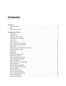# **Contents**

|                                                                                                                    | $\mathbf{i}$   |
|--------------------------------------------------------------------------------------------------------------------|----------------|
|                                                                                                                    | ii             |
|                                                                                                                    | iii            |
| Who is this book for? $\ldots \ldots \ldots \ldots \ldots \ldots \ldots \ldots \ldots \ldots \ldots \ldots \ldots$ | $\mathbf{V}$   |
|                                                                                                                    | $\mathbf{1}$   |
|                                                                                                                    | $\overline{2}$ |
|                                                                                                                    | $\overline{4}$ |
|                                                                                                                    | 6              |
|                                                                                                                    | 10             |
|                                                                                                                    | 14             |
|                                                                                                                    | 17             |
|                                                                                                                    | 22             |
|                                                                                                                    | 24             |
|                                                                                                                    | 26             |
|                                                                                                                    | 27             |
|                                                                                                                    | 31             |
|                                                                                                                    | 34             |
|                                                                                                                    | 37             |
|                                                                                                                    | 41             |
|                                                                                                                    | 44             |
|                                                                                                                    | 48             |
|                                                                                                                    | 51             |
|                                                                                                                    | 61             |
|                                                                                                                    | 64             |
|                                                                                                                    | 68             |
|                                                                                                                    | 70             |
|                                                                                                                    | 73             |
|                                                                                                                    | 76             |
|                                                                                                                    | 80             |
|                                                                                                                    | 86             |
|                                                                                                                    | 88             |
|                                                                                                                    | 92             |
|                                                                                                                    | 96             |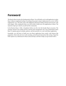# <span id="page-5-0"></span>**Foreword**

The Road to React teaches the fundamentals of React. You will build a real-world application in plain React without complicated tooling. Everything from project setup to deployment on a server will be explained for you. The book comes with additional referenced reading material and exercises with each chapter. After reading the book, you will be able to build your own applications in React. The material is kept up to date by myself and the community.

In the Road to React, I offer a foundation before you dive into the broader React ecosystem. The concepts will have less tooling and less external state management, but a lot of information about React. It explains general concepts, patterns, and best practices in a real world React application.

Essentially, you will learn to build your own React application from scratch, with features like pagination, client-side and server-side searching, and advanced interactions like sorting. I hope this book captures my enthusiasm for React and JavaScript, and that it helps you get started with it.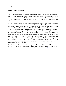Foreword ii

## <span id="page-6-0"></span>**About the Author**

I am a German software and web engineer dedicated to learning and teaching programming in JavaScript. After obtaining my Master's Degree in computer science, I continued learning on my own. I gained experience from the startup world, where I used JavaScript intensively during both my professional life and spare time, which eventually led to a desire to teach others about these topics.

For a few years, I worked closely with an exceptional team of engineers at a company called Small Improvements, developing large scale applications. The company offered a SaaS product that enables customers to give feedback to businesses. This application was developed using JavaScript on its frontend, and Java as its backend. The first iteration of Small Improvements' frontend was written in Java with the Wicket Framework and jQuery. When the first generation of SPAs became popular, the company migrated to Angular 1.x for its frontend application. After using Angular for over two years, it became clear that Angular wasn't the best solution to work with state intense applications, so they made the jump to React and Redux. This enabled it to operate on a large scale successfully.

During my time in the company, I regularly wrote articles about web development on my website. I received great feedback from people learning from my articles which allowed me to improve my writing and teaching style. Article after article, I grew my ability to teach others. I felt that my first articles were packed with too much information, quite overwhelming for students, but I improved by focusing on one subject at a time.

Currently, I am a self-employed software engineer and educator. I find it a fulfilling pastime to see students thrive by giving them clear objectives and short feedback loops. You can find more information about me and ways to support and work with me on my [website](https://www.robinwieruch.de/about)<sup>1</sup>.

<span id="page-6-1"></span><sup>&</sup>lt;sup>1</sup><https://www.robinwieruch.de/about>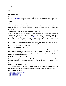#### Foreword iii

## <span id="page-7-0"></span>**FAQ**

#### **How to get updates?**

I have two channels where I share updates about my content. You can [subscribe to updates by email](https://www.getrevue.co/profile/rwieruch)[²](#page-7-1) or [follow me on Twitter](https://twitter.com/rwieruch)<sup>3</sup>. Regardless of the channel, my objective is to only share quality content. Once you receive notification the book has changed, you can download a new version of it from my website.

#### **Is the learning material up-to-date?**

Programming books are usually outdated soon after their release, but since this book is selfpublished, I can update it as needed whenever a new version of something related to this book gets released.

#### **Can I get a digital copy of the book if I bought it on Amazon?**

If you have bought the book on Amazon, you may have seen that the book is available on my website too. Since I use Amazon as one way to monetize my often free content, I honestly thank you for your support and invite you to sign up on [my website](https://www.robinwieruch.de/)<sup>4</sup>. After creating an account there, write me an email about your purchase with a receipt from Amazon, so that I can unlock the content for you. With an account on my platform, you always have access to the latest version of the book.

Also, if you have purchased a print book, make sure to take notes in the book. It was my intention to keep the printed book extra large, for the sake of giving larger code snippets enough space, but also for giving you enough space to work with it.

#### **How can I get help while reading the book?**

The book has a community of learners who help each other and for people who are reading along. You can join the community to get help, or to help others, as helping others may help you internalize your own understanding. Just follow the navigation to my courses on my [website](https://www.robinwieruch.de/)<sup>5</sup>, sign up there, and navigate to joining the community.

#### **Can I help to improve the content?**

If you have feedback, shoot me an email and I will take your suggestions into consideration. Don't expect any replies for bug tracking or troubleshoots though, because that's what's the community for.

#### **What do I do if I encounter a bug?**

If you encounter any bug in the code, you should find a URL to the current GitHub project at the end of each section. Feel free to open a GitHub issue there. Your help is very much appreciated!

#### **How to support the project?**

<span id="page-7-1"></span>²<https://www.getrevue.co/profile/rwieruch>

<span id="page-7-2"></span><sup>&</sup>lt;sup>3</sup><https://twitter.com/rwieruch>

<span id="page-7-3"></span>⁴<https://www.robinwieruch.de/>

<span id="page-7-4"></span>⁵<https://www.robinwieruch.de/>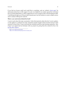If you find my lessons useful and would like to contribute, seek my website's [about page](https://www.robinwieruch.de/about/)<sup>6</sup> for information about how to offer support. It is also very helpful for my readers spread the word about how my books helped them, so others might discover ways to improve their web development skills. Contributing through any of the provided channels gives me the freedom to create in-depth courses, and to continue offering free material.

#### **What's your motivation behind the book?**

I want to teach about this topic consistently. I often find materials online that don't receive updates, or only applies to a small part of a topic. Sometimes people struggle to find consistent and up-to-date resources to learn from. I want to provide this consistent and up-to-date learning experience. Also, I hope I can support the less fortunate with my projects by giving them the content for free or by [having other impacts](https://www.robinwieruch.de/giving-back-by-learning-react/)<sup>7</sup>.

<span id="page-8-0"></span>⁶<https://www.robinwieruch.de/about/>

<span id="page-8-1"></span> ${\it ^7}$ <https://www.robinwieruch.de/giving-back-by-learning-react/>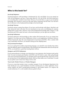## <span id="page-9-0"></span>**Who is this book for?**

#### **JavaScript Beginners**

JavaScript beginners with knowledge in fundamental JS, CSS, and HTML: If you just started out with web development, and have a basic grasp about JS, CSS, and HTML, this book should give you everything that's needed to learn React. However, if you feel there is a gap in your JavaScript knowledge, don't hesitate to read up on this topic before continuing with the book. You will have lots of references to this fundamental knowledge in the book though.

#### **JavaScript Veterans**

JavaScript veterans coming from jQuery: If you have used JavaScript with jQuery, MooTools, and Dojo extensively back in the days, the new JavaScript era may seem overwhelming for someone getting back on track with it. However, most of the fundamental knowledge didn't change, it's still JavaScript and HTML under the hood, so this book should give you the right start into React.

#### **JavaScript Enthusiasts**

JavaScript enthusiasts with knowledge in other modern SPA frameworks: If you are coming from Angular or Vue, there may be lots of differences in how to write applications with React, however, all these frameworks share the same fundamentals of JavaScript and HTML. After a mindset shift to get comfortable with React, you should be doing just fine adopting React.

#### **Non JavaScript Developers**

If you are coming from another programming language, you should be more familiar than others about the different aspects of programming. After picking up the fundamentals about JavaScript and HTML, you should have a good time learning React with me.

#### **Designers and UI/UX Enthusiasts**

If your main profession is in design, user interaction or user experience, don't hesitate to pick up this book. You may be already quite familiar with HTML and CSS which is a plus. After going through some more JavaScript fundamentals, you should be good to get through this book. These days UI/UX are moving closer to the implementation details which are often taken care of with React. It would be your perfect asset to know how things work in code.

#### **Team Leads, Product Owners, or Product Managers**

If you are a team lead, product owner or product manager of your development department, this book should give you a good breakdown of all the essential parts in a React application. Every section explains one React concept/pattern/technique to add another feature or to improve the overall architecture. It's a well rounded reference guide for React.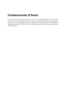# <span id="page-10-0"></span>**Fundamentals of React**

In the first part of this learning experience, we'll cover the fundamentals of React, after which we'll create our first React project. Then we'll explore new aspects of React by implementing real features, the same as developing an actual web application. By the end we'll have a working React application with features like client and server-side searching, remote data fetching, and advanced state management.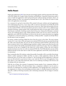## <span id="page-11-0"></span>**Hello React**

Single-page applications  $(SPA<sup>8</sup>)$  have become increasingly popular with first generation SPA frameworks like Angular (by Google), Ember, Knockout, and Backbone. Using these frameworks made it easier to build web applications which advanced beyond vanilla JavaScript and jQuery. React, yet another solution for SPAs, was released by Facebook later in 2013. All of them are used to create entire web applications in JavaScript.

For a moment, let's go back in time before SPAs existed: In the past, websites and web applications were rendered from the server. A user visits a URL in a browser and requests one HTML file and all its associated HTML, CSS, and JavaScript files from a web server. After some network delay, the user sees the rendered HTML in the browser (client) and starts to interact with it. Every additional page transition (meaning: visiting another URL) would initiate this chain of events again. In this version from the past, essentially everything crucial is done by the server, whereas the client plays a minimal role by just rendering page by page. While barebones HTML and CSS was used to structure the application, just a little bit of JavaScript was thrown into the mix to make interactions (e.g. toggling a dropdown) or advanced styling (e.g. positioning a tooltip) possible. A popular JavaScript library for this kind of work was jQuery.

In contrast, modern JavaScript shifted the focus from the server to the client. The most extreme version of it: A user visits a URL and requests one *minimal HTML file* and *one associated JavaScript file*. After some network delay, the user sees the *by JavaScript rendered HTML* in the browser and starts to interact with it. Every additional page transition *wouldn't* request more files from the web server, but would use the initially requested JavaScript to render the new page. Also every additional interaction by the user is handled on the client too. In this modern version, the server delivers mainly JavaScript across the wire with one minimal HTML file. The HTML file then executes all the linked JavaScript on the client-side to render the entire application with HTML and JavaScript for its interactions.

React, among the other SPA solutions, makes this possible. Essentially a SPA is one bulk of JavaScript, which is neatly organized in folders and files, to create a whole application whereas the SPA framework gives you all the tools to architect it. This JavaScript focused application is delivered once over the network to your browser when a user visits the URL for your web application. From there, React, or any other SPA framework, takes over for rendering everything in the browser and for dealing with user interactions.

With the rise of React, the concept of components became popular. Every component defines its look and feel with HTML, CSS and JavaScript. Once a component is defined, it can be used in a hierarchy of components for creating an entire application. Even though React has a strong focus on components as a library, the surrounding ecosystem makes it a flexible framework. React has a slim API, a stable yet thriving ecosystem, and a welcoming community. We are happy to welcome you :-)

<span id="page-11-1"></span>⁸[https://en.wikipedia.org/wiki/Single-page\\_application](https://en.wikipedia.org/wiki/Single-page_application)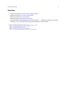## **Exercises**

- Read more about [why I moved from Angular to React](https://www.robinwieruch.de/reasons-why-i-moved-from-angular-to-react/)<sup>9</sup>.
- Read more about [how to learn a framework](https://www.robinwieruch.de/how-to-learn-framework/) $^{10}$ .
- Read more about how to learn  $Reach<sup>11</sup>$ .
- Read more about [why frameworks matter](https://www.robinwieruch.de/why-frameworks-matter) $^{12}$ .
- Scan through [JavaScript fundamentals needed for React](https://www.robinwieruch.de/javascript-fundamentals-react-requirements)<sup>13</sup> without worrying too much about the React – to test yourself about several JavaScript features used in React.

<span id="page-12-0"></span> $^9$ <https://www.robinwieruch.de/reasons-why-i-moved-from-angular-to-react/>  $^9$ 

<span id="page-12-1"></span> $^{\rm 10}\rm{https://www.robinwieruch.de/how-to-learn-framework/}$  $^{\rm 10}\rm{https://www.robinwieruch.de/how-to-learn-framework/}$  $^{\rm 10}\rm{https://www.robinwieruch.de/how-to-learn-framework/}$ 

<span id="page-12-2"></span><sup>&</sup>lt;sup>11</sup><https://www.robinwieruch.de/learn-react-js>

<span id="page-12-3"></span><sup>&</sup>lt;sup>12</sup><https://www.robinwieruch.de/why-frameworks-matter>

<span id="page-12-4"></span><sup>&</sup>lt;sup>13</sup><https://www.robinwieruch.de/javascript-fundamentals-react-requirements>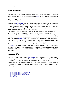## <span id="page-13-0"></span>**Requirements**

To follow this book you'll need to be familiar with the basics of web development, i.e how to use HTML, CSS, and JavaScript. It also helps to understand [APIs](https://www.robinwieruch.de/what-is-an-api-javascript/)<sup>14</sup>, as they will be covered thoroughly.

## **Editor and Terminal**

I have provided [a setup guide](https://www.robinwieruch.de/developer-setup/)<sup>15</sup> to get you started with general web development. For this learning experience, you will need a text editor (e.g. Sublime Text) and a command line tool (e.g. iTerm) or an IDE (e.g. Visual Studio Code). I recommend Visual Studio Code (also called VS Code) for beginners, as it's an all-in-one solution that provides an advanced editor with an integrated command line tool, and because it's a popular choice among web developers.

Throughout this learning experience I will use the term *command line*, which will be used synonymously for the terms *command line tool*, *terminal*, and *integrated terminal*. The same applies for the terms *editor*, *text editor*, and *IDE*, depending on what you decided to use for your setup.

Optionally, I recommend managing projects in GitHub while we conduct the exercises in this book, and I've provided a [short guide](https://www.robinwieruch.de/git-essential-commands/)<sup>16</sup> on how to use these tools. Github has excellent version control, so you can see what changes were made if you make a mistake or just want a more direct way to follow along. It's also a great way to share your code later with other people.

If you don't want to set up the editor/terminal combination or IDE on your local machine, [CodeSandbox](https://codesandbox.io/)<sup>17</sup>, an online editor, is also a viable alternative. While CodeSandbox is a great tool for sharing code online, a local machine setup is a better tool for learning the different ways to create a web application. Also, if you want to develop applications professionally, a local setup will be required.

## **Node and NPM**

Before we can begin, we'll need to have [node and npm](https://nodejs.org/en/)<sup>18</sup> installed. Both are used to manage libraries (node packages) you will need along the way. These node packages can be libraries or whole frameworks. We'll install external node packages via npm (node package manager).

You can verify node and npm versions in the command line using the node --version command. If you don't receive output in the terminal indicating which version is installed, you need to install node and npm:

<span id="page-13-1"></span><sup>&</sup>lt;sup>14</sup><https://www.robinwieruch.de/what-is-an-api-javascript/>

<span id="page-13-2"></span><sup>&</sup>lt;sup>15</sup><https://www.robinwieruch.de/developer-setup/>

<span id="page-13-3"></span><sup>&</sup>lt;sup>16</sup><https://www.robinwieruch.de/git-essential-commands/>

<span id="page-13-4"></span> $17$  <https://codesandbox.io/>  $\,$ 

<span id="page-13-5"></span><sup>&</sup>lt;sup>18</sup><https://nodejs.org/en/>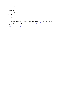#### **Command Line**

node --version  $\ast$  vXX . YY . ZZ npm --version \*vXX.YY.ZZ

If you have already installed Node and npm, make sure that your installation is the most recent version. If you're new to npm or need a refresher, this [npm crash course](https://www.robinwieruch.de/npm-crash-course)<sup>19</sup> I created will get you up to speed.

<span id="page-14-0"></span><sup>&</sup>lt;sup>19</sup><https://www.robinwieruch.de/npm-crash-course>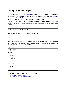## <span id="page-15-0"></span>**Setting up a React Project**

In the Road to React, we'll use [create-react-app](https://github.com/facebook/create-react-app)<sup>20</sup> to bootstrap your application. It's an opinionated yet zero-configuration starter kit for React introduced by Facebook in 2016, which is [recommended](https://twitter.com/dan_abramov/status/806985854099062785) [for beginners by 96% of React users](https://twitter.com/dan_abramov/status/806985854099062785)<sup>21</sup>. In *create-react-app*, the tools and configurations evolve in the background, while the focus remains on the application's implementation.

After installing Node and npm, use the command line to type the following command in a dedicated folder for your project. We'll refer to this project as *hacker-stories*, but you may choose any name you like:

#### **Command Line**

npx create-react-app hacker-stories

Navigate into your new folder after the setup has finished:

| <b>Command Line</b> |  |
|---------------------|--|
| cd hacker-stories   |  |

Now we can open the application in an editor or IDE. For Visual Studio Code, you can simply type code . on the command line. The following folder structure, or a variation of it depending on the *create-react-app* version, should be presented:

**Project Structure**

```
hacker-stories/
--node_modules/
--public/
--src/
----App.css
----App.js
----App.test.js
----index.css
----index.js
----logo.svg
--.gitignore
--package-lock.json
--package.json
--README.md
```
This is a breakdown of the most important folders and files:

<span id="page-15-1"></span><sup>&</sup>lt;sup>20</sup><https://github.com/facebook/create-react-app>

<span id="page-15-2"></span><sup>&</sup>lt;sup>21</sup>[https://twitter.com/dan\\_abramov/status/806985854099062785](https://twitter.com/dan_abramov/status/806985854099062785)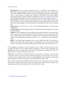- **README.md:** The *.md* extension indicates the file is a markdown file. Markdown is a lightweight markup language with plain text formatting syntax. Many source code projects come with a *README*.md file that gives instructions and useful information about the project. When we push projects to platforms like GitHub, the *README.md* file usually displays information about the content contained in its repositories. Because you used create-react-app, your *README.md* should be the same as the official [create-react-app GitHub repository](https://github.com/facebook/create-react-app)<sup>22</sup>.
- **node** modules/: This folder contains all node packages that have been installed via npm. Since we used create-react-app, a couple of node modules are already installed. We'll not touch this folder, since node packages are usually installed and uninstalled with npm via the command line.
- **package.json:** This file shows you a list of node package dependencies and other project configurations.
- **package-lock.json:** This file indicates npm how to break down all node package versions. We'll not touch this file.
- **.gitignore:** This file displays all files and folders that shouldn't be added to your git repository when using git, as such files and folders should be located only in your local project. The *node\_modules/* folder is one example. It is enough to share the *package.json* file with others, so they can install dependencies on their end with npm install without your entire dependency folder.
- **public/:** This folder holds development files, such as *public/index.html*. The index file is displayed on *localhost:3000* when the app is in development or on a domain that is hosted elsewhere. The default setup handles relating this *index.html* with all the JavaScript from *src/*.

In the beginning, everything you need is located in the *src/* folder. The main focus lies on the *src/App.js* file which is used to implement React components. It will be used to implement your application, but later you might want to split up your components into multiple files, where each file maintains one or more components on its own.

Additionally, you will find a *src/App.test.js* file for your tests, and a *src/index.js* as an entry point to the React world. You will get to know both files intimately in later sections. There is also a *src/index.css* and a *src/App.css* file to style your general application and components, which comes with the default style when you open them. You will modify them later as well.

After you have learned about the folder and file structure of your React project, let's go through the available commands to get it started. All your project specific commands can be found in your *package.json* under the *scripts* property. They may look similar to these:

<span id="page-16-0"></span>²²<https://github.com/facebook/create-react-app>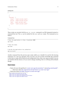#### **package.json**

```
{
  ...
 },
 "scripts": {
    "start": "react-scripts start",
    "build": "react-scripts build",
    "test": "react-scripts test",
    "eject": "react-scripts eject"
 },
  ...
}
```
These scripts are executed with the npm run <script> command in an IDE-integrated terminal or command line tool. The run can be omitted for the start and test scripts. The commands are as follows:

**Command Line**

```
# Runs the application in http://localhost:3000
npm start
# Runs the tests
npm test
# Builds the application for production
npm run build
```
Another command from the previous npm scripts called eject shouldn't be used for this learning experience. It's a one way operation. Once you eject, you can't go back. Essentially this command is only there to make all the build tool and configuration from create-react-app accessible if you are not satisfied with the choices or if you want to change something. Here we will keep all the defaults though.

#### **Exercises:**

- Read a bit more through React's [create-react-app documentation](https://github.com/facebook/create-react-app)<sup>23</sup> and [getting started guide](https://create-react-app.dev/docs/getting-started)<sup>24</sup>. **–** Read more about [the supported JavaScript features in create-react-app](https://create-react-app.dev/docs/supported-browsers-features)[²⁵.](#page-17-2)
- Read more about [the folder structure in create-react-app](https://create-react-app.dev/docs/folder-structure)<sup>26</sup>.

<span id="page-17-0"></span>²³<https://github.com/facebook/create-react-app>

<span id="page-17-1"></span><sup>&</sup>lt;sup>24</sup><https://create-react-app.dev/docs/getting-started>

<span id="page-17-2"></span> $\mathrm{^{25}https://create-react-app.dev/docs/supported-browsers-features}$  $\mathrm{^{25}https://create-react-app.dev/docs/supported-browsers-features}$  $\mathrm{^{25}https://create-react-app.dev/docs/supported-browsers-features}$ 

<span id="page-17-3"></span>²⁶<https://create-react-app.dev/docs/folder-structure>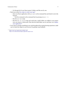- **–** Go through all of your React project's folders and files one by one.
- Read more about [the scripts in create-react-app](https://create-react-app.dev/docs/available-scripts)<sup>27</sup>.
	- **–** Start your React application with npm start on the command line and check it out in the browser.
		- \* Exit the command on the command line by pressing Control + C.
	- **–** Run the npm test script.
	- **–** Run the npm run build script and verify that a *build/* folder was added to your project (you can remove it afterward). Note that the build folder can be used later on to [deploy](https://www.robinwieruch.de/deploy-applications-digital-ocean/) [your application](https://www.robinwieruch.de/deploy-applications-digital-ocean/)<sup>28</sup>.
- Every time we change something in our code throughout the coming learning experience, make sure to check the output in your browser for getting visual feedback.

<span id="page-18-0"></span> $^{27}\mathrm{https://create-react-app.dev/docs/available-scripts}$  $^{27}\mathrm{https://create-react-app.dev/docs/available-scripts}$  $^{27}\mathrm{https://create-react-app.dev/docs/available-scripts}$ 

<span id="page-18-1"></span>²⁸<https://www.robinwieruch.de/deploy-applications-digital-ocean/>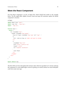## <span id="page-19-0"></span>**Meet the React Component**

Our first React component is in the *src/App.js* file, which should look similar to the example below. The file might differ slightly, because create-react-app will sometimes update the default component's structure.

**src/App.js**

```
import React from 'react';
import logo from './logo.svg';
import './App.css';
function App() {
  return (
    <div className="App">
       <header className="App-header">
          <img src={logo} className="App-logo" alt="logo" />
          \langle p \rangleEdit \langle code \rangle src/App.js \langle /code \rangle and save to reload.
          \langle/p>
          <a
            className="App-link"
            Href="https://reactjs.org"
            target="_blank"
            rel="noopener noreferrer"
         \rightarrowLearn React
          \langlea>
       </header>
    \langle/div\rangle);
}
export default App;
```
This file will be our focus throughout this tutorial, unless otherwise specified. Let's start by reducing the component to a more lightweight version for getting you started without too much boilerplate code from create-react-app.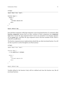#### **src/App.js**

```
import React from 'react';
function App() {
 return (
    <div>
      <h1>Hello World</h1>
    </div>
  );
}
```
**export default App;**

First, this React component, called App component, is just a JavaScript function. It's commonly called **function component**, because there are other variations of React components (see **component types** later). Second, the App component doesn't receive any parameters in its function signature yet (see **props** later). And third, the App component returns code that resembles HTML which is called JSX (see **JSX** later).

The function component possess implementation details like any other JavaScript function. You will see this in practice in action throughout your React journey:

**src/App.js**

```
import React from 'react';
function App() {
  // do something in between
 return (
    <div>
      <h1>Hello World</h1>
    </div>
  );
}
```
export default App;

Variables defined in the function's body will be re-defined each time this function runs, like all JavaScript functions: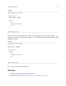#### **src/App.js**

```
import React from 'react';
function App() {
 const title = 'React';
 return (
    <div>
      <h1>Hello World</h1>
    </div>
  );
}
```

```
export default App;
```
Since we don't need anything from within the App component used for this variable – e.g. parameters coming from the function signature – we can define the variable outside of the App component as well:

#### **src/App.js**

```
import React from 'react';
const title = 'React';
function App() {
  return (
    <div>
      <h1>Hello World</h1>
    </div>
  );
}
export default App;
```
Let's use this variable in the next section.

#### **Exercises:**

• Confirm your [source code for the last section](https://codesandbox.io/s/github/the-road-to-learn-react/hacker-stories/tree/hs/Meet-the-React-Component)<sup>29</sup>.

<span id="page-21-0"></span><sup>&</sup>lt;sup>29</sup><https://codesandbox.io/s/github/the-road-to-learn-react/hacker-stories/tree/hs/Meet-the-React-Component>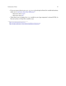- If you are unsure when to use const, let or var in JavaScript (or React) for variable declarations, make sure to [read more about their differences](https://www.robinwieruch.de/const-let-var)<sup>30</sup>.
	- Read more about [const](https://developer.mozilla.org/en-US/docs/Web/JavaScript/Reference/Statements/const)<sup>31</sup>.
	- Read more about [let](https://developer.mozilla.org/en-US/docs/Web/JavaScript/Reference/Statements/let)<sup>32</sup>.
- Think about ways to display the title variable in your App component's returned HTML. In the next section, we'll put this variable to use.

<span id="page-22-0"></span><sup>&</sup>lt;sup>30</sup><https://www.robinwieruch.de/const-let-var>

<span id="page-22-1"></span><sup>&</sup>lt;sup>31</sup><https://developer.mozilla.org/en-US/docs/Web/JavaScript/Reference/Statements/const>

<span id="page-22-2"></span>³²<https://developer.mozilla.org/en-US/docs/Web/JavaScript/Reference/Statements/let>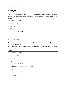Fundamentals of React 14

## <span id="page-23-0"></span>**React JSX**

Recall that I mentioned the returned output of the App component resembles HTML. This output is called JSX, which mixes HTML and JavaScript. Let's see how this works for displaying the variable:

#### **src/App.js**

```
import React from 'react';
const title = 'React';
function App() {
  return (
    <div>
      <h1>Hello {title}</h1>
    </div>
  );
}
```
export default App;

Start your application with npm start again, and look for the rendered variable in browser, which should read: "Hello React".

Let's focus on the HTML, which is expressed almost the same in JSX. An input field with a label can be defined as follows:

**src/App.js**

```
import React from 'react';
const title = 'React';
function App() {
  return (
    <div>
      <h1>Hello {title}</h1>
      <label htmlFor="search">Search: </label>
      <input id="search" type="text" />
    </div>
  );
}
```
export default App;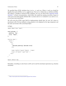We specified three HTML attributes here: htmlFor, id, and type. Where id and type should be familiar from native HTML, htmlFor might be new. The htmlFor reflects the for attribute in HTML. JSX replaces a handful of internal HTML attributes, but you can find all the [supported HTML](https://reactjs.org/docs/dom-elements.html#all-supported-html-attributes) [attributes](https://reactjs.org/docs/dom-elements.html#all-supported-html-attributes)<sup>33</sup> in React's documentation, which follow the camelCase naming convention. Expect to come across more JSX-specific attributes like className and onClick instead of class and onclick, as you learn more about React.

We will revisit the HTML input field for implementation details later; for now, let's return to JavaScript in JSX. We have defined a string primitive to be displayed in the App component, and the same can be done with a JavaScript object:

**src/App.js**

```
import React from 'react';
const welcome = {
  greeting: 'Hey',
  title: 'React',
};
function App() {
  return (
    <div>
       \langle h1 \rangle{welcome.greeting} {welcome.title}
       \langle/h1>
       <label htmlFor="search">Search: </label>
       <input id="search" type="text" />
    \langlediv>
  );
}
```
export default App;

Remember, everything in curly braces in JSX can be used for JavaScript expressions (e.g. function execution):

<span id="page-24-0"></span><sup>&</sup>lt;sup>33</sup><https://reactjs.org/docs/dom-elements.html#all-supported-html-attributes>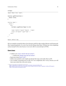#### **src/App.js**

```
import React from 'react';
function getTitle(title) {
 return title;
}
function App() {
 return (
    <div>
      <h1>Hello {getTitle('React')}</h1>
      <label htmlFor="search">Search: </label>
      <input id="search" type="text" />
    </div>
  );
}
export default App;
```
JSX was initially invented for React, but it became useful for other modern libraries and frameworks after it gained popularity. It is one of my favorite things about React. Without any extra templating syntax (except for the curly braces), we are now able to use JavaScript in HTML.

#### **Exercises:**

- Confirm your [source code for the last section](https://codesandbox.io/s/github/the-road-to-learn-react/hacker-stories/tree/hs/React-JSX)<sup>34</sup>.
	- Confirm the [changes from the last section](https://github.com/the-road-to-learn-react/hacker-stories/compare/hs/Meet-the-React-Component...hs/React-JSX?expand=1)<sup>35</sup>.
- Read more about [React's JSX](https://reactjs.org/docs/introducing-jsx.html)<sup>36</sup>.
- Define more primitive and complex JavaScript data types and render them in JSX.
- Try to render a JavaScript array in JSX. If it's too complicated, don't worry, because you will learn more about this in the next section.

<span id="page-25-0"></span><sup>&</sup>lt;sup>34</sup><https://codesandbox.io/s/github/the-road-to-learn-react/hacker-stories/tree/hs/React-JSX>

<span id="page-25-2"></span><span id="page-25-1"></span>³⁵<https://github.com/the-road-to-learn-react/hacker-stories/compare/hs/Meet-the-React-Component...hs/React-JSX?expand=1> ³⁶<https://reactjs.org/docs/introducing-jsx.html>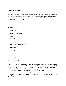Fundamentals of React 217

## <span id="page-26-0"></span>**Lists in React**

So far we've rendered a few primitive variables in JSX; next we'll render a list of items. We'll experiment with sample data at first, then we'll apply that to fetch data from a remote API. First, let's define the array as a variable. As before, we can define a variable outside or inside the component. The following defines it outside:

**src/App.js**

```
import React from 'react';
const list = [
  {
    title: 'React',
    url: 'https://reactjs.org/',
    author: 'Jordan Walke',
    num_comments: 3,
    points: 4,
    objectID: 0,
  },
  {
    title: 'Redux',
    url: 'https://redux.js.org/',
    author: 'Dan Abramov, Andrew Clark',
    num_comments: 2,
    points: 5,
    objectID: 1,
 },
];
function App() { ... }
export default App;
```
I used a ... here as a placeholder, to keep my code snippet small (without App component implementation details) and focused on the essential parts (the list variable outside of the App component). I will use the ... throughout the rest of this learning experience as placeholder for code blocks that I have established previous exercises. If you get lost, you can always verify your code using the CodeSandbox links I provide at the end of most sections.

Each item in the list has a title, a url, an author, an identifier (objectID), points – which indicate the popularity of an item – and a count of comments. Next, we'll render the list within our JSX dynamically: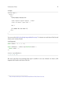#### **src/App.js**

```
function App() {
 return (
    <div>
      <h1>My Hacker Stories</h1>
      <label htmlFor="search">Search: </label>
      <input id="search" type="text" />
      <hr />
      {/* render the list here */}
    \langle/div\rangle);
}
```
You can use the [built-in JavaScript map method for arrays](https://developer.mozilla.org/en-US/docs/Web/JavaScript/Reference/Global_Objects/Array/map)<sup>37</sup> to iterate over each item of the list and return a new version of each:

**Code Playground**

```
const numbers = [1, 4, 9, 16];
const newNumbers = numbers.map(function(number) {
 return number * 2;
});
console.log(newNumbers);
// [2, 8, 18, 32]
```
We won't map from one JavaScript data type to another in our case. Instead, we return a JSX fragment that renders each item of the list:

<span id="page-27-0"></span><sup>37</sup>[https://developer.mozilla.org/en-US/docs/Web/JavaScript/Reference/Global\\_Objects/Array/map](https://developer.mozilla.org/en-US/docs/Web/JavaScript/Reference/Global_Objects/Array/map)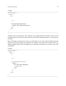#### **src/App.js**

```
function App() {
  return (
    <div>
      ...
      \langlehr />
      {list.map(function(item) {
        return <div>{item.title}</div>;
      })}
    </div>
  );
}
```
Actually, one of my first React "Aha" moments was using barebones JavaScript to map a list of JavaScript objects to HTML elements without any other HTML templating syntax. It's just JavaScript in HTML.

React will display each item now, but you can still improve your code so React handles advanced dynamic lists more gracefully. By assigning a key attribute to each list item's element, React can identify modified items if the list changes (e.g. re-ordering). Fortunately, our list items come with an identifier:

**src/App.js**

```
function App() {
  return (
    <div>
      ...
      \langlehr />
      {list.map(function(item) {
        return (
           <div key={item.objectID}>
             {item.title}
           </div>
        );
      })}
    </div>
  );
}
```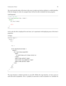We avoid using the index of the item in the array to make sure the key attribute is a stable identifier. If the list changes its order, for example, React will not be able to identify the items properly:

**Code Playground**

```
// don't do this
{list.map(function(item, index) {
  return (
    <div key={index}>
       ...
    \langle/div\rangle);
})}
```
So far, only the title is displayed for each item. Let's experiment with displaying more of the item's properties:

**src/App.js**

```
function App() {
  return (
    <div>
      ...
      \langlehr />
      {list.map(function(item) {
        return (
           <div key={item.objectID}>
             <span>
                <a href={item.url}>{item.title}</a>
             </span>
             <span>{item.author}</span>
             <span>{item.num_comments}</span>
             <span>{item.points}</span>
           </div>
        );
      })}
    \langle/div\rangle);
}
```
The map function is inlined concisely in your JSX. Within the map function, we have access to each item and its properties. The url property of each item is used as dynamic href attribute for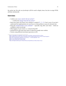the anchor tag. Not only can JavaScript in JSX be used to display items, but also to assign HTML attributes dynamically.

## **Exercises:**

- Confirm your [source code for the last section](https://codesandbox.io/s/github/the-road-to-learn-react/hacker-stories/tree/hs/Lists-in-React)<sup>38</sup>.
	- Confirm the [changes from the last section](https://github.com/the-road-to-learn-react/hacker-stories/compare/hs/React-JSX...hs/Lists-in-React?expand=1)<sup>39</sup>.
- Read more about why React's key attribute is needed  $(0^{40}, 1^{41}, 2^{42})$  $(0^{40}, 1^{41}, 2^{42})$  $(0^{40}, 1^{41}, 2^{42})$  $(0^{40}, 1^{41}, 2^{42})$  $(0^{40}, 1^{41}, 2^{42})$ . Don't worry if you don't understand the implementation yet, just focus on what problem it causes for dynamic lists.
- Recap the [standard built-in array methods](https://developer.mozilla.org/en-US/docs/Web/JavaScript/Reference/Global_Objects/Array/)<sup> $43$ </sup> especially *map*, *filter*, and *reduce* which are available in native JavaScript.
- What happens if your return null instead of the JSX?
- Extend the list with some more items to make the example more realistic.
- Practice using different JavaScript expressions in JSX.

<span id="page-30-4"></span><span id="page-30-3"></span>⁴¹<https://www.robinwieruch.de/react-list-key> ⁴²<https://reactjs.org/docs/lists-and-keys.html>

<span id="page-30-0"></span> $\rm^{38}$ <https://codesandbox.io/s/github/the-road-to-learn-react/hacker-stories/tree/hs/Lists-in-React>

<span id="page-30-1"></span>³⁹<https://github.com/the-road-to-learn-react/hacker-stories/compare/hs/React-JSX...hs/Lists-in-React?expand=1>

<span id="page-30-2"></span>⁴⁰<https://dev.to/jtonzing/the-significance-of-react-keys---a-visual-explanation--56l7>

<span id="page-30-5"></span>⁴³[https://developer.mozilla.org/en-US/docs/Web/JavaScript/Reference/Global\\_Objects/Array/](https://developer.mozilla.org/en-US/docs/Web/JavaScript/Reference/Global_Objects/Array/)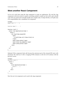## <span id="page-31-0"></span>**Meet another React Component**

So far we've only been using the App component to create our applications. We used the App component in the last section to express everything needed to render our list in JSX, and it should scale with your needs and eventually handle more complex tasks. To help with this, we'll split some of its responsibilities into a standalone List component:

**src/App.js**

```
const list = [ ... ];
function App() { ... }
function List() {
  return list.map(function(item) {
    return (
      <div key={item.objectID}>
        <span>
          <a href={item.url}>{item.title}</a>
        </span>
        <span>{item.author}</span>
        <span>{item.num_comments}</span>
        <span>{item.points}</span>
      </div>
    );
  });
}
```
Optional: If this component looks odd, because the outermost part of the returned JSX starts with JavaScript. We could use it with a wrapping HTML element as well, but we'll continue with the previous version.

**src/App.js**

```
function List() {
 return (
    <div>
      {list.map(function(item) {
        return (... );
      })}
    </div>
  );
}
```
Now the new List component can be used in the App component: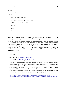#### **src/App.js**

```
function App() {
  return (
    <div>
      <h1>My Hacker Stories</h1>
      <label htmlFor="search">Search: </label>
      <input id="search" type="text" />
      \langlehr />
      <List />
    </div>
  );
}
```
You've just created your first React component! With this example, we can see how components that encapsulate meaningful tasks can work for larger React applications.

Larger React applications have **component hierarchies** (also called **component trees**). There is usually one uppermost **entry point component** (e.g. App) that spans a tree of components below it. The App is the **parent component** of the List, so the List is a **child component** of the App. In a component tree, the App is the **root component**, and the components that don't render any other components are called **leaf components** (e.g. List). The App can have multiple children, as can the List. If the App has another child component, the additional child component is called a **sibling component** of the List.

#### **Exercises:**

- Confirm your [source code for the last section](https://codesandbox.io/s/github/the-road-to-learn-react/hacker-stories/tree/hs/Meet-another-React-Component)<sup>44</sup>.
	- Confirm the [changes from the last section](https://github.com/the-road-to-learn-react/hacker-stories/compare/hs/Lists-in-React...hs/Meet-another-React-Component?expand=1)<sup>45</sup>.
- Draw your components the App component and List component as a component tree on a sheet of paper. Extend this component tree with other possible components (e.g. extracted Search component for the input field and label in the App component). Try to figure out which other parts can be extracted as standalone components.
- If a Search component is used in the App component, would the Search component be a sibling, parent, or child component for the List component?
- Ask yourself what problems could arise if we keep treating the list variable as global variable. We will cover how to handle these problems in the upcoming sections.

<span id="page-32-0"></span>⁴⁴<https://codesandbox.io/s/github/the-road-to-learn-react/hacker-stories/tree/hs/Meet-another-React-Component>

<span id="page-32-1"></span>⁴⁵<https://github.com/the-road-to-learn-react/hacker-stories/compare/hs/Lists-in-React...hs/Meet-another-React-Component?expand=1>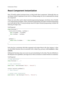## <span id="page-33-0"></span>**React Component Instantiation**

Next, I'll briefly explain JavaScript classes, to help clarify React components. Technically they are not related, which is important to note, but it is a fitting analogy for you to understand the concept of a component.

Classes are most often used in object-oriented programming languages. JavaScript, always flexible in its programming paradigms, allows functional programming and object-oriented programming to co-exist side-by-side. To recap JavaScript classes for object-oriented programming, consider the following *Developer* class:

**Code Playground**

```
class Developer {
  constructor(firstName, lastName) {
    this.firstName = firstName;
    this.lastName = lastName;
  }
  getName() {
    return this.firstName + ' ' + this.lastName;
  }
}
```
Each class has a constructor that takes arguments and assigns them to the class instance. A class can also define functions that are associated with a subject (e.g. getName), called **methods** or **class methods**.

Defining the Developer class once is just one part; instantiating it is the other. The class definition is the blueprint of its capabilities, and usage occurs when an instance is created with the new statement.

**Code Playground**

```
// class definition
class Developer { ... }
// class instantiation
const robin = new Developer('Robin', 'Wieruch');
console.log(robin.getName());
// "Robin Wieruch"
// another class instantiation
const dennis = new Developer('Dennis', 'Wieruch');
```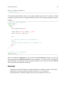```
console.log(dennis.getName());
// "Dennis Wieruch"
```
If a JavaScript class definition exists, one can create *multiple* instances of it. It is similar to a React component, which has only *one* component definition, but can have *multiple* component instances:

**src/App.js**

```
// definition of App component
function App() {
 return (
    <div>
      <h1>My Hacker Stories</h1>
      <label htmlFor="search">Search: </label>
      <input id="search" type="text" />
      \langle hr \rangle{/* creating an instance of List component */}
      <List />
      {/* creating another instance of List component */}
      <List />
    \langle/div\rangle);
}
// definition of List component
function List() { ... }
```
Once we've defined a **component**, we can use it like an HTML **element** anywhere in our JSX. The element produces an **component instance** of your component, or in other words, the component gets instantiated. You can create as many component instances as you want. It's not much different from a JavaScript class definition and usage.

#### **Exercises:**

- Familiarize yourself with the terms *component definition*, *component instance*, and *element*.
- Experiment by creating multiple component instances of a List component.
- Think about how it could be possible to give each List component its own list.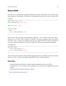Fundamentals of React 26

## <span id="page-35-0"></span>**React DOM**

Now that we've learned about component definitions and their instantiation, we can move to the App component's instantiation. It has been in our application from the start, in the *src/index.js* file:

**src/index.js**

```
import React from 'react';
import ReactDOM from 'react-dom';
import App from './App';
ReactDOM.render(
  \langleApp />,
  document.getElementById('root')
);
```
Next to React, there is another imported library called react-dom, in which a ReactDOM.render() function uses an HTML node to replace it with JSX. The process integrates React into HTML. ReactDOM.render() expects two arguments; the first is to render the JSX. It creates an instance of your App component, though it can also pass simple JSX without any component instantiation.

#### **Code Playground**

```
ReactDOM.render(
  <h1>Hello React World</h1>,
  document.getElementById('root')
);
```
The second argument specifies where the React application enters your HTML. It expects an element with an id='root', found in the *public/index.html* file. This is a basic HTML file.

#### **Exercises:**

- Open the *public/index.html* to see where the React application enters your HTML.
- Consider how we can include a React application in an external web application that uses HTML.
- Read more about [rendering elements in React](https://reactjs.org/docs/rendering-elements.html)<sup>46</sup>.

<span id="page-35-1"></span>⁴⁶<https://reactjs.org/docs/rendering-elements.html>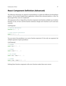# **React Component Definition (Advanced)**

The following refactorings are optional recommendations to explain the different JavaScript/React patterns. You can build complete React applications without these advanced patterns, so don't be discouraged if they seem too complicated.

All components in the *src/App.js*file are function component. JavaScript has multiple ways to declare functions. So far, we have used the function statement, though arrow functions can be used more concisely:

**Code Playground**

```
// function declaration
function () { ... }
// arrow function declaration
const () => { ... }
```
You can remove the parentheses in an arrow function expression if it has only one argument, but multiple arguments require parentheses:

**Code Playground**

```
// allowed
const item => { ... }
// allowed
const (item) => { ... }
// not allowed
const item, index \Rightarrow { ... }
// allowed
const (item, index) => { ... }
```
Defining React function components with arrow functions makes them more concise: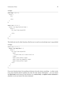```
const App = () => {
  return (
    <div>
      ...
    \langlediv>
  );
};
const List = () => {
  return list.map(function(item) {
    return (
      <div key={item.objectID}>
         ...
      </div>
    );
  });
};
```
This holds also true for other functions, like the one we used in our JavaScript array's map method:

### **src/App.js**

```
const List = () => {
  return list.map(item => {
    return (
       <div key={item.objectID}>
          <span>
            \langle a \nvert href={item.url}>{item.title}\langle a \rangle</span>
          <span>{item.author}</span>
          <span>{item.num_comments}</span>
          <span>{item.points}</span>
       \langle/div\rangle);
  });
};
```
If an arrow function doesn't do *anything* in between, but only returns *something*, – in other words, if an arrow function doesn't perform any task, but only returns information –, you can remove the **block body** (curly braces) of the function. In a **concise body**, an **implicit return statement** is attached, so you can remove the return statement: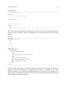### **Code Playground**

```
// with block body
count \Rightarrow {
  // perform any task in between
  return count + 1;
}
// with concise body
count \Rightarrowcount + 1;
```
This can be done for the App and List component as well, because they only return JSX and don't perform any task in between. Again it also applies for the arrow function that's used in the map function:

**src/App.js**

```
const App = () => (
  <div>
     ...
  \langle/div\rangle);
const List = () =>
  list.map(item => (
     <div key={item.objectID}>
       <span>
          \langle a \nvert \nvert = \{item, url\} \rangle \{item.title\} \langle a \rangle</span>
       <span>{item.author}</span>
       <span>{item.num_comments}</span>
       <span>{item.points}</span>
     </div>
  ));
```
Our JSX is more concise now, as it omits the function statement, the curly braces, and the return statement. However, remember this is an optional step, and that it's acceptable to use normal functions instead of arrow functions and block bodies with curly braces for arrow functions over implicit returns. Sometimes block bodies will be necessary to introduce more business logic between function signature and return statement: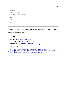### **Code Playground**

```
const App = () => {
  // perform any task in between
  return (
     <div>
       ...
     \langle/div\rangle);
};
```
Be sure to understand this refactoring concept, because we'll move quickly from arrow function components with and without block bodies as we go. Which one we use will depend on the requirements of the component.

## **Exercises:**

- Confirm your [source code for the last section](https://codesandbox.io/s/github/the-road-to-learn-react/hacker-stories/tree/hs/React-Component-Definition)<sup>47</sup>.
	- Confirm the [changes from the last section](https://github.com/the-road-to-learn-react/hacker-stories/compare/hs/Meet-another-React-Component...hs/React-Component-Definition?expand=1)<sup>48</sup>.
- Read more about [JavaScript arrow functions](https://developer.mozilla.org/en-US/docs/Web/JavaScript/Reference/Functions/Arrow_functions)<sup>49</sup>.
- Familiarize yourself with arrow functions with block body and return, and concise body without return.

<span id="page-39-1"></span><span id="page-39-0"></span>⁴⁷<https://codesandbox.io/s/github/the-road-to-learn-react/hacker-stories/tree/hs/React-Component-Definition> ⁴⁸[https://github.com/the-road-to-learn-react/hacker-stories/compare/hs/Meet-another-React-Component...hs/React-Component-](https://github.com/the-road-to-learn-react/hacker-stories/compare/hs/Meet-another-React-Component...hs/React-Component-Definition?expand=1)[Definition?expand=1](https://github.com/the-road-to-learn-react/hacker-stories/compare/hs/Meet-another-React-Component...hs/React-Component-Definition?expand=1)

<span id="page-39-2"></span>⁴⁹[https://developer.mozilla.org/en-US/docs/Web/JavaScript/Reference/Functions/Arrow\\_functions](https://developer.mozilla.org/en-US/docs/Web/JavaScript/Reference/Functions/Arrow_functions)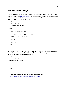Fundamentals of React 31

# **Handler Function in JSX**

The App component still has the input field and label, which we haven't used. In HTML outside of JSX, input fields have an [onchange handler](https://developer.mozilla.org/en-US/docs/Web/API/GlobalEventHandlers/onchange)<sup>50</sup>. We're going to discover how to use onchange handlers with a React component's JSX. First, refactor the App component from a concise body to a block body so we can add implementation details.

**src/App.js**

```
const App = () => {
  // do something in between
  return (
    <div>
       <h1>My Hacker Stories</h1>
       <label htmlFor="search">Search: </label>
       <input id="search" type="text" />
       \langlehr />
       <List />
    \langle/div\rangle);
};
```
Next, define a function – which can be normal or arrow – for the change event of the input field. In React, this function is called an **(event) handler**. Now the function can be passed to the onChange attribute (JSX named attribute) of the input field.

**src/App.js**

```
const App = () => {
 const handleChange = event => {
   console.log(event);
 };
 return (
    <div>
      <h1>My Hacker Stories</h1>
      <label htmlFor="search">Search: </label>
      <input id="search" type="text" onChange={handleChange} />
```
<span id="page-40-0"></span>⁵⁰<https://developer.mozilla.org/en-US/docs/Web/API/GlobalEventHandlers/onchange>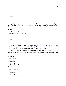```
\langlehr />
        <List />
     </div>
  );
};
```
After opening your application in a web browser, open the browser's developer tools to see logging occur after you type into the input field. This is called a **synthetic event** defined by a JavaScript object. Through this object, we can access the emitted value of the input field:

**src/App.js**

```
const App = () => {
  const handleChange = event => {
    console.log(event.target.value);
  };
 return ( ... );
};
```
The synthetic event is essentially a wrapper around the [browser's native event](https://developer.mozilla.org/en-US/docs/Web/Events)<sup>51</sup>, with more functions that are useful to prevent native browser behavior (e.g. refreshing a page after the user clicks a form's submit button). Sometimes you will use the event, sometimes you won't need it.

This is how we give HTML elements in JSX handler functions to respond to user interaction. Always pass functions to these handlers, not the return value of the function, except when the return value is a function:

**Code Playground**

```
// don't do this
<input
  id="search"
  type="text"
 onChange={handleChange()}
/>
// do this instead
<input
  id="search"
  type="text"
```
<span id="page-41-0"></span><sup>&</sup>lt;sup>51</sup><https://developer.mozilla.org/en-US/docs/Web/Events>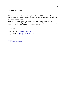```
onChange={handleChange}
```
/>

HTML and JavaScript work well together in JSX. JavaScript in HTML can display objects, can pass JavaScript primitives to HTML attributes (e.g. href to  $\langle a \rangle$ ), and can pass functions to an element's attributes for handling events.

I prefer using arrow functions because of their concision as event handlers, however, in a larger React component I see myself using the function statements too, because it gives them more visibility in contrast to other variable declarations within a component's body.

### **Exercises:**

- Confirm your [source code for the last section](https://codesandbox.io/s/github/the-road-to-learn-react/hacker-stories/tree/hs/Handler-Function-in-JSX)<sup>52</sup>.
	- Confirm the [changes from the last section](https://github.com/the-road-to-learn-react/hacker-stories/compare/hs/React-Component-Definition...hs/Handler-Function-in-JSX?expand=1)<sup>53</sup>.
- Read more about [React's events](https://reactjs.org/docs/events.html)<sup>54</sup>.

<span id="page-42-1"></span><span id="page-42-0"></span>⁵²<https://codesandbox.io/s/github/the-road-to-learn-react/hacker-stories/tree/hs/Handler-Function-in-JSX> ⁵³[https://github.com/the-road-to-learn-react/hacker-stories/compare/hs/React-Component-Definition...hs/Handler-Function-in-](https://github.com/the-road-to-learn-react/hacker-stories/compare/hs/React-Component-Definition...hs/Handler-Function-in-JSX?expand=1)[JSX?expand=1](https://github.com/the-road-to-learn-react/hacker-stories/compare/hs/React-Component-Definition...hs/Handler-Function-in-JSX?expand=1)

<span id="page-42-2"></span>⁵⁴<https://reactjs.org/docs/events.html>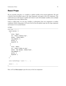Fundamentals of React 34

## **React Props**

We are currently using the list variable as a global variable in the current application. We used it directly from the global scope in the App component, and again in the List component. This could work if you only had one variable, but it doesn't scale with multiple variables across multiple components from many different files.

Using so called props, we can pass variables as information from one component to another component. Before using props, we'll move the list from the global scope into the App component and rename it to its actual domain:

**src/App.js**

```
const App = () => {
 const stories = [
    {
      title: 'React',
      url: 'https://reactjs.org/',
      author: 'Jordan Walke',
      num_comments: 3,
      points: 4,
      objectID: 0,
   },
    {
      title: 'Redux',
      url: 'https://redux.js.org/',
      author: 'Dan Abramov, Andrew Clark',
      num_comments: 2,
      points: 5,
      objectID: 1,
   },
  ];
 const handleChange = event => \{ \ldots \};
 return ( ... );
};
```
Next, we'll use **React props** to pass the array to the List component: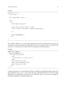```
const App = () => {
  const stories = [ ... ];
  const handleChange = event => \{ \ldots \};
  return (
    <div>
      <h1>My Hacker Stories</h1>
      <label htmlFor="search">Search: </label>
      <input id="search" type="text" onChange={handleChange} />
      \langlehr />
      <List list={stories} />
    \langle/div\rangle);
};
```
The variable is called stories in the App component, and we pass it under this name to the List component. In the List component's instantiation, however, it is assigned to the list attribute. We access it as list from the props object in the List component's function signature:

**src/App.js**

```
const List = props =>
  props.list.map(item => (
    <div key={item.objectID}>
       <span>
          \langle a \nvert \nvert = \{item.url\} \rangle \{item.title\} \langle a \rangle</span>
       <span>{item.author}</span>
       <span>{item.num_comments}</span>
       <span>{item.points}</span>
    </div>
  ));
```
Using this operation, we've prevented the list/stories variable from polluting the global scope in the App component. Since stories is not used in the App component directly, but in one of its child components, we passed them as props to the List component. There, we can access it through the first function signature's argument, called props.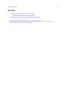## **Exercises:**

- Confirm your [source code for the last section](https://codesandbox.io/s/github/the-road-to-learn-react/hacker-stories/tree/hs/React-Props)<sup>55</sup>.
	- Confirm the [changes from the last section](https://github.com/the-road-to-learn-react/hacker-stories/compare/hs/Handler-Function-in-JSX...hs/React-Props?expand=1)<sup>56</sup>.
- Read more about [how to pass props to React components](https://www.robinwieruch.de/react-pass-props-to-component)<sup>57</sup>.

<span id="page-45-1"></span>⁵⁶<https://github.com/the-road-to-learn-react/hacker-stories/compare/hs/Handler-Function-in-JSX...hs/React-Props?expand=1>

<span id="page-45-0"></span>⁵⁵<https://codesandbox.io/s/github/the-road-to-learn-react/hacker-stories/tree/hs/React-Props>

<span id="page-45-2"></span>⁵⁷<https://www.robinwieruch.de/react-pass-props-to-component>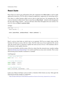Fundamentals of React 37

## **React State**

React Props are used to pass information down the component tree; **React state** is used to make applications interactive. We'll be able to change the application's appearance by interacting with it.

First, there is a utility function called use State that we take from React for managing state. The useState function is called a hook. There is more than one **React hook** – related to state management but also other things in React – and you will learn about them throughout the next sections. For now, let's focus on **React's useState hook**:

**src/App.js**

```
const App = () => {
 const stories = [ ... ];
 const [searchTerm, setSearchTerm] = React.useState('');
  ...
};
```
React's useState hook takes an *initial state* as an argument. We'll use an empty string, and the function will return an array with two values. The first value (searchTerm) represents the *current state*; the second value is a *function to update this state* (setSearchTerm). I will sometimes refer to this function as *state updater function*.

If you are not familiar with the syntax of the two values from the returned array, consider reading about [JavaScript array destructuring](https://developer.mozilla.org/en-US/docs/Web/JavaScript/Reference/Operators/Destructuring_assignment#Array_destructuring)<sup>58</sup>. It is used to read from an array more concisely. This is array destructuring and its benefits visualized in a nutshell:

**Code Playground**

```
// basic array definition
const list = ['a', 'b'];
// no array destructuring
const itemOne = list[0];
const itemTwo = list[1];
// array destructuring
const [firstItem, secondItem] = list;
```
In the case of React, the React useState hook is a function which returns an array. Take again the following JavaScript example as comparison:

<span id="page-46-0"></span>⁵⁸[https://developer.mozilla.org/en-US/docs/Web/JavaScript/Reference/Operators/Destructuring\\_assignment#Array\\_destructuring](https://developer.mozilla.org/en-US/docs/Web/JavaScript/Reference/Operators/Destructuring_assignment#Array_destructuring)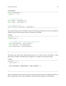### **Code Playground**

```
function getAlphabet() {
 return ['a', 'b'];
}
// no array destructuring
const itemOne = getAlphabet()[0];
const itemTwo = getAlphabet()[1];
// array destructuring
const [firstItem, secondItem] = getAlphabet();
```
Array destructuring is just a shorthand version of accessing each item one by one. If you express it without the array destructuring in React, it becomes less readable:

**src/App.js**

```
const App = () => {
 const stories = [ ... ];
 // less readable version without array destructuring
 const searchTermState = React.useState('');
 const searchTerm = searchTermState[0];
 const setSearchTerm = searchTermState[1];
  ...
};
```
The React team chose array destructuring because of its concise syntax and ability to name destructured variables. The following code snippet is an example of array destructuring:

**src/App.js**

```
const App = () => {
 const stories = [ ... ];
 const [searchTerm, setSearchTerm] = React.useState('');
  ...
};
```
After we initialize the state and have access to the current state and the state updater function, use them to display the current state and update it within the App component's event handler: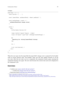```
const App = () \Rightarrow {
 const stories = [ ... ];
  const [searchTerm, setSearchTerm] = React.useState('');
  const handleChange = event => {
    setSearchTerm(event.target.value);
  };
  return (
    <div>
      <h1>My Hacker Stories</h1>
      <label htmlFor="search">Search: </label>
      <input id="search" type="text" onChange={handleChange} />
      <p>
        Searching for \langlestrong>{searchTerm}\langle/strong>.
      </p>
      \langlehr />
      <List list={stories} />
    </div>
  );
};
```
When the user types into the input field, the input field's change event is captured by the handler with its current internal value. The handler's logic uses the state updater function to set the new state. After the new state is set in a component, the component renders again, meaning the component function runs again. The new state becomes the current state and can be displayed in the component's JSX.

### **Exercises:**

- Confirm your [source code for the last section](https://codesandbox.io/s/github/the-road-to-learn-react/hacker-stories/tree/hs/React-State)<sup>59</sup>.
	- Confirm the [changes from the last section](https://github.com/the-road-to-learn-react/hacker-stories/compare/hs/React-Props...hs/React-State?expand=1)<sup>60</sup>.
- Read more about [JavaScript array destructuring](https://developer.mozilla.org/en-US/docs/Web/JavaScript/Reference/Operators/Destructuring_assignment#Array_destructuring)<sup>61</sup>.

<span id="page-48-0"></span>⁵⁹<https://codesandbox.io/s/github/the-road-to-learn-react/hacker-stories/tree/hs/React-State>

<span id="page-48-1"></span> $^{60}$ <https://github.com/the-road-to-learn-react/hacker-stories/compare/hs/React-Props...hs/React-State?expand=1>

<span id="page-48-2"></span>⁶¹[https://developer.mozilla.org/en-US/docs/Web/JavaScript/Reference/Operators/Destructuring\\_assignment#Array\\_destructuring](https://developer.mozilla.org/en-US/docs/Web/JavaScript/Reference/Operators/Destructuring_assignment#Array_destructuring)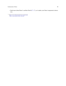• Read more about React's useState Hook  $(0^{62}, 1^{63})$  $(0^{62}, 1^{63})$  $(0^{62}, 1^{63})$ , as it makes your React components interactive.

<span id="page-49-1"></span><span id="page-49-0"></span><sup>&</sup>lt;sup>62</sup><https://www.robinwieruch.de/react-usestate-hook> <sup>63</sup><https://reactjs.org/docs/hooks-state.html>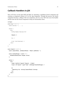Fundamentals of React  $41$ 

# **Callback Handlers in JSX**

Next we'll focus on the input field and label, by separating a standalone Search component and creating an component instance of it in the App component. Through this process, the Search component becomes a sibling of the List component, and vice versa. We'll also move the handler and the state into the Search component to keep our functionality intact.

**src/App.js**

```
const App = () => \{const stories = [ ... ];
  return (
    <div>
      <h1>My Hacker Stories</h1>
      <Search />
      \langlehr />
      <List list={stories} />
    </div>
  );
};
const Search = () => {
  const [searchTerm, setSearchTerm] = React.useState('');
  const handleChange = event => {
    setSearchTerm(event.target.value);
  };
  return (
    <div>
      <label htmlFor="search">Search: </label>
      <input id="search" type="text" onChange={handleChange} />
      <p>
        Searching for <strong>{searchTerm}</strong>.
      </p>
    </div>
  );
};
```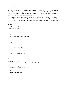We have an extracted Search component that handles state and shows state without revealing its content. The component displays the searchTerm as text but doesn't share this information with its parent or sibling components yet. Since Search component does nothing except show the search term, it becomes useless for the other components.

There is no way to pass information as JavaScript data types up the component tree, since props are naturally only passed downwards. However, we can introduce a **callback handler** as a function: A callback function gets introduced (A), is used elsewhere (B), but "calls back" to the place it was introduced (C).

**src/App.js**

```
const App = () => {
  const stories = [\dots];
  // A
  const handleSearch = event => {
    // C
    console.log(event.target.value);
  };
  return (
    <div>
      <h1>My Hacker Stories</h1>
      <Search onSearch={handleSearch} />
      \langlehr />
      <List list={stories} />
    </div>
  );
};
const Search = props => {
  const [searchTerm, setSearchTerm] = React.useState('');
  const handleChange = event => {
    setSearchTerm(event.target.value);
    // B
    props.onSearch(event);
  };
```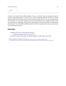Fundamentals of React 43

return ( ... ); };

Consider the concept of the callback handler: We pass a function from one component (App) to another component (Search); we call it in the second component (Search); but have the actual implementation of the function call in the first component (App). This way, we can communicate up the component tree. A handler function used in one component becomes a callback handler, which is passed down to components via React props. React props are always passed down as information the component tree, and callback handlers passed as functions in props can be used to communicate up the component hierarchy.

### **Exercises:**

- Confirm your [source code for the last section](https://codesandbox.io/s/github/the-road-to-learn-react/hacker-stories/tree/hs/Callback-Handler-in-JSX)<sup>64</sup>.
	- Confirm the [changes from the last section](https://github.com/the-road-to-learn-react/hacker-stories/compare/hs/React-State...hs/Callback-Handler-in-JSX?expand=1)<sup>65</sup>.
- Revisit the concepts of handler and callback handler as many times as you need.

<span id="page-52-1"></span><span id="page-52-0"></span>⁶⁴<https://codesandbox.io/s/github/the-road-to-learn-react/hacker-stories/tree/hs/Callback-Handler-in-JSX> ⁶⁵<https://github.com/the-road-to-learn-react/hacker-stories/compare/hs/React-State...hs/Callback-Handler-in-JSX?expand=1>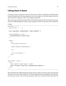Fundamentals of React  $\frac{44}{3}$ 

# **Lifting State in React**

Currently, the Search component still has its internal state. While we established a callback handler to pass information up to the App component, we are not using it yet. We need to figure out how to share the Search component's state across multiple components.

The search term is needed in the App to filter the list before passing it to the List component as props. We'll need to **lift state up** from Search to App component to share the state with more components.

**src/App.js**

```
const App = () => {
  const stories = [ ... ];
  const [searchTerm, setSearchTerm] = React.useState('');
  const handleSearch = event => {
    setSearchTerm(event.target.value);
  };
  return (
    <div>
      <h1>My Hacker Stories</h1>
      <Search onSearch={handleSearch} />
      \langlehr />
      <List list={stories} />
    </div>
  );
};
const Search = props => (
  <div>
    <label htmlFor="search">Search: </label>
    <input id="search" type="text" onChange={props.onSearch} />
  </div>
);
```
We learned about the callback handler previously, because it helps us to keep an open communication channel from Search to App component. The Search component doesn't manage the state anymore, but only passes up the event to the App component after text is entered into the input field. You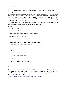could also display the searchTerm again in the App component or Search component by passing it down as prop.

Always manage the state at a component where every component that's interested in it is one that either manages the state (using information directly from state) or a component below the managing component (using information from props). If a component below needs to update the state, pass a callback handler down to it (see Search component). If a component needs to use the state (e.g. displaying it), pass it down as props.

By managing the search feature state in the App component, we can finally filter the list with the stateful searchTerm before passing the list to the List component:

**src/App.js**

```
const App = () => {
 const stories = [ ... ];
  const [searchTerm, setSearchTerm] = React.useState('');
  const handleSearch = event => {
    setSearchTerm(event.target.value);
  };
  const searchedStories = stories.filter(function(story) {
    return story.title.includes(searchTerm);
  });
  return (
    <div>
      <h1>My Hacker Stories</h1>
      <Search onSearch={handleSearch} />
      \langlehr />
      <List list={searchedStories} />
    </div>
  );
};
```
Here, the [JavaScript array's built-in filter function](https://developer.mozilla.org/en-US/docs/Web/JavaScript/Reference/Global_Objects/Array/filter)<sup>66</sup> is used to create a new filtered array. The filter function takes a function as an argument, which accesses each item in the array and returns true or false. If the function returns true, meaning the condition is met, the item stays in the newly created array; if the function returns false, it's removed:

<span id="page-54-0"></span>⁶⁶[https://developer.mozilla.org/en-US/docs/Web/JavaScript/Reference/Global\\_Objects/Array/filter](https://developer.mozilla.org/en-US/docs/Web/JavaScript/Reference/Global_Objects/Array/filter)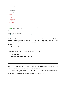**Code Playground**

```
const words = [
  'spray',
  'limit',
  'elite',
  'exuberant',
  'destruction',
  'present'
];
const filteredWords = words.filter(function(word) {
  return word.length > 6;
});
console.log(filteredWords);
// ["exuberant", "destruction", "present"]
```
The filter function checks whether the searchTerm is present in our story item's title, but it's still too opinionated about the letter case. If we search for "react", there is no filtered "React" story in your rendered list. To fix this problem, we have to lower case the story's title and the searchTerm.

**src/App.js**

```
const App = () => {
  ...
  const searchedStories = stories.filter(function(story) {
    return story.title
      .toLowerCase()
      .includes(searchTerm.toLowerCase());
  });
  ...
};
```
Now you should be able to search for "eact", "React", or "react" and see one of two displayed stories. You have just added an interactive feature to your application.

The remaining section shows a couple of refactoring steps. We will be using the final refactored version in the end, so it makes sense to understand these steps and keep them. As learned before, we can make the function more concise using a JavaScript arrow function: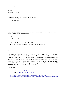```
const App = () => {
  ...
  const searchedStories = stories.filter(story => {
    return story.title
      .toLowerCase()
      .includes(searchTerm.toLowerCase());
 });
  ...
};
```
In addition, we could turn the return statement into an immediate return, because no other task (business logic) happens before the return:

**src/App.js**

```
const App = () => {
  ...
  const searchedStories = stories.filter(story =>
    story.title.toLowerCase().includes(searchTerm.toLowerCase())
  );
  ...
};
```
That's all to the refactoring steps of the inlined function for the filter function. There are many variations to it – and it's not always simple to keep a good balance between readable and conciseness – however, I feel like keeping it concise whenever possible keeps it most of the time readable as well.

Now we can manipulate state in React, using the Search component's callback handler in the App component to update it. The current state is used as a filter for the list. With the callback handler, we used information from the Search component in the App component to update the shared state and indirectly in the List component for the filtered list.

### **Exercises:**

- Confirm your [source code for the last section](https://codesandbox.io/s/github/the-road-to-learn-react/hacker-stories/tree/hs/Lifting-State-in-React)<sup>67</sup>.
	- **–** Confirm the [changes from the last section](https://github.com/the-road-to-learn-react/hacker-stories/compare/hs/Callback-Handler-in-JSX...hs/Lifting-State-in-React?expand=1)<sup>68</sup>.

<span id="page-56-1"></span>⁶⁸<https://github.com/the-road-to-learn-react/hacker-stories/compare/hs/Callback-Handler-in-JSX...hs/Lifting-State-in-React?expand=1>

<span id="page-56-0"></span>⁶⁷<https://codesandbox.io/s/github/the-road-to-learn-react/hacker-stories/tree/hs/Lifting-State-in-React>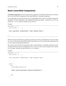# **React Controlled Components**

**Controlled components** are not necessary React components, but HTML elements. Here, we'll learn how to turn the Search component and its input field into a controlled component.

Let's go through a scenario that shows why we should follow the concept of controlled components throughout our React application. After applying the following change – giving the searchTerm an initial state – can you spot the mistake in your browser?

**src/App.js**

```
const App = () => {
 const stories = [ ... ];
 const [searchTerm, setSearchTerm] = React.useState('React');
 ...
};
```
While the list has been filtered according to the initial search, the input field doesn't show the initial searchTerm. We want the input field to reflect the actual searchTerm used from the initial state; but it's only reflected through the filtered list.

We need to convert the Search component with its input field into a controlled component. So far, the input field doesn't know anything about the searchTerm. It only uses the change event to inform us of a change. Actually, the input field has a value attribute.

**src/App.js**

```
const App = () => {
 const stories = [ ... ];
  const [searchTerm, setSearchTerm] = React.useState('React');
  ...
 return (
    <div>
      <h1>My Hacker Stories</h1>
      <Search search={searchTerm} onSearch={handleSearch} />
      ...
    </div>
  );
```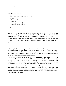```
};
const Search = props => (
  <div>
    <label htmlFor="search">Search: </label>
    <input
      id="search"
      type="text"
      value={props.search}
      onChange={props.onSearch}
    />
  </div>
);
```
Now the input field starts with the correct initial value, using the searchTerm from the React state. Also, when we change the searchTerm, we force the input field to use the value from React's state (via props). Before, the input field managed its own internal state natively with just HTML.

We learned about controlled components in this section, and, taking all the previous sections as learning steps into consideration, discovered another concept called **unidirectional data flow**:

**Visualization**

UI -> Side-Effect -> State -> UI -> ...

A React application and its components start with an initial state, which may be passed down as props to other components. It's rendered for the first time as a UI. Once a side-effect occurs, like user input or data loading from a remote API, the change is captured in React's state. Once state has been changed, all the components affected by the modified state or the implicitly modified props are re-rendered (the component functions runs again).

In the previous sections, we also learned about React's **component lifecycle**. At first, all components are instantiated from the top to the bottom of the component hierarchy. This includes all hooks (e.g. useState) that are instantiated with their initial values (e.g. initial state). From there, the UI awaits side-effects like user interactions. Once state is changed (e.g. current state changed via state updater function from useState), all components affected by modified state/props render again.

Every run through a component's function takes the *recent value* (e.g. current state) from the hooks and *doesn't* reinitialize them again (e.g. initial state). This might seem odd, as one could assume the useState hooks function re-initializes again with its initial value, but it doesn't. Hooks initialize only once when the component renders for the first time, after which React tracks them internally with their most recent values.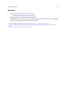## **Exercises:**

- Confirm your [source code for the last section](https://codesandbox.io/s/github/the-road-to-learn-react/hacker-stories/tree/hs/React-Controlled-Components)<sup>69</sup>.
	- Confirm the [changes from the last section](https://github.com/the-road-to-learn-react/hacker-stories/compare/hs/Lifting-State-in-React...hs/React-Controlled-Components?expand=1)<sup>70</sup>.
- Read more about controlled components in  $Reach^{71}$ .
- Experiment with console.log() in your React components and observe how your changes render, both initially and after the input field changes.

<span id="page-59-1"></span><span id="page-59-0"></span>⁶⁹<https://codesandbox.io/s/github/the-road-to-learn-react/hacker-stories/tree/hs/React-Controlled-Components> ⁷⁰[https://github.com/the-road-to-learn-react/hacker-stories/compare/hs/Lifting-State-in-React...hs/React-Controlled-Components?](https://github.com/the-road-to-learn-react/hacker-stories/compare/hs/Lifting-State-in-React...hs/React-Controlled-Components?expand=1) [expand=1](https://github.com/the-road-to-learn-react/hacker-stories/compare/hs/Lifting-State-in-React...hs/React-Controlled-Components?expand=1)

<span id="page-59-2"></span><sup>&</sup>lt;sup>71</sup><https://www.robinwieruch.de/react-controlled-components/>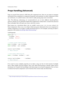# **Props Handling (Advanced)**

Props are passed from parent to child down the component tree. Since we use props to transport information from component to component frequently, and sometimes via other components which are in between, it is useful to know a few tricks to make passing props more convenient.

*Note: The following refactorings are recommended for you to learn different JavaScript/React patterns, though you can still build complete React applications without them. Consider this advanced React techniques that will make your source code more concise.*

React props are a JavaScript object, else we couldn't access props.list or props.onSearch in React components. Since props is an object which just passes information from one component to another component, we can apply a couple JavaScript tricks to it. For example, accessing an object's properties with modern [JavaScript object destructuring](https://developer.mozilla.org/en-US/docs/Web/JavaScript/Reference/Operators/Destructuring_assignment)<sup>72</sup>:

**Code Playground**

```
const user = {
  firstName: 'Robin',
  lastName: 'Wieruch',
};
// without object destructuring
const firstName = user.firstName;
const lastName = user.lastName;
console.log(firstName + ' ' + lastName);
// "Robin Wieruch"
// with object destructuring
const { firstName, lastName } = user;
console.log(firstName + ' ' + lastName);
// "Robin Wieruch"
```
If we need to access multiple properties of an object, using one line of code instead of multiple lines is often simpler and more elegant. That's why object destructuring is already widely used in JavaScript. Let's transfer this knowledge to the React props in our Search component. First, we have to refactor the Search component's arrow function from concise body into block body:

<span id="page-60-0"></span>⁷²[https://developer.mozilla.org/en-US/docs/Web/JavaScript/Reference/Operators/Destructuring\\_assignment](https://developer.mozilla.org/en-US/docs/Web/JavaScript/Reference/Operators/Destructuring_assignment)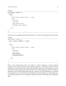```
const Search = props => {
  return (
    <div>
      <label htmlFor="search">Search: </label>
      <input
         id="search"
        type="text"
        value={props.search}
        onChange={props.onSearch}
      />
    \langle/div\rangle);
};
```
And second, we can apply the destructuring of the props object in the component's function body:

**src/App.js**

```
const Search = props => {
  const { search, onSearch } = props;
  return (
    <div>
      <label htmlFor="search">Search: </label>
      <input
        id="search"
        type="text"
        value={search}
        onChange={onSearch}
      />
    </div>
  );
};
```
That's a basic destructuring of the props object in a React component, so that the object's properties can be used conveniently in the component. However, we also had to refactor the Search component's arrow function from concise body into block body to access the properties of props with the object destructuring in the function's body. This would happen quite often if we followed this pattern, and it wouldn't make things easier for us, because we would constantly have to refactor our components. We can take all this one step further by destructuring the props object right away in the function signature of our component, omitting the function's block body of the component again: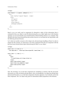```
const Search = ({ search, onSearch }) => (
  <div>
    <label htmlFor="search">Search: </label>
    <input
      id="search"
      type="text"
      value={search}
      onChange={onSearch}
    />
  \langle/div\rangle);
```
React's props are rarely used in components by themselves; rather, all the information that is contained in the props object is used. By destructuring the props object right away in the function signature, we can conveniently access all information without dealing with its props container. This should be the basic lesson learned from this section, however, we can take this one step further with the following advanced lessons.

Let's check out another scenario to dive deeper into advanced props handling in React: In order to prepare for this scenario, we will extract a new Item component from the List component with the previous lesson learned about object destructuring for React's props object:

**src/App.js**

```
const List = ({ list }) =>
  list.map(item => <Item key={item.objectID} item={item} />);
const Item = ({ item }) => (
  <div>
    <span>
      <a href={item.url}>{item.title}</a>
    </span>
    <span>{item.author}</span>
    <span>{item.num_comments}</span>
    <span>{item.points}</span>
  </div>
);
```
Now, the incoming item in the Item component has something in common with the previously discussed props: they are both JavaScript objects. Also, even though the item object has already been destructured from the props in the Item component's function signature, it isn't directly used in the Item component. The item object only passes its information (object properties) to the elements.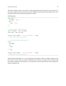The shown solution is fine as you will see in the ongoing discussion. However, I want to show you two more variations of it, because there are many things to learn about JavaScript objects here. Let's get started with *nested destructuring* and how it works:

**Code Playground**

```
const user = {
  firstName: 'Robin',
 pet: {
   name: 'Trixi',
 },
};
// without object destructuring
const firstName = user.firstName;
const name = user.pet.name;
console.log(firstName + ' has a pet called ' + name);
// "Robin has a pet called Trixi"
// with nested object destructuring
const {
 firstName,
 pet: {
   name,
 },
} = user;console.log(firstName + ' has a pet called ' + name);
// "Robin has a pet called Trixi"
```
Nested destructuring helps us to access properties from objects which are deeply nested (e.g. the pet's name of a user). Now, in our Item components, because the item object is never directly used in the Item component's JSX elements, we can perform a *nested destructuring* in the component's function signature too: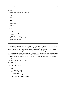```
// Variation 1: Nested Destructuring
const Item = ({}item: {
    title,
    url,
    author,
    num_comments,
    points,
  },
\}) \Rightarrow (<div>
    <span>
      <a href={url}>{title}</a>
    </span>
    <span>{author}</span>
    <span>{num_comments}</span>
    <span>{points}</span>
  </div>
);
```
The nested destructuring helps us to gather all the needed information of the item object in the function signature for its immediate usage in the component's elements. However, nested destructuring introduces lots of clutter through indentations in the function signature. While it's here not the most readable option, it can be useful in other scenarios though.

Let's take another approach with JavaScript's spread and rest operators. In order to prepare for it, we will refactor our List and Item components to the following implementation. Rather than passing the item as object from List to Item component, we are passing every property of the item object:

**src/App.js**

```
// Variation 2: Spread and Rest Operators
// 1. Iteration
const List = ({ list }) =>
  list.map(item => (
    <Item
      key={item.objectID}
      title={item.title}
      url={item.url}
      author={item.author}
      num_comments={item.num_comments}
```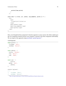```
points={item.points}
     />
  ));
const Item = ({ title, url, author, num_comments, points }) => (
   <div>
     <span>
        \langle a \nvert \nvert \text{ref} = \{ \text{url} \} \rangle \{ \text{title} \} \langle a \rangle</span>
      <span>{author}</span>
      <span>{num_comments}</span>
      <span>{points}</span>
   \langle/div\rangle);
```
Now, even though the Item component's function signature is more concise, the clutter ended up in the List component instead, because every property is passed to the Item component individually. We can improve this approach using [JavaScript's spread operator](https://developer.mozilla.org/en-US/docs/Web/JavaScript/Reference/Operators/Spread_syntax)<sup>73</sup>:

**Code Playground**

```
const profile = {
  firstName: 'Robin',
  lastName: 'Wieruch',
};
const address = {
 country: 'Germany',
 city: 'Berlin',
 code: '10439',
};
const user = {
  ...profile,
 gender: 'male',
  ...address,
};
console.log(user);
// {
// firstName: "Robin",
// lastName: "Wieruch",
```
<span id="page-65-0"></span>⁷³[https://developer.mozilla.org/en-US/docs/Web/JavaScript/Reference/Operators/Spread\\_syntax](https://developer.mozilla.org/en-US/docs/Web/JavaScript/Reference/Operators/Spread_syntax)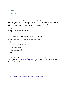#### Fundamentals of React 57

```
// gender: "male"
// country: "Germany,
// city: "Berlin",
// code: "10439"
// }
```
JavaScript's spread operator allows us to literally spread all key/value pairs of an object to another object. This can also be done in React's JSX. Instead of passing each property one at a time via props from List to Item component as before, we can use JavaScript's spread operator to pass all the object's key/value pairs as attribute/value pairs to a JSX element:

**src/App.js**

```
// Variation 2: Spread and Rest Operators
// 2. Iteration
const List = ({math> list }) =>
  list.map(item => <Item key={item.objectID} {...item} />);
const Item = ({ititle, url, author, num_comments, points }) => (<div>
     <span>
       \langle a \nvert \nvert \cdot \rangle \title}\langle a \rangle</span>
     <span>{author}</span>
     <span>{num_comments}</span>
     <span>{points}</span>
  \langle/div\rangle);
```
This refactoring made the process of passing the information from List to Item component more concise. Finally, we'll use [JavaScript's rest parameters](https://developer.mozilla.org/en-US/docs/Web/JavaScript/Reference/Functions/rest_parameters)<sup>74</sup> as the icing on the cake. The JavaScript rest operator happens always as the last part of an object destructuring:

<span id="page-66-0"></span>⁷⁴[https://developer.mozilla.org/en-US/docs/Web/JavaScript/Reference/Functions/rest\\_parameters](https://developer.mozilla.org/en-US/docs/Web/JavaScript/Reference/Functions/rest_parameters)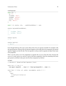**Code Playground**

```
const user = {
  id: '1',
  firstName: 'Robin',
  lastName: 'Wieruch',
 country: 'Germany',
 city: 'Berlin',
};
const { id, country, city, ...userWithoutAddress } = user;
console.log(userWithoutAddress);
// {
// firstName: "Robin",
// lastName: "Wieruch"
// }
console.log(id);
// "1"
console.log(city);
// "Berlin"
```
Even though both have the same syntax (three dots), the rest operator shouldn't be mistaken with the spread operator. Whereas the rest operator happens on the right side of an assignment, the spread operator happens on the left side. The rest operator is always used to separate an object from some of its properties.

Now it can be used in our List component to separate the objectID from the item, because the objectID is only used as key and isn't used in the Item component. Only the remaining (rest) item gets spread as attribute/value pairs into the Item component (as before):

**src/App.js**

```
// Variation 2: Spread and Rest Operators (final)
const List = ({ list }) =>
 list.map(({ objectID, ...item }) => <Item key={objectID} {...item} />);
const Item = ({ititle, url, author, num_comments, points }) => (<div>
    <span>
      <a href={url}>{title}</a>
    </span>
```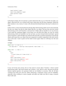```
<span>{author}</span>
    <span>{num_comments}</span>
    <span>{points}</span>
  </div>
);
```
In this final variation, the rest operator is used to destructure the objectID from the rest of the item object. Afterward, the item is spread with its key/values pairs into the Item component. While this final variation is very concise, it comes with advanced JavaScript features that may be unknown to some.

In this section, we have learned about JavaScript object destructuring which can be used commonly for the props object, but also for other objects like the item object. We have also seen how nested destructuring can be used (Variation 1), but also how it didn't add any benefits in our case, because it just made the component bigger. In the future you will find more likely use cases for nested destructuring which are beneficial. Last but not least, you have learned about JavaScript's spread and rest operators, which shouldn't be confused with each other, to perform operations on JavaScript objects and to pass the props object from one component to another component in the most concise way. In the end, I want to point out the initial version again which we will keep over the next chapters:

**src/App.js**

```
const List = ({ list }) =>
  list.map(item => <Item key={item.objectID} item={item} />);
const Item = ({item }) => (<div>
    <span>
       \langle a \nvert href={item.url} > {item.title} \langle a \rangle</span>
    <span>{item.author}</span>
    <span>{item.num_comments}</span>
    <span>{item.points}</span>
  \langle/div\rangle);
```
It may not be the most concise, but it is the easiest to reason about. Variation 1 with its nested destructuring didn't add much benefit and variation 2 may add too many advanced JavaScript features (spread operator, rest operator) which are not familiar to everyone. After all, all these variations have their pros and cons. When refactoring a component, always aim for readability, especially when working in a team of people, and make sure make sure they're using a common React code style.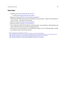### **Exercises:**

- Confirm your [source code for the last section](https://codesandbox.io/s/github/the-road-to-learn-react/hacker-stories/tree/hs/Props-Handling)<sup>75</sup>.
	- **–** Confirm the [changes from the last section](https://github.com/the-road-to-learn-react/hacker-stories/compare/hs/React-Controlled-Components...hs/Props-Handling?expand=1)<sup>76</sup>.
- Read more about [JavaScript's destructuring assignment](https://developer.mozilla.org/en-US/docs/Web/JavaScript/Reference/Operators/Destructuring_assignment)<sup>77</sup>.
- Think about the difference between JavaScript array destructuring which we used for React's useState hook – and object destructuring.
- Read more about [JavaScript's spread operator](https://developer.mozilla.org/en-US/docs/Web/JavaScript/Reference/Operators/Spread_syntax)<sup>78</sup>.
- Read more about [JavaScript's rest parameters](https://developer.mozilla.org/en-US/docs/Web/JavaScript/Reference/Functions/rest_parameters)<sup>79</sup>.
- Get a good sense about JavaScript (e.g. spread operator, rest parameters, destructuring) and what's related to React (e.g. props) from the last lessons.
- Continue to use your favorite way to handle React's props. If you're still undecided, consider the variation used in the previous section.

- <span id="page-69-2"></span>⁷⁷[https://developer.mozilla.org/en-US/docs/Web/JavaScript/Reference/Operators/Destructuring\\_assignment](https://developer.mozilla.org/en-US/docs/Web/JavaScript/Reference/Operators/Destructuring_assignment)
- <span id="page-69-3"></span>⁷⁸[https://developer.mozilla.org/en-US/docs/Web/JavaScript/Reference/Operators/Spread\\_syntax](https://developer.mozilla.org/en-US/docs/Web/JavaScript/Reference/Operators/Spread_syntax)

<span id="page-69-0"></span>⁷⁵<https://codesandbox.io/s/github/the-road-to-learn-react/hacker-stories/tree/hs/Props-Handling>

<span id="page-69-1"></span><sup>&</sup>lt;sup>76</sup><https://github.com/the-road-to-learn-react/hacker-stories/compare/hs/React-Controlled-Components...hs/Props-Handling?expand=1>

<span id="page-69-4"></span>⁷⁹[https://developer.mozilla.org/en-US/docs/Web/JavaScript/Reference/Functions/rest\\_parameters](https://developer.mozilla.org/en-US/docs/Web/JavaScript/Reference/Functions/rest_parameters)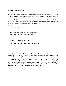Fundamentals of React 61

# **React Side-Effects**

Next we'll add a feature to our Search component in the form of another React hook. We'll make the Search component remember the most recent search interaction, so the application opens it in the browser whenever it restarts.

First, use the local storage of the browser to store the searchTerm accompanied by an identifier. Next, use the stored value, if there a value exists, to set the initial state of the searchTerm. Otherwise, the initial state defaults to our initial state (here "React") as before:

**src/App.js**

```
const App = () => {
  ...
 const [searchTerm, setSearchTerm] = React.useState(
    localStorage.getItem('search') || 'React'
 );
 const handleSearch = event => {
    setSearchTerm(event.target.value);
    localStorage.setItem('search', event.target.value);
 };
  ...
);
```
When using the input field and refreshing the browser tab, the browser should remember the latest search term. Using the local storage in React can be seen as a **side-effect** because we interact outside of React's domain by using the browser's API.

There is one flaw, though. The handler function should mostly be concerned about updating the state, but now it has a side-effect. If we use the setSearchTerm function elsewhere in our application, we will break the feature we implemented because we can't be sure the local storage will also get updated. Let's fix this by handling the side-effect at a dedicated place. We'll use **React's useEffect Hook** to trigger the side-effect each time the searchTerm changes: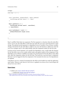```
const App = () => {
  ...
  const [searchTerm, setSearchTerm] = React.useState(
    localStorage.getItem('search') || 'React'
  );
  React.useEffect(() => {
    localStorage.setItem('search', searchTerm);
  }, [searchTerm]);
  const handleSearch = event => {
    setSearchTerm(event.target.value);
  };
  ...
);
```
React's useEffect Hook takes two arguments: The first argument is a function where the side-effect occurs. In our case, the side-effect is when the user types the searchTerm into the browser's local storage. The optional second argument is a dependency array of variables. If one of theses variables changes, the function for the side-effect is called. In our case, the function is called every time the searchTerm changes; and it's also called initially when the component renders for the first time.

Leaving out the second argument, to be specific the dependency array, would make the function for the side-effect run on every render (initial render and update renders) of the component. If the dependency array of React's useEffect is an empty array, the function for the side-effect is only called once, after the component renders for the first time. The hook lets us opt into React's component lifecycle. It can be triggered when the component is first mounted, but also one of its dependencies are updated.

Using React useEffect instead of managing the side-effect in the handler has made the application more robust. *Whenever* and *wherever* searchTerm is updated via setSearchTerm, local storage will always be in sync with it.

## **Exercises:**

- Confirm your [source code for the last section](https://codesandbox.io/s/github/the-road-to-learn-react/hacker-stories/tree/hs/React-Side-Effects)<sup>80</sup>.
	- Confirm the [changes from the last section](https://github.com/the-road-to-learn-react/hacker-stories/compare/hs/Props-Handling...hs/React-Side-Effects?expand=1)<sup>81</sup>.

<span id="page-71-0"></span>⁸⁰<https://codesandbox.io/s/github/the-road-to-learn-react/hacker-stories/tree/hs/React-Side-Effects>

<span id="page-71-1"></span><sup>&</sup>lt;sup>81</sup><https://github.com/the-road-to-learn-react/hacker-stories/compare/hs/Props-Handling...hs/React-Side-Effects?expand=1>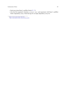- •Read more about React's useEffect Hook  $(0^{82}, 1^{83})$  $(0^{82}, 1^{83})$  $(0^{82}, 1^{83})$  $(0^{82}, 1^{83})$  $(0^{82}, 1^{83})$ .
- Give the first argument's function a console.log() and experiment with React's useEffect Hook's dependency array. Check the logs for an empty dependency array too.

<span id="page-72-1"></span><span id="page-72-0"></span>⁸²<https://reactjs.org/docs/hooks-effect.html> <sup>83</sup><https://reactjs.org/docs/hooks-reference.html#useeffect>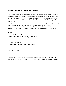## **React Custom Hooks (Advanced)**

Thus far we've covered the two most popular hooks in React: useState and useEffect. useState is used to make your application interactive; useEffect is used to opt into the lifecycle of your components.

We'll eventually cover more hooks that come with React – in this volume and in other resources – though we won't cover all of them here. Next we'll tackle **React custom Hooks**; that is, building a hook yourself.

We will use the two hooks we already possess to create a new custom hook called useSemiPersistentState, named as such because it manages state yet synchronizes with the local storage. It's not fully persistent because clearing the local storage of the browser deletes relevant data for this application. Start by extracting all relevant implementation details from the App component into this new custom hook:

**src/App.js**

```
const useSemiPersistentState = () => {
 const [searchTerm, setSearchTerm] = React.useState(
    localStorage.getItem('search') || ''
 );
 React.useEffect(() => {
    localStorage.setItem('search', searchTerm);
 }, [searchTerm]);
};
const App = () => {
...
};
```
So far, it's just a function around our previously in the App component used useState and useEffect hooks. Before we can use it, let's return the values that are needed in our App component from this custom hook: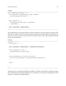```
const useSemiPersistentState = () => {
 const [searchTerm, setSearchTerm] = React.useState(
    localStorage.getItem('search') || ''
 );
 React.useEffect() => {
    localStorage.setItem('search', searchTerm);
 }, [searchTerm]);
 return [searchTerm, setSearchTerm];
};
```
We are following two conventions of React's built-in hooks here. First, the naming convention which puts the "use" prefix in front of every hook name; second, the returned values are returned as an array. Now we can use the custom hook with its returned values in the App component with the usual array destructuring:

#### **src/App.js**

```
const App = () \Rightarrow {
 const stories = [ ... ];
 const [searchTerm, setSearchTerm] = useSemiPersistentState();
  const handleSearch = event => {
    setSearchTerm(event.target.value);
  };
  const searchedStories = stories.filter(story =>
    story.title.toLowerCase().includes(searchTerm.toLowerCase())
  );
  return (
    ...
  );
};
```
Another goal of a custom hook should be reusability. All of this custom hook's internals are about the search domain, but the hook should be for a value that's set in state and synchronized in local storage. Let's adjust the naming therefore: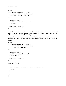**src/App.js**

```
const useSemiPersistentState = () => {
 const [value, setValue] = React.useState(
    localStorage.getItem('value') || ''
 );
 React.useEffect() => {
    localStorage.setItem('value', value);
 }, [value]);
 return [value, setValue];
};
```
We handle an abstracted "value" within the custom hook. Using it in the App component, we can name the returned current state and state updater function anything domain-related (e.g. searchTerm and setSearchTerm) with array destructuring.

There is still one problem with this custom hook. Using the custom hook more than once in a React application leads to an overwrite of the "value"-allocated item in the local storage. To fix this, pass in a key:

```
const useSemiPersistentState = key => {
 const [value, setValue] = React.useState(
    localStorage.getItem(key) || ''
 );
 React.useEffect() => {
    localStorage.setItem(key, value);
  }, [value, key]);
 return [value, setValue];
};
const App = () => {
  ...
  const [searchTerm, setSearchTerm] = useSemiPersistentState(
    'search'
  );
  ...
};
```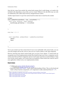Since the key comes from outside, the custom hook assumes that it could change, so it needs to be included in the dependency array of the useEffect hook. Without it, the side-effect may run with an outdated key (also called *stale*) if the key changed between renders.

Another improvement is to give the custom hook the initial state we had from the outside:

**src/App.js**

```
const useSemiPersistentState = (key, initialState) => {
  const [value, setValue] = React.useState(
    localStorage.getItem(key) || initialState
  );
  ...
};
const App = () => {
  ...
  const [searchTerm, setSearchTerm] = useSemiPersistentState(
    'search',
    'React'
  );
  ...
};
```
You've just created your first custom hook. If you're not comfortable with custom hooks, you can revert the changes and use the useState and useEffect hook as before, in the App component.

However, knowing more about custom hooks gives you lots of new options. A custom hook can encapsulate non-trivial implementation details that should be kept away from a component; can be used in more than one React component; and can even be open-sourced as an external library. Using your favorite search engine, you'll notice there are hundreds of React hooks that could be used in your application without worry over implementation details.

### **Exercises:**

- Confirm your [source code for the last section](https://codesandbox.io/s/github/the-road-to-learn-react/hacker-stories/tree/hs/React-Custom-Hooks)<sup>84</sup>. – Confirm the [changes from the last section](https://github.com/the-road-to-learn-react/hacker-stories/compare/hs/React-Side-Effects...hs/React-Custom-Hooks?expand=1)<sup>85</sup>.
- Read more about [React Hooks](https://www.robinwieruch.de/react-hooks)<sup>86</sup> to get a good understanding of them. They are the bread and butter in React function components, so it's important to really understand them  $(0^{87}, 1^{88})$  $(0^{87}, 1^{88})$  $(0^{87}, 1^{88})$ .

<span id="page-76-2"></span><span id="page-76-1"></span>⁸⁵<https://github.com/the-road-to-learn-react/hacker-stories/compare/hs/React-Side-Effects...hs/React-Custom-Hooks?expand=1> ⁸⁶<https://www.robinwieruch.de/react-hooks>

<span id="page-76-0"></span>⁸⁴<https://codesandbox.io/s/github/the-road-to-learn-react/hacker-stories/tree/hs/React-Custom-Hooks>

<span id="page-76-3"></span>⁸⁷<https://reactjs.org/docs/hooks-overview.html>

<span id="page-76-4"></span>⁸⁸<https://reactjs.org/docs/hooks-custom.html>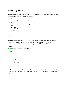## **React Fragments**

One caveat with JSX, especially when we create a dedicated Search component, is that we must introduce a wrapping HTML element to render it:

**src/App.js**

```
const Search = ({ search, onSearch }) => (<div>
    <label htmlFor="search">Search: </label>
    <input
      id="search"
      type="text"
      value={search}
      onChange={onSearch}
    />
  </div>
);
```
Normally the JSX returned by a React component needs only one wrapping top-level element. To render multiple top-level elements side-by-side, we have to wrap them into an array instead. Since we're working with a list of elements, we have to give every sibling element React's key attribute:

**src/App.js**

```
const Search = ({ search, onSearch }) => [
  <label key="1" htmlFor="search">
    Search: {' ' }
  \langle/label>,
  <input
    key="2"
    id="search"
    type="text"
    value={search}
    onChange={onSearch}
  /,
];
```
This is one way to have multiple top-level elements in your JSX. It doesn't turn out very readable, though, as it becomes verbose with the additional key attribute. Another solution is to use a **React fragment**: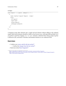```
const Search = ({ search, onSearch }) => (<>
    <label htmlFor="search">Search: </label>
    <input
      id="search"
      type="text"
      value={search}
      onChange={onSearch}
    />
  </>
);
```
A fragment wraps other elements into a single top-level element without adding to the rendered output. Both Search elements should be visible in your browser now, with input field and label. So if you prefer to omit the wrapping <div> or <span> elements, substitute them with an empty tag that is allowed in JSX, and doesn't introduce intermediate elements in our rendered HTML.

### **Exercises:**

- Confirm your [source code for the last section](https://codesandbox.io/s/github/the-road-to-learn-react/hacker-stories/tree/hs/React-Fragments)<sup>89</sup>.
	- **–** Confirm the [changes from the last section](https://github.com/the-road-to-learn-react/hacker-stories/compare/hs/React-Custom-Hooks...hs/React-Fragments?expand=1)<sup>90</sup>.
- Read more about [React fragments](https://reactjs.org/docs/fragments.html)<sup>91</sup>.

<span id="page-78-0"></span>⁸⁹<https://codesandbox.io/s/github/the-road-to-learn-react/hacker-stories/tree/hs/React-Fragments>

<span id="page-78-2"></span><span id="page-78-1"></span>⁹⁰<https://github.com/the-road-to-learn-react/hacker-stories/compare/hs/React-Custom-Hooks...hs/React-Fragments?expand=1> <sup>91</sup><https://reactjs.org/docs/fragments.html>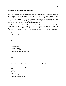## **Reusable React Component**

Have a closer look at the Search component. The label element has the text "Search: "; the id/htmlFor attributes have the search identifier; the value is called search; and the callback handler is called onSearch. The component is very much tied to the search feature, which makes it less reusable for the rest of the application and non search-related tasks. It also risks introducing bugs if two of these Search components are rendered side by side, because the htmlFor/id combination is duplicated, breaking the focus when one of the labels is clicked by the user.

Since the Search component doesn't have any actual "search" functionality, it takes little effort to generalize other search domain properties to make the component reusable for the rest of the application. Let's pass an additional id and label prop to the Search component, rename the actual value and callback handler to something more abstract, and rename the component accordingly:

```
const App = () => {
  ...
  return (
    <div>
      <h1>My Hacker Stories</h1>
      <InputWithLabel
        id="search"
        label="Search"
        value={searchTerm}
        onInputChange={handleSearch}
      />
      ...
    </div>
  );
};
const InputWithLabel = ({ id, label, value, onInputChange }) => (
  \leftrightarrow<label htmlFor={id}>{label}</label>
     
    <input
      id={id}
      type="text"
      value={value}
      onChange={onInputChange}
```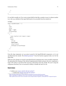/>  $\langle$ /> );

It's not fully reusable yet. If we want an input field for data like a number (number) or phone number (tel), the type attribute of the input field needs to be accessible from the outside too:

**src/App.js**

```
const InputWithLabel = ({
  id,
  label,
  value,
  type = 'text',
  onInputChange,
\}) \Rightarrow (\langle \rangle<label htmlFor={id}>{label}</label>
     
     <input
       id = \{id\}type={type}
       value={value}
       onChange={onInputChange}
    />
  \langle/>
);
```
From the App component, no type prop is passed to the InputWithLabel component, so it is not specified from the outside. The [default parameter](https://developer.mozilla.org/en-US/docs/Web/JavaScript/Reference/Functions/Default_parameters)<sup>92</sup> from the function signature takes over for the input field.

With just a few changes we turned a specialized Search component into a more reusable component. We generalized the naming of the internal implementation details and gave the new component a larger API surface to provide all the necessary information from the outside. We aren't using the component elsewhere, but we increased its ability to handle the task if we do.

### **Exercises:**

- Confirm your [source code for the last section](https://codesandbox.io/s/github/the-road-to-learn-react/hacker-stories/tree/hs/Reusable-React-Component)<sup>93</sup>.
	- **–** Confirm the [changes from the last section](https://github.com/the-road-to-learn-react/hacker-stories/compare/hs/React-Fragments...hs/Reusable-React-Component?expand=1)<sup>94</sup>.

<span id="page-80-0"></span><sup>&</sup>lt;sup>92</sup>[https://developer.mozilla.org/en-US/docs/Web/JavaScript/Reference/Functions/Default\\_parameters](https://developer.mozilla.org/en-US/docs/Web/JavaScript/Reference/Functions/Default_parameters)

<span id="page-80-1"></span>⁹³<https://codesandbox.io/s/github/the-road-to-learn-react/hacker-stories/tree/hs/Reusable-React-Component>

<span id="page-80-2"></span>⁹⁴<https://github.com/the-road-to-learn-react/hacker-stories/compare/hs/React-Fragments...hs/Reusable-React-Component?expand=1>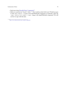- Read more about [Reusable React Components](https://www.robinwieruch.de/react-reusable-components)<sup>95</sup>.
- Before we used the text "Search:" with a ":". How would you deal with it now? Would you pass it with label="Search:" as prop to the InputWithLabel component or hardcode it after the <label htmlFor={id}>{label}:</label> usage in the InputWithLabel component? We will see how to cope with this later.

<span id="page-81-0"></span>⁹⁵<https://www.robinwieruch.de/react-reusable-components>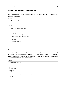## **React Component Composition**

Now we'll discover how to use a React element in the same fashion as an HTML element, with an opening and closing tag:

**src/App.js**

```
const App = () => {
  ...
 return (
    <div>
      <h1>My Hacker Stories</h1>
      <InputWithLabel
        id="search"
        value={searchTerm}
        onInputChange={handleSearch}
      >
        Search
      </InputWithLabel>
      ...
    </div>
  );
};
```
Instead of using the label prop from before, we inserted the text "Search:" between the component's element's tags. In the InputWithLabel component, you have access to this information via **React's children** prop. Instead of using the label prop, use the children prop to render everything that has been passed down from above where you want it:

```
const InputWithLabel = ({
  id,
  value,
  type = 'text',
  onInputChange,
  children,
\}) \Rightarrow (\langle \rangle<label htmlFor={id}>{children}</label>
```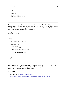```
<input
       id = {id}type={type}
       value={value}
       onChange={onInputChange}
    />
  \langle/>
);
```
Now the React component's elements behave similar to native HTML. Everything that's passed between a component's elements can be accessed as children in the component and be rendered somewhere. Sometimes when using a React component, you want to have more freedom from the outside what to render in the inside of a component:

```
src/App.js
```

```
const App = ( ) => {
  ...
  return (
    <div>
       <h1>My Hacker Stories</h1>
       <InputWithLabel
         id="search"
         value={searchTerm}
         onInputChange={handleSearch}
      >
         <strong>Search:</strong>
       </InputWithLabel>
       ...
    \langle/div\rangle);
};
```
With this React feature, we can compose React components into each other. We've used it with a JavaScript string and with a string wrapped in an HTML <strong> element, but it doesn't end here. You can pass components via React children as well.

### **Exercises:**

• Confirm your [source code for the last section](https://codesandbox.io/s/github/the-road-to-learn-react/hacker-stories/tree/hs/React-Component-Composition)<sup>96</sup>.

<span id="page-83-0"></span>⁹⁶<https://codesandbox.io/s/github/the-road-to-learn-react/hacker-stories/tree/hs/React-Component-Composition>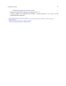- Confirm the [changes from the last section](https://github.com/the-road-to-learn-react/hacker-stories/compare/hs/Reusable-React-Component...hs/React-Component-Composition?expand=1)<sup>97</sup>.
- •Read more about React Component Composition  $(0^{98}, 1^{99})$  $(0^{98}, 1^{99})$  $(0^{98}, 1^{99})$  $(0^{98}, 1^{99})$  $(0^{98}, 1^{99})$ .
- Create a simple text component that renders a string and passes it as children to the InputWithLabel component.

<span id="page-84-0"></span>⁹⁷[https://github.com/the-road-to-learn-react/hacker-stories/compare/hs/Reusable-React-Component...hs/React-Component-](https://github.com/the-road-to-learn-react/hacker-stories/compare/hs/Reusable-React-Component...hs/React-Component-Composition?expand=1)[Composition?expand=1](https://github.com/the-road-to-learn-react/hacker-stories/compare/hs/Reusable-React-Component...hs/React-Component-Composition?expand=1)

<span id="page-84-2"></span><span id="page-84-1"></span><sup>&</sup>lt;sup>98</sup><https://www.robinwieruch.de/react-component-composition>  $^{\rm 99}$ <https://reactjs.org/docs/composition-vs-inheritance.html>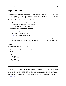# **Imperative React**

React is inherently declarative, starting with JSX and ending with hooks. In JSX, we tell React *what* to render and not *how* to render it. In a React side-effect Hook (useEffect), we express when to achieve *what* instead of *how* to achieve it. Sometimes, however, we'll want to access the rendered elements of JSX imperatively, in cases such as these:

- read/write access to elements via the DOM API:
	- **–** measure (read) an element's width or height
	- **–** setting (write) an input field's focus state
- implementation of more complex animations:
	- **–** setting transitions
	- **–** orchestrating transitions
- integration of third-party libraries:
	- [D3](https://d3js.org/)<sup>100</sup> is a popular imperative chart library

Because imperative programming in React is often verbose and counterintuitive, we'll walk only through a small example for setting the focus of an input field imperatively. For the declarative way, simply set the input field's autofocus attribute:

**src/App.js**

```
const InputWithLabel = ({\{ \ldots \}}) => (\langle \rangle<label htmlFor={id}>{children}</label>
     
    <input
       id = \{id\}type={type}
       value={value}
       autoFocus
       onChange={onInputChange}
    />
  \langle/>
);
```
This works, but only if one of the reusable components is rendered once. For example, if the App component renders two InputWithLabel components, only the last rendered component receives the auto-focus on its render. However, since we have a reusable React component here, we can pass a dedicated prop and let the developer decide whether its input field should have an autofocus or not:

<span id="page-85-0"></span><sup>100&</sup>lt;sub><https://d3js.org/></sub>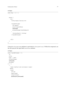```
const App = () => {
  ...
  return (
    <div>
      <h1>My Hacker Stories</h1>
      <InputWithLabel
        id="search"
        value={searchTerm}
        isFocused
        onInputChange={handleSearch}
      \rightarrow<strong>Search: </strong>
      </InputWithLabel>
      ...
    </div>
  );
};
```
Using just isFocused as an attribute is equivalent to isFocused={true}. Within the component, use the new prop for the input field's autoFocus attribute:

```
\overline{\text{const}} InputWithLabel = ({
  id,
  value,
  type = 'text',
  onInputChange,
  isFocused,
  children,
\}) => (
  \leftrightarrow<label htmlFor={id}>{children}</label>
     
    <input
       id = \{id\}type={type}
       value={value}
       autoFocus={isFocused}
```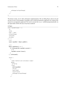```
onChange={onInputChange}
     />
  \langle/>
);
```
The feature works, yet it's still a declarative implementation. We are telling React *what* to do and not *how* to do it. Even though it's possible to do it with the declarative approach, let's refactor this scenario to an imperative approach. We want to execute the focus() method programmatically via the input field's DOM API once it has been rendered:

```
src/App.js
```

```
const InputWithLabel = ({
  id,
  value,
  type = 'text',
  onInputChange,
  isFocused,
  children,
\}) \Rightarrow// A
  const inputRef = React.useRef();
  // C
  React.useEffect(() => {
    if (isFocused && inputRef.current) {
      // D
      inputRef.current.focus();
    }
  }, [isFocused]);
  return (
    \langle \rangle<label htmlFor={id}>{children}</label>
       
       {/* B */}
      <input
        ref={inputRef}
        id = {id}type={type}
        value={value}
        onChange={onInputChange}
      />
    \langle/>
```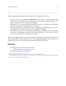All the essential steps are marked with comments that are explained step by step:

- (A) First, create a ref with **React's useRef hook**. This ref object is a persistent value which stays intact over the lifetime of a React component. It comes with a property called current, which, in contrast to the ref object, can be changed.
- (B) Second, the ref is passed to the input field's JSX-reserved ref attribute and the element instance is assigned to the changeable current property.
- (C) Third, opt into React's lifecycle with React's useEffect Hook, performing the focus on the input field when the component renders (or its dependencies change).
- (D) And fourth, since the ref is passed to the input field's ref attribute, its current property gives access to the element. Execute its focus programmatically as a side-effect, but only if isFocused is set and the current property is existent.

This was an example of how to move from declarative to imperative programming in React. It's not always possible to go the declarative way, so the imperative approach can be whenever it's necessary. This lesson is for the sake of learning about the DOM API in React.

### **Exercises:**

[1](https://github.com/the-road-to-learn-react/hacker-stories/compare/hs/React-Component-Composition...hs/Imperative-React?expand=1)

- Confirm your [source code for the last section](https://codesandbox.io/s/github/the-road-to-learn-react/hacker-stories/tree/hs/Imperative-React)<sup>101</sup>.
	- $-$  Confirm the [changes from the last section](https://github.com/the-road-to-learn-react/hacker-stories/compare/hs/React-Component-Composition...hs/Imperative-React?expand=1)<sup>102</sup>.
- Read more about [React's useRef Hook](https://reactjs.org/docs/hooks-reference.html#useref)<sup>103</sup>.

<span id="page-88-1"></span><span id="page-88-0"></span><sup>101</sup><https://codesandbox.io/s/github/the-road-to-learn-react/hacker-stories/tree/hs/Imperative-React> 102[https://github.com/the-road-to-learn-react/hacker-stories/compare/hs/React-Component-Composition...hs/Imperative-React?expand=](https://github.com/the-road-to-learn-react/hacker-stories/compare/hs/React-Component-Composition...hs/Imperative-React?expand=1)

<span id="page-88-2"></span> $^{103}\mathrm{https://reactjs.org/docs/hooks-reference.html\#useref}$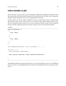## **Inline Handler in JSX**

The list of stories we have so far is only an unstateful variable. We can filter the rendered list with the search feature, but the list itself stays intact if we remove the filter. The filter is just a temporary change through a third party, but we can't manipulate the real list yet.

To gain control over the list, make it stateful by using it as initial state in React's useState Hook. The returned values are the current state (stories) and the state updater function (setStories). We aren't using the custom useSemiPersistentState hook yet, because we don't want to open the browser with the cached list each time. Instead, we always want to start with the initial list.

**src/App.js**

```
const initialStories = [
  {
    title: 'React',
    ...
  },
  {
   title: 'Redux',
    ...
 },
];
const useSemiPersistentState = (key, initialState) => \{ \ldots \};
const App = () => {
  const [searchTerm, setSearchTerm] = ...
 const [stories, setStories] = React.useState(initialStories);
  ...
};
```
The application behaves the same because the stories, now returned from useState, are still filtered into searchedStories and displayed in the List. Next we'll manipulate the list by removing an item from it: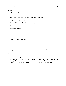```
const App = () => {
  ...
  const [stories, setStories] = React.useState(initialStories);
  const handleRemoveStory = item => {
    const newStories = stories.filter(
      story => item.objectID !== story.objectID
    );
    setStories(newStories);
  };
  ...
  return (
    <div>
      <h1>My Hacker Stories</h1>
      ...
      \langlehr />
      <List list={searchedStories} onRemoveItem={handleRemoveStory} />
    </div>
  );
};
```
The callback handler in the App component receives an item to be removed as an argument, and filters the current stories based on this information by removing all items that don't meet its condition(s). The returned stories are then set as new state, and the List component passes the function to its child component. It's not using this new information; it's just passing it on: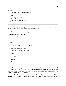**src/App.js**

```
const List = ({ list, onRemoveItem }) =>
  listmap(item \Rightarrow (<Item
      key={item.objectID}
      item={item}
      onRemoveItem={onRemoveItem}
    />
  ));
```
Finally, we can use the incoming function in another handler in the Item component to pass the item to it. A button element is used to trigger the actual event:

**src/App.js**

```
const Item = ({ item, onRemoveItem }) => {
  const handleRemoveItem = () => {
    onRemoveItem(item);
  };
  return (
    <div>
       <span>
         \langle a \nvert \nvert = \{item, url\} \rangle \{item.title\} \langle a \rangle</span>
       <span>{item.author}</span>
       <span>{item.num_comments}</span>
       <span>{item.points}</span>
       <span>
         <button type="button" onClick={handleRemoveItem}>
           Dismiss
         </button>
       </span>
     </div>
  );
};
```
We could have passed only the item's objectID, since that's all we need in the App component's callback handler, but we aren't sure what information the handler might need later. It may need more than an identifier to remove an item. If we call the handler onRemoveItem, it should be the item being passed, not just its identifier.

We have made the list of stories stateful with React's useState Hook; passed the still searched stories down as props to the List component; and implemented a callback handler (handleRemoveStory)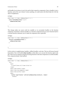and handler (handleRemoveItem) to be used in their respective components. Since a handler is just a function, and in this case it doesn't return anything, we could remove the block body for it for the sake of completeness.

**src/App.js**

```
const Item = ({item, onRemoveItem }) => {
 const handleRemoveItem = () =>
    onRemoveItem(item);
  ...
};
```
This change makes our source code less readable as we accumulate handlers in the function component. Sometimes I refactor handlers in a function component from an arrow function back to a normal function statement, just to make the component more explorable:

**src/App.js**

```
const Item = ({item, onRemoveItem }) => {
  function handleRemoveItem() {
    onRemoveItem(item);
  }
  ...
};
```
In this section we applied props, handlers, callback handlers, and state. That are all lessons learned from before. Now we'll tackle **inline handlers**, which allow us to execute the function right in the JSX. There are two solutions using the incoming function in the Item component as an inline handler. First, using JavaScript's bind method:

```
const Item = ({item, onRemoveItem }) => (<div>
    <span>
      \langle a \nvert href={item.url}>{item.title}\langle a \rangle</span>
    <span>{item.author}</span>
    <span>{item.num_comments}</span>
    <span>{item.points}</span>
    <span>
      <button type="button" onClick={onRemoveItem.bind(null, item)}>
        Dismiss
```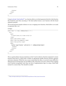```
</button>
    </span>
  </div>
);
```
Using [JavaScript's bind method](https://developer.mozilla.org/en-US/docs/Web/JavaScript/Reference/Global_objects/Function/bind)<sup>104</sup> on a function allows us to bind arguments directly to that function that should be used when executing it. The bind method returns a new function with the bound argument attached.

The second and more popular solution is to use a wrapping arrow function, which allows us to sneak in arguments like item:

**src/App.js**

```
const Item = ({item, onRemoveItem }) => (<div>
     <span>
        \langle a \nvert \nvert = \{ \text{item}.\text{url} \} \rangle \{ \text{item}.\text{title} \} \langle a \rangle</span>
     <span>{item.author}</span>
     <span>{item.num_comments}</span>
     <span>{item.points}</span>
     <span>
        <button type="button" onClick={() => onRemoveItem(item)}>
          Dismiss
        </button>
     </span>
  \langle/div\rangle);
```
This is a quick solution, because sometimes we don't want to refactor a function component's concise function body back to a block body to define an appropriate handler between function signature and return statement. While this way is more concise than the others, it can also be more difficult to debug because JavaScript logic may be hidden in JSX. It becomes even more verbose if the wrapping arrow function encapsulates more than one line of implementation logic, by using a block body instead of a concise body. This should be avoided:

<span id="page-93-0"></span> $^{104}\rm{https://development.mozilla.org/en-US/docs/Web/JavaScript/Reference/Global_obiects/Function/bind}$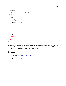#### **Code Playground**

```
const Item = ({ item, onRemoveItem }) => (
  <div>
    ...
    <span>
       <button
         type="button"
         onClick={() => {
           // do something else
           // note: avoid using complex logic in JSX
           onRemoveItem(item);
         }}
       \rightarrowDismiss
       </button>
    </span>
  \langle/div\rangle);
```
All three handler versions, two of which are inline and the normal handler, are acceptable. The noninlined handler moves the implementation details into the function component's block body; the inline handler move the implementation details into the JSX.

### **Exercises:**

- Confirm your [source code for the last section](https://codesandbox.io/s/github/the-road-to-learn-react/hacker-stories/tree/hs/Inline-Handler-in-JSX) $105$ .
	- Confirm the [changes from the last section](https://github.com/the-road-to-learn-react/hacker-stories/compare/hs/Imperative-React...hs/Inline-Handler-in-JSX?expand=1)<sup>106</sup>.
- Review handlers, callback handlers, and inline handlers.

<span id="page-94-0"></span> $^{105}\rm{https://codesandbox.io/s/github/the-road-to-learn-react/hacker- stories/tree/hs/Inline-Hander-in-JSX}$ 

<span id="page-94-1"></span><sup>106</sup><https://github.com/the-road-to-learn-react/hacker-stories/compare/hs/Imperative-React...hs/Inline-Handler-in-JSX?expand=1>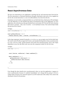## **React Asynchronous Data**

We have two interactions in our application: searching the list, and removing items from the list. The first interaction is a fluctuant interference through a third-party state (searchTerm) applied on the list; the second interaction is a non-reversible deletion of an item from the list.

Sometimes we must render a component before we can fetch data from a third-party API and display it. In the following, we will simulate this kind of asynchronous data in the application. In a live application, this asynchronous data gets fetched from a real remote API. We start off with a function that returns a promise – data, once it resolves – in its shorthand version. The resolved object holds the previous list of stories:

```
src/App.js
```

```
const initialStories = [ ... ];
const getAsyncStories = () =>
 Promise.resolve({ data: { stories: initialStories } });
```
In the App component, instead of using the initialStories, use an empty array for the initial state. We want to start off with an empty list of stories, and simulate fetching these stories asynchronously. In a new useEffect hook, call the function and resolve the returned promise. Due to the empty dependency array, the side-effect only runs once the component renders for the first time:

**src/App.js**

```
const App = () \Rightarrow {
  ...
  const [stories, setStories] = React.useState([]);
  React.useEffect(() => {
    getAsyncStories().then(result => {
      setStories(result.data.stories);
    });
  }, []);
  ...
};
```
Even though the data should arrive asynchronously when we start the application, it appears to arrive synchronously, because it's rendered immediately. Let's change this by giving it a bit of a realistic delay, because every network request to an API would come with a delay. First, remove the shorthand version for the promise: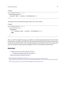#### **src/App.js**

```
const getAsyncStories = () =>
 new Promise(resolve =>
    resolve({ data: { stories: initialStories } })
 );
```
And second, when resolving the promise, delay it for a few seconds:

**src/App.js**

```
const getAsyncStories = () =>
  new Promise(resolve =>
    setTimeout(
      () => resolve({ data: { stories: initialStories } }),
      2000
    )
  );
```
Once you start the application again, you should see a delayed rendering of the list. The initial state for the stories is an empty array. After the App component rendered, the side-effect hook runs once to fetch the asynchronous data. After resolving the promise and setting the data in the component's state, the component renders again and displays the list of asynchronously loaded stories.

### **Exercises:**

[1](https://github.com/the-road-to-learn-react/hacker-stories/compare/hs/Inline-Handler-in-JSX...hs/React-Asynchronous-Data?expand=1)

- Confirm your [source code for the last section](https://codesandbox.io/s/github/the-road-to-learn-react/hacker-stories/tree/hs/React-Asynchronous-Data)<sup>107</sup>.
	- Confirm the [changes from the last section](https://github.com/the-road-to-learn-react/hacker-stories/compare/hs/Inline-Handler-in-JSX...hs/React-Asynchronous-Data?expand=1)<sup>108</sup>.
- Read more about [JavaScript Promises](https://developer.mozilla.org/en-US/docs/Web/JavaScript/Reference/Global_Objects/Promise)<sup>109</sup>.

<span id="page-96-0"></span><sup>107</sup><https://codesandbox.io/s/github/the-road-to-learn-react/hacker-stories/tree/hs/React-Asynchronous-Data>

<span id="page-96-1"></span><sup>108</sup>[https://github.com/the-road-to-learn-react/hacker-stories/compare/hs/Inline-Handler-in-JSX...hs/React-Asynchronous-Data?expand=](https://github.com/the-road-to-learn-react/hacker-stories/compare/hs/Inline-Handler-in-JSX...hs/React-Asynchronous-Data?expand=1)

<span id="page-96-2"></span><sup>109</sup>[https://developer.mozilla.org/en-US/docs/Web/JavaScript/Reference/Global\\_Objects/Promise](https://developer.mozilla.org/en-US/docs/Web/JavaScript/Reference/Global_Objects/Promise)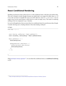## **React Conditional Rendering**

Handling asynchronous data in React leaves us with conditional states: with data and without data. This case is already covered, though, because our initial state is an empty list rather than null. If it was null, we'd have to handle this issue in our JSX. However, since it's [], we filter() over an empty array for the search feature, which leaves us with an empty array. This leads to rendering nothing in the List component's map() function.

In a real world application, there are more than two conditional states for asynchronous data, though. Consider showing users a loading indicator when data loading is delayed:

**src/App.js**

```
const App = () \Rightarrow {
  ...
  const [stories, setStories] = React.useState([]);
  const [isLoading, setIsLoading] = React.useState(false);
  React.useEffect() => {
    setIsLoading(true);
    getAsyncStories().then(result => {
      setStories(result.data.stories);
      setIsLoading(false);
    });
  }, []);
  ...
```
};

With [JavaScript's ternary operator](https://developer.mozilla.org/en-US/docs/Web/JavaScript/Reference/Operators/Conditional_Operator)<sup>110</sup>, we can inline this conditional state as a **conditional rendering** in JSX:

<span id="page-97-0"></span><sup>110</sup>[https://developer.mozilla.org/en-US/docs/Web/JavaScript/Reference/Operators/Conditional\\_Operator](https://developer.mozilla.org/en-US/docs/Web/JavaScript/Reference/Operators/Conditional_Operator)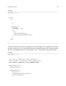```
const App = () => {
  ...
  return (
    <div>
       ...
       \langlehr />
       {isLoading ? (
         <p>Loading ...</p>
       ) : (
         <List
            list={searchedStories}
           onRemoveItem={handleRemoveStory}
         />
       )}
     \langle/div\rangle);
};
```
Asynchronous data comes with error handling, too. It doesn't happen in our simulated environment, but there could be errors if we start fetching data from another third-party API. Introduce another state for error handling and solve it in the promise's catch() block when resolving the promise:

```
src/App.js
```

```
const App = () => {
  ...
  const [stories, setStories] = React.useState([]);
  const [isLoading, setIsLoading] = React.useState(false);
  const [isError, setIsError] = React.useState(false);
  React.useEffect() => {
    setIsLoading(true);
    getAsyncStories()
      .then(result \Rightarrow {
        setStories(result.data.stories);
        setIsLoading(false);
      })
```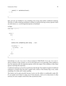```
.catch(() => setIsError(true));
 }, []);
  ...
};
```
Next, give the user feedback in case something went wrong with another conditional rendering. This time, it's either rendering something or nothing. So instead of having a ternary operator where one side returns null, use the logical && operator as shorthand:

**src/App.js**

```
const App = () => {
  ...
  return (
    <div>
      ...
      \langlehr />
      {isError && <p>Something went wrong ...</p>}
      {isLoading ? (
         <p>Loading ...</p>
      ) : (
         ...
      )}
    </div>
  );
};
```
In JavaScript, a true && 'Hello World' always evaluates to 'Hello World'. Afalse && 'Hello World' always evaluates to false. In React, we can use this behaviour to our advantage. If the condition is true, the expression after the logical && operator will be the output. If the condition is false, React ignores it and skips the expression.

Conditional rendering is not just for asynchronous data though. The simplest example of conditional rendering is a boolean flag state that's toggled with a button. If the boolean flag is true, render something, if it is false, don't render anything.

This feature can be quite powerful, because it gives you the ability to conditionally render JSX. It's yet another tool in React to make your UI more dynamic. And as we've discovered, it's often necessary for more complex control flows like asynchronous data.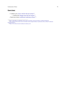### **Exercises:**

- Confirm your [source code for the last section](https://codesandbox.io/s/github/the-road-to-learn-react/hacker-stories/tree/hs/React-Conditional-Rendering) $111$ .
	- Confirm the [changes from the last section](https://github.com/the-road-to-learn-react/hacker-stories/compare/hs/React-Asynchronous-Data...hs/React-Conditional-Rendering?expand=1)<sup>112</sup>.
- Read more about [conditional rendering in React](https://www.robinwieruch.de/conditional-rendering-react/)<sup>113</sup>.

<span id="page-100-1"></span><span id="page-100-0"></span><sup>&</sup>lt;sup>111</sup><https://codesandbox.io/s/github/the-road-to-learn-react/hacker-stories/tree/hs/React-Conditional-Rendering> 112[https://github.com/the-road-to-learn-react/hacker-stories/compare/hs/React-Asynchronous-Data...hs/React-Conditional-](https://github.com/the-road-to-learn-react/hacker-stories/compare/hs/React-Asynchronous-Data...hs/React-Conditional-Rendering?expand=1)[Rendering?expand=1](https://github.com/the-road-to-learn-react/hacker-stories/compare/hs/React-Asynchronous-Data...hs/React-Conditional-Rendering?expand=1)

<span id="page-100-2"></span><sup>113</sup><https://www.robinwieruch.de/conditional-rendering-react/>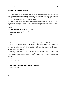## **React Advanced State**

All state management in this application makes heavy use of React's useState Hook. More sophisticated state management gives you **React's useReducer Hook**, though. Since the concept of reducers in JavaScript splits the community in half, we won't cover it extensively here, but the exercises at the end of this section should give you plenty of practice.

We'll move the stories state management from the useState hook to a new useReducer hook. First, introduce a reducer function outside of your components. A reducer function always receives state and action. Based on these two arguments, a reducer always returns a new state:

**src/App.js**

```
const storiesReducer = (state, action) => {
 if (action.type === 'SET_STORIES') {
   return action.payload;
 } else {
    throw new Error();
 }
};
```
A reducer action is often associated with a type. If this type matches a condition in the reducer, do something. If it isn't covered by the reducer, throw an error to remind yourself the implementation isn't covered. The storiesReducer function covers one type, and then returns the payload of the incoming action without using the current state to compute the new state. The new state is simply the payload'.

In the App component, exchange useState for useReducer for managing the stories. The new hook receives a reducer function and an initial state as arguments and returns an array with two items. The first item is the *current state*; the second item is the *state updater function* (also called *dispatch function*):

```
const App = () => {
  ...
  const [stories, dispatchStories] = React.useReducer(
    storiesReducer,
    []
  );
  ...
};
```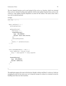The new dispatch function can be used instead of the setStories function, which was returned from useState. Instead of setting state explicitly with the state updater function from useState, the useReducer state updater function dispatches an action for the reducer. The action comes with a type and an optional payload:

**src/App.js**

```
const App = () => {
  ...
  React.useEffect() => {
    setIsLoading(true);
    getAsyncStories()
      .then(result \Rightarrow {
        dispatchStories({
           type: 'SET_STORIES',
           payload: result.data.stories,
        });
        setIsLoading(false);
      })
      . \text{catch}() \Rightarrow \text{setIsError}(\text{true}));
  }, []);
  ...
  const handleRemoveStory = item => {
    const newStories = stories.filter(
      story => item.objectID !== story.objectID
    );
    dispatchStories({
      type: 'SET_STORIES',
      payload: newStories,
    });
  };
  ...
};
```
The application appears the same in the browser, though a reducer and React's useReducer hook are managing the state for the stories now. Let's bring the concept of a reducer to a minimal version by handling more than one state transition.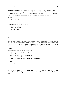So far, the handleRemoveStory handler computes the new stories. It's valid to move this logic into the reducer function and manage the reducer with an action, which is another case for moving from imperative to declarative programming. Instead of doing it ourselves by saying *how it should be done*, we are telling the reducer *what to do*. Everything else is hidden in the reducer.

**src/App.js**

```
const App = () => {
  ...
  const handleRemoveStory = item => {
    dispatchStories({
      type: 'REMOVE_STORY',
      payload: item,
   });
  };
  ...
};
```
Now the reducer function has to cover this new case in a new conditional state transition. If the condition for removing a story is met, the reducer has all the implementation details needed to remove the story. The action gives all the necessary information, an item's identifier', to remove the story from the current state and return a new list of filtered stories as state.

**src/App.js**

```
const storiesReducer = (state, action) => {
 if (action.type === 'SET_STORIES') {
   return action.payload;
 } else if (action.type === 'REMOVE_STORY') {
   return state.filter(
      story => action.payload.objectID !== story.objectID
    );
 } else {
    throw new Error();
 }
};
```
All these if else statements will eventually clutter when adding more state transitions into one reducer function. Refactoring it to a switch statement for all the state transitions makes it more readable: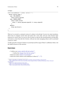```
const storiesReducer = (state, action) => {
 switch (action.type) {
   case 'SET_STORIES':
      return action.payload;
   case 'REMOVE_STORY':
      return state.filter(
        story => action.payload.objectID !== story.objectID
      );
    default:
      throw new Error();
 }
};
```
What we've covered is a minimal version of a reducer in JavaScript. It covers two state transitions, shows how to compute current state and action into a new state, and uses some business logic (removal of a story). Now we can set a list of stories as state for the asynchronously arriving data, and remove a story from the list of stories, with just one state managing reducer and its associated useReducer hook.

To fully grasp the concept of reducers in JavaScript and the usage of React's useReducer Hook, visit the linked resources in the exercises.

### **Exercises:**

- Confirm your [source code for the last section](https://codesandbox.io/s/github/the-road-to-learn-react/hacker-stories/tree/hs/React-Advanced-State) $114$ .
	- Confirm the [changes from the last section](https://github.com/the-road-to-learn-react/hacker-stories/compare/hs/React-Conditional-Rendering...hs/React-Advanced-State?expand=1)<sup>115</sup>.
- Read more about [reducers in JavaScript](https://www.robinwieruch.de/javascript-reducer)<sup>116</sup>.
- •Read more about reducers and useReducer in React  $(0^{117}, 1^{118})$  $(0^{117}, 1^{118})$  $(0^{117}, 1^{118})$  $(0^{117}, 1^{118})$  $(0^{117}, 1^{118})$ .

<span id="page-104-1"></span><span id="page-104-0"></span><sup>114</sup><https://codesandbox.io/s/github/the-road-to-learn-react/hacker-stories/tree/hs/React-Advanced-State>

<sup>115</sup>[https://github.com/the-road-to-learn-react/hacker-stories/compare/hs/React-Conditional-Rendering...hs/React-Advanced-](https://github.com/the-road-to-learn-react/hacker-stories/compare/hs/React-Conditional-Rendering...hs/React-Advanced-State?expand=1)[State?expand=1](https://github.com/the-road-to-learn-react/hacker-stories/compare/hs/React-Conditional-Rendering...hs/React-Advanced-State?expand=1)

<span id="page-104-2"></span> $\frac{116}{\hbox{https://www.robinwieruch.de/javascript-reducer}}$  $\frac{116}{\hbox{https://www.robinwieruch.de/javascript-reducer}}$  $\frac{116}{\hbox{https://www.robinwieruch.de/javascript-reducer}}$ 

<span id="page-104-3"></span> $117$ <https://www.robinwieruch.de/react-usereducer-hook>

<span id="page-104-4"></span> $^{118}\mathrm{https://reactjs.org/docs/hooks-reference.html\#usereducer}$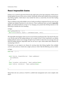## **React Impossible States**

Perhaps you've noticed a disconnect between the single states in the App component, which seem to belong together because of the useState hooks. Technically, all the states related to the asynchronous data belong together, which doesn't only include the stories as actual data, but also their loading and error states.

There is nothing wrong with multiple useState hooks in one React component. Be wary once you see multiple state updater functions in a row, however. These conditional states can lead to **impossible states**, and undesired behavior in the UI. Try changing your pseudo data fetching function to the following to simulate the error handling:

**src/App.js**

```
const getAsyncStories = () =>
 new Promise((resolve, reject) => setTimeout(reject, 2000));
```
The impossible state happens when an error occurs for the asynchronous data. The state for the error is set, but the state for the loading indicator isn't revoked. In the UI, this would lead to an infinite loading indicator and an error message, though it may be better to show the error message only and hide the loading indicator. Impossible states are not easy to spot, which makes them infamous for causing bugs in the UI.

Fortunately, we can improve our chances by moving states that belong together from multiple useState and useReducer hooks into a single useReducer hook. Take the following useState hooks:

**src/App.js**

```
const App = () => {
  ...
  const [stories, dispatchStories] = React.useReducer(
    storiesReducer,
    \lceil]
  );
  const [isLoading, setIsLoading] = React.useState(false);
  const [isError, setIsError] = React.useState(false);
  ...
```
};

Merge them into one useReducer hook for a unified state management and a more complex state object: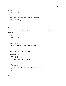```
const App = () => {
  ...
 const [stories, dispatchStories] = React.useReducer(
   storiesReducer,
    { data: [], isLoading: false, isError: false }
  );
  ...
};
```
Everything related to asynchronous data fetching must use the new dispatch function for state transitions:

```
const App = () \Rightarrow {
  ...
  const [stories, dispatchStories] = React.useReducer(
    storiesReducer,
    { data: [], isLoading: false, isError: false }
  );
  React.useEffect() => {
    dispatchStories({ type: 'STORIES_FETCH_INIT' });
    getAsyncStories()
      .then(result \Rightarrow {
        dispatchStories({
          type: 'STORIES_FETCH_SUCCESS',
          payload: result.data.stories,
        });
      })
      . \text{catch}() =>
        dispatchStories({ type: 'STORIES_FETCH_FAILURE' })
      );
  }, []);
  ...
};
```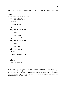Since we introduced new types for state transitions, we must handle them in the storiesReducer reducer function:

```
src/App.js
```

```
const storiesReducer = (state, action) => {
  switch (action.type) {
    case 'STORIES_FETCH_INIT':
      return {
        ...state,
        isLoading: true,
        isError: false,
      };
    case 'STORIES_FETCH_SUCCESS':
      return {
        ...state,
        isLoading: false,
        isError: false,
        data: action.payload,
      };
    case 'STORIES_FETCH_FAILURE':
      return {
        ...state,
        isLoading: false,
        isError: true,
      };
    case 'REMOVE_STORY':
      return {
        ...state,
        data: state.data.filter(
          story => action.payload.objectID !== story.objectID
        ),
      };
    default:
      throw new Error();
  }
};
```
For every state transition, we return a *new state* object which contains all the key/value pairs from the *current state* object (via JavaScript's spread operator) and the new overwriting properties. For example, STORIES\_FETCH\_FAILURE resets the isLoading, but sets the isError boolean flags yet keeps all the other state intact (e.g. stories). That's how we get around the bug introduced earlier, since an error should remove the loading state.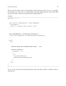Observe how the REMOVE\_STORY action changed as well. It operates on the state.data , not longer just the plain state. The state is a complex object with data, loading and error states rather than just a list of stories. This has to be solved in the remaining code too:

**src/App.js**

```
const App = () => {
  ...
 const [stories, dispatchStories] = React.useReducer(
    storiesReducer,
    { data: [], isLoading: false, isError: false }
  );
  ...
  const searchedStories = stories.data.filter(story =>
    story.title.toLowerCase().includes(searchTerm.toLowerCase())
  );
 return (
    <div>
      ...
      {stories.isError && <p>Something went wrong ...</p>}
      {stories.isLoading ? (
        <p>Loading ...</p>
      ) : (
        <List
          list={searchedStories}
          onRemoveItem={handleRemoveStory}
        />
      )}
    </div>
  );
};
```
Try to use the erroneous data fetching function again and check whether everything works as expected now: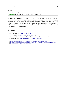Fundamentals of React 100

**src/App.js**

```
const getAsyncStories = () =>
 new Promise((resolve, reject) => setTimeout(reject, 2000));
```
We moved from unreliable state transitions with multiple useState hooks to predictable state transitions with React's useReducer Hook. The state object managed by the reducer encapsulates everything related to the stories, including loading and error state, but also implementation details like removing a story from the list of stories. We didn't get fully rid of impossible states, because it's still possible to leave out a crucial boolean flag like before, but we moved one step closer towards more predictable state management.

#### **Exercises:**

- Confirm your [source code for the last section](https://codesandbox.io/s/github/the-road-to-learn-react/hacker-stories/tree/hs/React-Impossible-States)<sup>119</sup>.
	- Confirm the [changes from the last section](https://github.com/the-road-to-learn-react/hacker-stories/compare/hs/React-Advanced-State...hs/React-Impossible-States?expand=1)<sup>120</sup>.
- Read over the previously linked tutorials about reducers in JavaScript and React.
- Read more about [when to use useState or useReducer in React](https://www.robinwieruch.de/react-usereducer-vs-usestate)<sup>121</sup>.

<span id="page-109-2"></span><span id="page-109-1"></span>120<https://github.com/the-road-to-learn-react/hacker-stories/compare/hs/React-Advanced-State...hs/React-Impossible-States?expand=1> <sup>121</sup><https://www.robinwieruch.de/react-usereducer-vs-usestate>

<span id="page-109-0"></span> $^{\textbf{119}}\textbf{https://codesandbox.io/s/github/the road-to-learn-react/hacker-stories/tree/hs/Reach-Impossible-States}$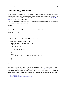## **Data Fetching with React**

We are currently fetching data, but it's still pseudo data coming from a promise we set up ourselves. The lessons up to now about asynchronous React and advanced state management were preparing us to fetch data from a real third-party API. We will use the reliable and informative [Hacker News](https://hn.algolia.com/api)  $API<sup>122</sup>$  $API<sup>122</sup>$  to request popular tech stories.

Instead of using the initialStories array and getAsyncStories function (you can remove these), we will fetch the data directly from the API:

**src/App.js**

```
// A
const API_ENDPOINT = 'https://hn.algolia.com/api/v1/search?query=';
const App = () => {
  ...
  React.useEffect() => {
    dispatchStories({ type: 'STORIES_FETCH_INIT' });
    fetch(`${API_ENDPOINT}react`) // B
      .then(response => response.json()) // C
      .then(result \Rightarrow {
        dispatchStories({
          type: 'STORIES_FETCH_SUCCESS',
          payload: result.hits, // D
        });
      })
      . \text{catch}() =>
        dispatchStories({ type: 'STORIES_FETCH_FAILURE' })
      );
  }, []);
  ...
};
```
First, the API\_ENDPOINT (A) is used to fetch popular tech stories for a certain query (a search topic). In this case, we fetch stories about React (B). Second, the native browser's [fetch API](https://developer.mozilla.org/en-US/docs/Web/API/Fetch_API)<sup>123</sup> is used to make this request (B). For the fetch API, the response needs to be translated into JSON (C). Finally, the returned result follows a different data structure (D), which we send as payload to our component's state.

<span id="page-110-0"></span><sup>122</sup><https://hn.algolia.com/api>

<span id="page-110-1"></span><sup>123</sup>[https://developer.mozilla.org/en-US/docs/Web/API/Fetch\\_API](https://developer.mozilla.org/en-US/docs/Web/API/Fetch_API)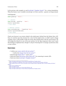In the previous code example we used [JavaScript's Template Literals](https://developer.mozilla.org/en-US/docs/Web/JavaScript/Reference/Template_literals)<sup>124</sup> for a string interpolation. When this feature wasn't available in JavaScript, we'd have used the + operator on strings instead:

**Code Playground**

```
const greeting = 'Hello';
// + operator
const welcome = greeting + ' React';
console.log(welcome);
// Hello React
// template literals
const anotherWelcome = `${greeting} React`;
console.log(anotherWelcome);
// Hello React
```
Check your browser to see stories related to the initial query fetched from the Hacker News API. Since we used the same data structure for a story for the sample stories, we didn't need to change anything, and it's still possible to filter the stories after fetching them with the search feature. We will change this behavior in one of the next sections. For the App component, there wasn't much data fetching to implement here, though it's all part of learning how to manage asynchronous data as state in React.

- Confirm your [source code for the last section](https://codesandbox.io/s/github/the-road-to-learn-react/hacker-stories/tree/hs/Data-Fetching-with-React)<sup>125</sup>.
	- Confirm the [changes from the last section](https://github.com/the-road-to-learn-react/hacker-stories/compare/hs/React-Impossible-States...hs/Data-Fetching-with-React?expand=1)<sup>126</sup>.
- Read through [Hacker News](https://news.ycombinator.com/)<sup>127</sup> and its [API](https://hn.algolia.com/api)<sup>128</sup>.
- Read more about [the browser native fetch API](https://developer.mozilla.org/en-US/docs/Web/API/Fetch_API)<sup>129</sup> for connecting to remote APIs.
- Read more about [JavaScript's Template Literals](https://developer.mozilla.org/en-US/docs/Web/JavaScript/Reference/Template_literals)<sup>130</sup>.

<span id="page-111-0"></span><sup>124</sup>[https://developer.mozilla.org/en-US/docs/Web/JavaScript/Reference/Template\\_literals](https://developer.mozilla.org/en-US/docs/Web/JavaScript/Reference/Template_literals)

<span id="page-111-2"></span><span id="page-111-1"></span><sup>&</sup>lt;sup>125</sup><https://codesandbox.io/s/github/the-road-to-learn-react/hacker-stories/tree/hs/Data-Fetching-with-React>

<sup>126</sup>[https://github.com/the-road-to-learn-react/hacker-stories/compare/hs/React-Impossible-States...hs/Data-Fetching-with-React?](https://github.com/the-road-to-learn-react/hacker-stories/compare/hs/React-Impossible-States...hs/Data-Fetching-with-React?expand=1) [expand=1](https://github.com/the-road-to-learn-react/hacker-stories/compare/hs/React-Impossible-States...hs/Data-Fetching-with-React?expand=1)

<span id="page-111-3"></span><sup>127</sup><https://news.ycombinator.com/>

<span id="page-111-4"></span> $\frac{128 \text{https://hn.algolia.com/api}}{}$  $\frac{128 \text{https://hn.algolia.com/api}}{}$  $\frac{128 \text{https://hn.algolia.com/api}}{}$ 

<span id="page-111-5"></span><sup>129</sup>[https://developer.mozilla.org/en-US/docs/Web/API/Fetch\\_API](https://developer.mozilla.org/en-US/docs/Web/API/Fetch_API)

<span id="page-111-6"></span><sup>130</sup>[https://developer.mozilla.org/en-US/docs/Web/JavaScript/Reference/Template\\_literals](https://developer.mozilla.org/en-US/docs/Web/JavaScript/Reference/Template_literals)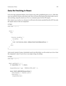## **Data Re-Fetching in React**

So far, the App component fetches a list of stories once with a predefined query (react). After that, users can search for stories on the client-side. Now we'll move this feature from client-side to serverside searching, using the actual searchTerm as a dynamic query for the API request.

First, remove searchedStories, because we will receive the stories searched from the API. Pass only the regular stories to the List component:

**src/App.js**

```
const App = () => {
  ...
  return (
    <div>
      ...
      {stories.isLoading ? (
         <p>Loading ...</p>
      ) : (
         <List list={stories.data} onRemoveItem={handleRemoveStory} />
      )}
    \langle/div\rangle);
};
```
And second, instead of using a hardcoded search term like before, use the actual searchTerm from the component's state. If searchTerm is an empty string, do nothing:

**src/App.js**

```
const App = () => {
  ...
  React.useEffect() => {
    if (searchTerm === '') return;
    dispatchStories({ type: 'STORIES_FETCH_INIT' });
    fetch(`${API_ENDPOINT}${searchTerm}`)
      .then(response \Rightarrow response.json())
      .then(result \Rightarrow {
        dispatchStories({
```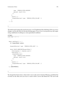```
type: 'STORIES_FETCH_SUCCESS',
          payload: result.hits,
        });
      })
      . \text{catch}() =>
        dispatchStories({ type: 'STORIES_FETCH_FAILURE' })
      );
 }, []);
  ...
};
```
The initial search respects the search term now, so we'll implement data refetching. If the searchTerm changes, run the side-effect for the data fetching again. If searchTerm is not present (e.g. null, empty string, undefined), do nothing (as a more generalized condition):

**src/App.js**

```
const App = () => {
  ...
  React.useEffect( ) = > {
    if (!searchTerm) return;
    dispatchStories({ type: 'STORIES_FETCH_INIT' });
    fetch(`${API_ENDPOINT}${searchTerm}`)
      .then(response \Rightarrow response.json())
      .then(result \Rightarrow {
        dispatchStories({
          type: 'STORIES_FETCH_SUCCESS',
          payload: result.hits,
        });
      })
      . \text{catch}() =>
        dispatchStories({ type: 'STORIES_FETCH_FAILURE' })
      );
  }, [searchTerm]);
  ...
};
```
We changed the feature from a client-side to server-side search. Instead of filtering a predefined list of stories on the client, the searchTerm is used to fetch a server-side filtered list. The server-side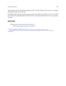search happens for the initial data fetching, but also for data fetching if the searchTerm changes. The feature is fully server-side now.

Re-fetching data each time someone types into the input field isn't optimal, so we'll correct that soon. Because this implementation stresses the API, you might experience errors if you use requests too often.

- Confirm your [source code for the last section](https://codesandbox.io/s/github/the-road-to-learn-react/hacker-stories/tree/hs/Data-Re-Fetching-in-React)<sup>131</sup>.
	- Confirm the [changes from the last section](https://github.com/the-road-to-learn-react/hacker-stories/compare/hs/Data-Fetching-with-React...hs/Data-Re-Fetching-in-React?expand=1)<sup>132</sup>.

<span id="page-114-0"></span><sup>&</sup>lt;sup>131</sup><https://codesandbox.io/s/github/the-road-to-learn-react/hacker-stories/tree/hs/Data-Re-Fetching-in-React>

<span id="page-114-1"></span><sup>132</sup>[https://github.com/the-road-to-learn-react/hacker-stories/compare/hs/Data-Fetching-with-React...hs/Data-Re-Fetching-in-](https://github.com/the-road-to-learn-react/hacker-stories/compare/hs/Data-Fetching-with-React...hs/Data-Re-Fetching-in-React?expand=1)[React?expand=1](https://github.com/the-road-to-learn-react/hacker-stories/compare/hs/Data-Fetching-with-React...hs/Data-Re-Fetching-in-React?expand=1)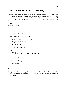## **Memoized Handler in React (Advanced)**

The previous sections have taught you about handlers, callback handlers, and inline handlers. Now we'll introduce a **memoized handler**, which can be applied on top of handlers and callback handlers. For the sake of learning, we will move all the data fetching logic into a standalone function outside the side-effect  $(A)$ ; wrap it into a useCallback hook  $(B)$ ; and then invoke it in the useEffect hook (C):

**src/App.js**

```
const App = () \Rightarrow {
  ...
  // A
  const handleFetchStories = React.useCallback(() => {
    if (!searchTerm) return;
    dispatchStories({ type: 'STORIES_FETCH_INIT' });
    fetch(`${API_ENDPOINT}${searchTerm}`)
      . then(response => response.json())
      .then(result \Rightarrow {
        dispatchStories({
          type: 'STORIES_FETCH_SUCCESS',
          payload: result.hits,
        });
      })
      . \text{catch}() =>
        dispatchStories({ type: 'STORIES_FETCH_FAILURE' })
      );
  }, [searchTerm]); // E
  React.useEffect() => {
    handleFetchStories(); // C
  }, [handleFetchStories]); // D
  ...
};
```
The application behaves the same; only the implementation logic has been refactored. Instead of using the data fetching logic anonymously in a side-effect, we made it available as a function for the application.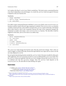Let's explore why React's useCallback Hook is needed here. This hook creates a memoized function every time its dependency array (E) changes. As a result, the useEffect hook runs again (C) because it depends on the new function (D):

#### **Visualization**

- 1. change: searchTerm
- 2. implicit change: handleFetchStories
- 3. run: side-effect

If we didn't create a memoized function with React's useCallback Hook, a new handleFetchStories function would be created with each App component is rendered. The handleFetchStories function would be created each time, and would be executed in the useEffect hook to fetch data. The fetched data is then stored as state in the component. Because the state of the component changed, the component re-renders and creates a new handleFetchStories function. The side-effect would be triggered to fetch data, and we'd be stuck in an endless loop:

**Visualization**

```
1. define: handleFetchStories
2. run: side-effect
3. update: state
4. re-render: component
5. re-define: handleFetchStories
6. run: side-effect
...
```
The useCallback hook changes the function only when the search term changes. That's when we want to trigger a re-fetch of the data, because the input field has new input and we want to see the new data displayed in our list.

By moving the data fetching function outside the useEffect hook, it becomes reusable for other parts of the application. We won't use it just yet, but it is a way to understand the useCallback hook. Now the useEffect hook runs implicitly when the searchTerm changes, because the handleFetchStories is re-defined each time the searchTerm changes. Since the useEffect hook depends on the handleFetchStories, the side-effect for data fetching runs again.

- Confirm your [source code for the last section](https://codesandbox.io/s/github/the-road-to-learn-react/hacker-stories/tree/hs/Memoized-Handler-in-React)<sup>133</sup>. **–** Confirm the [changes from the last section](https://github.com/the-road-to-learn-react/hacker-stories/compare/hs/Data-Re-Fetching-in-React...hs/Memoized-Handler-in-React?expand=1)<sup>134</sup>.
- Read more about [React's useCallback Hook](https://reactjs.org/docs/hooks-reference.html#usecallback)<sup>135</sup>.

<span id="page-116-1"></span><span id="page-116-0"></span><sup>&</sup>lt;sup>133</sup><https://codesandbox.io/s/github/the-road-to-learn-react/hacker-stories/tree/hs/Memoized-Handler-in-React>  $^{134}\mathrm{https://github.com/the road-to-learn-react/hacker-stories/compare/hs/Data-Re-Fetching-in-React...hs/Memoized-Handler-in-$ [React?expand=1](https://github.com/the-road-to-learn-react/hacker-stories/compare/hs/Data-Re-Fetching-in-React...hs/Memoized-Handler-in-React?expand=1)

<span id="page-116-2"></span><sup>135</sup><https://reactjs.org/docs/hooks-reference.html#usecallback>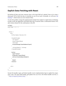Fundamentals of React 208 and 208 and 208 and 208 and 208 and 208 and 208 and 208 and 208 and 208 and 208 and 208 and 208 and 208 and 208 and 208 and 208 and 208 and 208 and 208 and 208 and 208 and 208 and 208 and 208 and

## **Explicit Data Fetching with React**

Re-fetching all data each time someone types in the input field isn't optimal. Since we're using a third-party API to fetch the data, its internals are out of our reach. Eventually, we will incur [rate](https://en.wikipedia.org/wiki/Rate_limiting) [limiting](https://en.wikipedia.org/wiki/Rate_limiting)<sup>136</sup>, which returns an error instead of data.

To solve this problem, change the implementation details from implicit to explicit data (re-)fetching. In other words, the application will refetch data only if someone clicks a confirmation button. First, add a button element for the confirmation to the JSX:

**src/App.js**

```
const App = () => {
  ...
 return (
    <div>
      <h1>My Hacker Stories</h1>
      <InputWithLabel
        id="search"
        value={searchTerm}
        isFocused
        onInputChange={handleSearchInput}
      >
        <strong>Search:</strong>
      </InputWithLabel>
      <button
        type="button"
        disabled={!searchTerm}
        onClick={handleSearchSubmit}
      >
        Submit
      </button>
      ...
    \langle/div\rangle);
};
```
Second, the handler, input, and button handler receive implementation logic to update the component's state. The input field handler still updates the searchTerm; the button handler sets the url

<span id="page-117-0"></span><sup>136</sup>[https://en.wikipedia.org/wiki/Rate\\_limiting](https://en.wikipedia.org/wiki/Rate_limiting)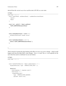derived from the *current* searchTerm and the static API URL as a new state:

**src/App.js**

```
const App = () => {
 const [searchTerm, setSearchTerm] = useSemiPersistentState(
    'search',
    'React'
 );
 const [url, setUrl] = React.useState(
    `${API_ENDPOINT}${searchTerm}`
 );
  ...
 const handleSearchInput = event => {
   setSearchTerm(event.target.value);
 };
 const handleSearchSubmit = () => {
    setUrl(`${API_ENDPOINT}${searchTerm}`);
 };
  ...
};
```
Third, instead of running the data fetching side-effect on every searchTerm change – which would happen each time the input field's value changes - the ur1 is used. The ur1 is set explicitly by the user when the search is confirmed via our new button:

**src/App.js**

```
const App = () => {
  ...
  const handleFetchStories = React.useCallback( ) => \{dispatchStories({ type: 'STORIES_FETCH_INIT' });
    fetch(url)
      . then(response => response.json())
      .then(result => {
        dispatchStories({
          type: 'STORIES_FETCH_SUCCESS',
          payload: result.hits,
```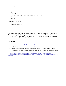```
});
      })
      . \text{catch}() =>
        dispatchStories({ type: 'STORIES_FETCH_FAILURE' })
      );
  }, [url]);
  React.useEffect() => {
    handleFetchStories();
  }, [handleFetchStories]);
  ...
};
```
Before the searchTerm was used for two cases: updating the input field's state and activating the sideeffect for fetching data. Too many responsibilities one may would have said. Now it's only used for the former. A second state called url got introduced for triggering the side-effect for fetching data which only happens when a user clicks the confirmation button.

- Confirm your [source code for the last section](https://codesandbox.io/s/github/the-road-to-learn-react/hacker-stories/tree/hs/Explicit-Data-Fetching-with-React)<sup>137</sup>.
	- **–** Confirm the [changes from the last section](https://github.com/the-road-to-learn-react/hacker-stories/compare/hs/Memoized-Handler-in-React...hs/Explicit-Data-Fetching-with-React?expand=1)<sup>138</sup>.
- Why is useState instead of useSemiPersistentState used for the url state management?
- Why is there no check for an empty searchTerm in the handleFetchStories function anymore?

<span id="page-119-1"></span><span id="page-119-0"></span><sup>137</sup><https://codesandbox.io/s/github/the-road-to-learn-react/hacker-stories/tree/hs/Explicit-Data-Fetching-with-React> 138[https://github.com/the-road-to-learn-react/hacker-stories/compare/hs/Memoized-Handler-in-React...hs/Explicit-Data-Fetching-with-](https://github.com/the-road-to-learn-react/hacker-stories/compare/hs/Memoized-Handler-in-React...hs/Explicit-Data-Fetching-with-React?expand=1)[React?expand=1](https://github.com/the-road-to-learn-react/hacker-stories/compare/hs/Memoized-Handler-in-React...hs/Explicit-Data-Fetching-with-React?expand=1)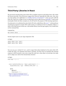## **Third-Party Libraries in React**

We previously introduced the native fetch API to complete requests to the Hacker News API, which the browser provides. Not all browsers support this, however, especially the older ones. Also, once you start testing your application in a [headless browser environment](https://en.wikipedia.org/wiki/Headless_browser)<sup>139</sup>, issues can arise with the fetch API. There are a couple of ways to make fetch work in older browsers [\(polyfills](https://en.wikipedia.org/wiki/Polyfill_(programming))<sup>140</sup>) and in tests (isomorphic fetch), but these concepts are a bit off-task for the purpose of this learning experience.

One alternative is to substitute the native fetch API with a stable library like [axios](https://github.com/axios/axios)<sup>141</sup>, which performs asynchronous requests to remote APIs. In this section, we will discover how to substitute a library–a native API of the browser in this case–with another library from the npm registry. First, install axios on the command line:

**Command Line**

```
npm install axios
```
Second, import axios in your App component's file:

**src/App.js**

```
import React from 'react';
import axios from 'axios';
```
...

You can use axios instead of fetch, and its usage looks almost identical to the native fetch API. It takes the URL as an argument and returns a promise. You don't have to transform the returned response to JSON anymore, since axios wraps the result into a data object in JavaScript. Just make sure to adapt your code to the returned data structure:

**src/App.js**

```
const App = () => {
  ...
  const handleFetchStories = React.useCallback(() => {
    dispatchStories({ type: 'STORIES_FETCH_INIT' });
    axios
      .get(url)
      .then(result \Rightarrow {
```

```
https://en.wikipedia.org/wiki/Polyfill_(programming)
```
<span id="page-120-0"></span><sup>139</sup>[https://en.wikipedia.org/wiki/Headless\\_browser](https://en.wikipedia.org/wiki/Headless_browser)

<span id="page-120-2"></span><sup>141</sup><https://github.com/axios/axios>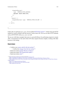```
dispatchStories({
          type: 'STORIES_FETCH_SUCCESS',
          payload: result.data.hits,
        });
      })
      . \text{catch}() =>
        dispatchStories({ type: 'STORIES_FETCH_FAILURE' })
      );
 }, [url]);
  ...
};
```
In this code, we call axios axios.get() for an explicit [HTTP GET request](https://developer.mozilla.org/en-US/docs/Web/HTTP/Methods/GET)<sup>142</sup>, which is the same HTTP method we used by default with the browser's native fetch API. You can use other HTTP methods such as HTTP POST with axios.post()as well.

We can see with these examples that axios is a powerful library for performing requests to remote APIs. I recommend over the native fetch API when requests become complex, working with older browser, or for testing.

- Confirm your [source code for the last section](https://codesandbox.io/s/github/the-road-to-learn-react/hacker-stories/tree/hs/Third-Party-Libraries-in-React) $143$ .
	- Confirm the [changes from the last section](https://github.com/the-road-to-learn-react/hacker-stories/compare/hs/Explicit-Data-Fetching-with-React...hs/Third-Party-Libraries-in-React?expand=1)<sup>144</sup>.
- Read more about [popular libraries in React](https://www.robinwieruch.de/react-libraries)<sup>145</sup>.
- Read more about [why frameworks matter](https://www.robinwieruch.de/why-frameworks-matter)<sup>146</sup>.
- Read more about  $axios^{147}$  $axios^{147}$ .

<span id="page-121-1"></span><span id="page-121-0"></span><sup>142</sup><https://developer.mozilla.org/en-US/docs/Web/HTTP/Methods/GET>

<span id="page-121-2"></span><sup>143</sup><https://codesandbox.io/s/github/the-road-to-learn-react/hacker-stories/tree/hs/Third-Party-Libraries-in-React>

<sup>144</sup>[https://github.com/the-road-to-learn-react/hacker-stories/compare/hs/Explicit-Data-Fetching-with-React...hs/Third-Party-Libraries](https://github.com/the-road-to-learn-react/hacker-stories/compare/hs/Explicit-Data-Fetching-with-React...hs/Third-Party-Libraries-in-React?expand=1)[in-React?expand=1](https://github.com/the-road-to-learn-react/hacker-stories/compare/hs/Explicit-Data-Fetching-with-React...hs/Third-Party-Libraries-in-React?expand=1)

<span id="page-121-3"></span> $145$ <https://www.robinwieruch.de/react-libraries>

<span id="page-121-4"></span><sup>146</sup><https://www.robinwieruch.de/why-frameworks-matter>

<span id="page-121-5"></span><sup>147</sup><https://github.com/axios/axios>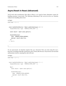## **Async/Await in React (Advanced)**

You'll work with asynchronous data often in React, so it's good to know alternative syntax for handling promises: async/await. The following refactoring of the handleFetchStories function without error handling shows how:

**src/App.js**

```
const App = () => {
  ...
 const handleFetchStories = React.useCallback(async () => {
    dispatchStories({ type: 'STORIES_FETCH_INIT' });
   const result = await axios.get(url);
    dispatchStories({
      type: 'STORIES_FETCH_SUCCESS',
      payload: result.data.hits,
   });
 }, [url]);
  ...
};
```
To use async/await, our function requires the async keyword. Once you start using the await keyword, everything reads like synchronous code. Actions after the await keyword are not executed until promise resolves, meaning the code will wait.

**src/App.js**

```
const App = () \Rightarrow...
  const handleFetchStories = React.useCallback(async () => {
    dispatchStories({ type: 'STORIES_FETCH_INIT' });
    try {
      const result = await axios.get(url);
      dispatchStories({
        type: 'STORIES_FETCH_SUCCESS',
        payload: result.data.hits,
      });
```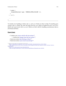```
} catch {
      dispatchStories({ type: 'STORIES_FETCH_FAILURE' });
    }
  }, [url]);
  ...
};
```
To include error handling as before, the try and catch blocks are there to help. If something goes wrong in the try block, the code will jump into the catch block to handle the error. then/catch blocks and async/await with try/catch blocks are both valid for handling asynchronous data in JavaScript and React.

- Confirm your [source code for the last section](https://codesandbox.io/s/github/the-road-to-learn-react/hacker-stories/tree/hs/Async-Await-in-React)<sup>148</sup>.
	- Confirm the [changes from the last section](https://github.com/the-road-to-learn-react/hacker-stories/compare/hs/Third-Party-Libraries-in-React...hs/Async-Await-in-React?expand=1)<sup>149</sup>.
- Read more about [data fetching in React](https://www.robinwieruch.de/react-hooks-fetch-data)<sup>150</sup>.
- Read more about [async/await in JavaScript](https://developer.mozilla.org/en-US/docs/Web/JavaScript/Reference/Statements/async_function) $151$ .

<span id="page-123-1"></span><span id="page-123-0"></span> $^{148}\rm{https://codesandbox.io/s/github/the road-to-learn-react/hacker-stories/tree/hs/Async-Await-in-Reach-$  $^{\text{149}}\text{https://github.com/the-road-to-learn-react/hacker- stories/compare/hs/Third-Party-Libraries-in-Reach...hs/Async-Await-in-$ [React?expand=1](https://github.com/the-road-to-learn-react/hacker-stories/compare/hs/Third-Party-Libraries-in-React...hs/Async-Await-in-React?expand=1)

<span id="page-123-2"></span><sup>150</sup><https://www.robinwieruch.de/react-hooks-fetch-data>

<span id="page-123-3"></span> $^{\rm 151}$ [https://developer.mozilla.org/en-US/docs/Web/JavaScript/Reference/Statements/async\\_function](https://developer.mozilla.org/en-US/docs/Web/JavaScript/Reference/Statements/async_function)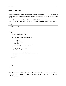Fundamentals of React 115

# **Forms in React**

Earlier we introduced a new button to fetch data explicitly with a button click. We'll advance its use with a proper HTML form, which encapsulates the button and input field for the search term with its label.

Forms aren't much different in React's JSX than in HTML. We'll implement it in two refactoring steps with some HTML/JavaScript. First, wrap the input field and button into an HTML form element:

**src/App.js**

```
const App = () => {
  ...
 return (
    <div>
      <h1>My Hacker Stories</h1>
      <form onSubmit={handleSearchSubmit}>
        <InputWithLabel
          id="search"
          value={searchTerm}
          isFocused
          onInputChange={handleSearchInput}
        >
          <strong>Search:</strong>
        </InputWithLabel>
        <button type="submit" disabled={!searchTerm}>
          Submit
        </button>
      </form>
      \langlehr />
      ...
    </div>
  );
};
```
Instead of passing the handleSearchSubmit handler to the button, it's used in the new form element. The button receives a new type attribute called submit, which indicates that the form element handles the click and not the button.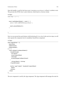Since the handler is used for the form event, it executes preventDefault in React's synthetic event. This prevents the HTML form's native behavior, which leads to a browser reload.

**src/App.js**

```
const App = () \Rightarrow...
 const handleSearchSubmit = event => {
    setUrl(`${API_ENDPOINT}${searchTerm}`);
    event.preventDefault();
 };
  ...
};
```
Now we can execute the search feature with the keyboard's Enter key. In the next two steps, we will only separate the component into its standalone SearchForm component:

**src/App.js**

```
const SearchForm = ({
  searchTerm,
  onSearchInput,
  onSearchSubmit,
}) => (
  <form onSubmit={onSearchSubmit}>
    <InputWithLabel
      id="search"
      value={searchTerm}
      isFocused
      onInputChange={onSearchInput}
    >
      <strong>Search:</strong>
    </InputWithLabel>
    <button type="submit" disabled={!searchTerm}>
      Submit
    </button>
  </form>
);
```
The new component is used by the App component. The App component still manages the state for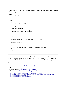the form, because the state is used in the App component to fetch data passed as props (stories.data) to the List component:

**src/App.js**

```
const App = () => {
  ...
  return (
    <div>
      <h1>My Hacker Stories</h1>
      <SearchForm
        searchTerm={searchTerm}
        onSearchInput={handleSearchInput}
        onSearchSubmit={handleSearchSubmit}
      />
      \langlehr />
      {stories.isError && <p>Something went wrong ...</p>}
      {stories.isLoading ? (
        <p>Loading ...</p>
      ) : (
        <List list={stories.data} onRemoveItem={handleRemoveStory} />
      )}
    \langle/div\rangle);
};
```
Forms aren't much different in React than HTML. When we have input fields and a button to submit data from them, we can give our HTML more structure by wrapping it into a form element with a onSubmit handler. The button that executes the submission needs only the "submit" type.

- Confirm your [source code for the last section](https://codesandbox.io/s/github/the-road-to-learn-react/hacker-stories/tree/hs/Forms-in-React)  $152$ .
- Confirm the [changes from the last section](https://github.com/the-road-to-learn-react/hacker-stories/compare/hs/Async-Await-in-React...hs/Forms-in-React?expand=1)<sup>153</sup>.
- Try the code without preventDefault.
- Read more about [preventDefault for Events in React](https://www.robinwieruch.de/react-preventdefault)<sup>154</sup>.
- Read more about [React Component Composition](https://www.robinwieruch.de/react-component-composition)<sup>155</sup>.

<span id="page-126-0"></span><sup>152</sup><https://codesandbox.io/s/github/the-road-to-learn-react/hacker-stories/tree/hs/Forms-in-React>

<span id="page-126-1"></span> $^{\rm 153}$ <https://github.com/the-road-to-learn-react/hacker-stories/compare/hs/Async-Await-in-React...hs/Forms-in-React?expand=1>

<span id="page-126-2"></span><sup>154</sup><https://www.robinwieruch.de/react-preventdefault>

<span id="page-126-3"></span><sup>155</sup><https://www.robinwieruch.de/react-component-composition>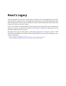# **React's Legacy**

React has changed a lot since 2013. The iterations of its library, how React applications are written, and especially its components have all changed drastically. However, many React applications were built over the last few years, so not everything was created with the current status quo in mind. This section of the book covers React's legacy.

I won't cover all that's considered legacy in React, because some features have been revamped more than once. You may see the previous iteration of the feature in older React applications, but will probably be different than the current.

Throughout this section we will compare a [modern React application](https://codesandbox.io/s/github/the-road-to-learn-react/hacker-stories/tree/hs/react-modern-final)<sup>156</sup> to its [legacy version](https://codesandbox.io/s/github/the-road-to-learn-react/hacker-stories/tree/hs/react-legacy)<sup>157</sup>. We'll discover that most differences between modern and legacy React are due to class components versus function components.

<span id="page-127-1"></span><span id="page-127-0"></span><sup>156</sup><https://codesandbox.io/s/github/the-road-to-learn-react/hacker-stories/tree/hs/react-modern-final> 157<https://codesandbox.io/s/github/the-road-to-learn-react/hacker-stories/tree/hs/react-legacy>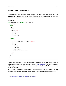## **React Class Components**

React components have undergone many changes, from **createClass components** over **class components**, to **function components**. Going through a React application today, it's likely that we'll see class components next to the modern function components.

**Code Playground**

```
class InputWithLabel extends React.Component {
  render() {
    const {
      id,
      value,
      type = 'text',onInputChange,
      children,
    } = this.props;
    return (
      \langle \rangle<label htmlFor={id}>{children}</label>
         
         <input
           id = {id}type={type}
           value={value}
           onChange={onInputChange}
        />
      \langle />
    );
  }
}
```
A typical class component is a JavaScript class with a mandatory **render method** that returns the JSX.The class extends from a React. Component to inherit ([class inheritance](https://en.wikipedia.org/wiki/Inheritance_(object-oriented_programming))<sup>158</sup>) all React's component features (e.g. state management for state, lifecycle methods for side-effects). React props are accessed via the class instance (this).

For a while class components were the popular choice for writing React applications. Eventually, function components were added, and both co-existed with their distinct purposes side by side:

<span id="page-128-0"></span> $^{158}\mathrm{https://en.wikipedia.org/wiki/Inheritance\_(object-oriented\_programming)}$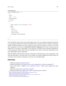React's Legacy 120

#### **Code Playground**

```
const InputWithLabel = ({
  id,
  value,
  type = 'text',onInputChange,
  children,
\}) \Rightarrow (\langle \rangle<label htmlFor={id}>{children}</label>
     
     <input
       id = \{id\}type={type}
       value={value}
       onChange={onInputChange}
    />
  \langle />
);
```
If no side-effects and no state were used in legacy apps, we'd use a function component instead of a class component. Before 2018–before React Hooks were introduced–React's function components couldn't handle side-effects (useEffect hooks) or state (useState/useReducer hooks). As a result, these components were known as **functional stateless components**, there only to input props and output JSX. To use state or side-effects, it was necessary to refactor from a function component to a class component. When neither state nor side-effects were used, we used class components or the more lightweight function component.

With the addition of React Hooks, function components worked the same as class components, with state and side-effects. And since there was no longer any practical difference between them, the community chose function components since they are more lightweight.

- Read more about [JavaScript Classes](https://developer.mozilla.org/en-US/docs/Web/JavaScript/Reference/Classes)<sup>159</sup>.
- Read more about [how to refactor from a class component to a function component](https://www.robinwieruch.de/react-hooks-migration)<sup>160</sup>.
- Learn more about a different [class component syntax](https://github.com/the-road-to-learn-react/react-alternative-class-component-syntax)<sup>161</sup> which wasn't popular but more effective.
- Read more about [class components in depth](https://reactjs.org/docs/react-component.html) $162$ .
- Read more about [other legacy and modern component types in React](https://www.robinwieruch.de/react-component-types)<sup>163</sup>.

<span id="page-129-0"></span><sup>159</sup><https://developer.mozilla.org/en-US/docs/Web/JavaScript/Reference/Classes>

<span id="page-129-1"></span><sup>160</sup><https://www.robinwieruch.de/react-hooks-migration>

<span id="page-129-2"></span><sup>161</sup><https://github.com/the-road-to-learn-react/react-alternative-class-component-syntax>

<span id="page-129-3"></span> $^{\rm 162}$ <https://reactjs.org/docs/react-component.html>

<span id="page-129-4"></span><sup>&</sup>lt;sup>163</sup><https://www.robinwieruch.de/react-component-types>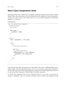React's Legacy 121

## **React Class Components: State**

Before React Hooks, class components were superior to function components because they could be stateful. With a class constructor, we can set an initial state for the component. Also, the component's instance (this) gives access to the current state (this.state) and the component's state updater method (this.setState):

**Code Playground**

```
class App extends React.Component {
  constructor(props) {
    super(props);
    this.state = {
      searchTerm: 'React',
    };
  }
  render() {
    const { searchTerm } = this.state;
    return (
      <div>
        <h1>My Hacker Stories</h1>
        <SearchForm
          searchTerm={searchTerm}
          onSearchInput={() => this.setState({
             searchTerm: event.target.value
          })}
        />
      \langle/div\rangle);
  }
}
```
If the state has more than one property in its state object, the setState method performs only a shallow update. Only the properties passed to setState are overwritten, and all other properties in the state object stay intact. Since state management is important for frontend applications, there was no way around class components without hooks for function components.

In a React class component, there are two dedicated APIs (this.state and this.setState) to manage a component's state. In a function component, React's useState and useReducer hooks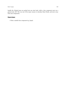handle this. Related items are packed into one state hook, while a class component must use a general state API. This was one of the major reasons to introduce React Hooks, and move away from class components.

### **Exercises:**

• Write a stateful class component (e.g. Input).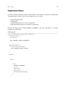## **Imperative React**

In a React function component, React's useRef Hook is used mostly for imperative programming. Throughout React's history, the *ref* and its usage had a few versions:

- String Refs (deprecated)
- Callback Refs
- createRef Refs (exclusive for Class Components)
- useRef Hook Refs (exclusive for Function Components)

Recently, the React team introduced **React's createRef** as the latest equivalent to a function component's useRef hook:

**Code Playground**

```
class InputWithLabel extends React.Component {
  constructor(props) {
    super(props);
    this.inputRef = React.createRef();
  }
  componentDidMount() {
    if (this.props.isFocused) {
      this.inputRef.current.focus();
    }
  }
  render() {
    ...
    return (
      \langle \rangle...
         <input
          ref={this.inputRef}
           id = \{id\}type={type}
           value={value}
           onChange={onInputChange}
        />
      \langle />
    );
```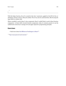} }

With the helper function, the ref is created in the class' constructor, applied in the JSX for the ref attributed, and here used in a lifecycle method. The ref can also be used elsewhere, like focusing the input field on a button click.

Where createRef is used in React's class components, React's useRef Hook is used in React function components. As React shifts towards function components, today its common practice to use the useRef hook exclusively to manage refs and apply imperative programming principles.

### **Exercises:**

• Read more about [the different ref techniques in React](https://reactjs.org/docs/refs-and-the-dom.html)<sup>164</sup>.

<span id="page-133-0"></span> $164$ <https://reactjs.org/docs/refs-and-the-dom.html>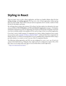There are many ways to style a React application, and there are lengthy debates about the best **styling strategy** and **styling approach**. We'll go over a few of these approaches without giving them too much weight. There will be some pro and con arguments, but it's mostly a matter of what fits best for developers and teams.

We will begin React styling with common CSS in React, but then explore two alternatives for more advanced **CSS-in-CSS** (**CSS Modules**) and **CSS-in-JS** (**Styled Components**) strategies. CSS Modules and Styled Components are only two approaches out of many in both groups of strategies. We'll also cover how to include scalable vector graphics (SVGs), such as a logo or icons, in our React application.

If you don't want to build common UI components (e.g. button, dialog, dropdown) from scratch, you can always pick a [popular UI library suited for React](https://www.robinwieruch.de/react-libraries)<sup>165</sup>, which provides these components by default. However, it is better for learning React if you try building these components before using a pre-built solution. As a result, we won't use any of the UI component libraries.

The following styling approaches and SVGs are pre-configured in create-react-app. If you're in control of the build tools (e.g. Webpack), they might need to be configured to import CSS or SVG files. Since we are using create-react-app, we can use these files as assets right away.

<span id="page-134-0"></span><sup>165&</sup>lt;sub><https://www.robinwieruch.de/react-libraries></sub>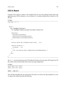## **CSS in React**

Common CSS in React is similar to the standard CSS you may have already learned. Each web application gives HTML elements a class (in React it's className) attribute that is styled in a CSS file later.

**src/App.js**

```
const App = () => {
  ...
 return (
    <div className="container">
      <h1 className="headline-primary">My Hacker Stories</h1>
      <SearchForm
        searchTerm={searchTerm}
        onSearchInput={handleSearchInput}
        onSearchSubmit={handleSearchSubmit}
      />
      {stories.isError && <p>Something went wrong ...</p>}
      {stories.isLoading ? (
        <p>Loading ...</p>
      ) : (
        <List list={stories.data} onRemoveItem={handleRemoveStory} />
      )}
    </div>
  );
};
```
The <hr /> was removed because the CSS handles the border in the next steps. We'll import the CSS file, which is done with the help of the create-react-app configuration:

**src/App.js**

```
import React from 'react';
import axios from 'axios';
import './App.css';
```
This CSS file will define the two (and more) CSS classes we used in the App component. In your *src/App.css* file, define them like the following: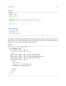**src/App.css**

```
.container {
 height: 100vw;
  padding: 20px;
  background: #83a4d4; /* fallback for old browsers */
  background: linear-gradient(to left, #b6fbff, #83a4d4);
 color: #171212;
}
.headline-primary {
  font-size: 48px;
  font-weight: 300;
  letter-spacing: 2px;
}
```
You should see the first stylings taking effect in your application when you start it again. Next, we will head over to the Item component. Some of its elements receive the className attribute too, however, we are also using a new styling technique here:

**src/App.js**

```
const Item = ({item, onRemoveItem }) => (<div className="item">
    <span style={{ width: '40%' }}>
      <a href={item.url}>{item.title}</a>
    </span>
    <span style={{ width: '30%' }}>{item.author}</span>
    <span style={{ width: '10%' }}>{item.num_comments}</span>
    <span style={{ width: '10%' }}>{item.points}</span>
    <span style={{ width: '10%' }}>
      <button
        type="button"
        onClick={() => onRemoveItem(item)}
        className="button button_small"
      >
        Dismiss
      </button>
    </span>
  \langle/div\rangle);
```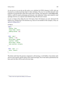As you can see, we can also use the native style attribute for HTML elements. In JSX, style can be passed as an inline JavaScript object to these attributes. This way we can define dynamic style properties in JavaScript files rather than mostly static CSS files. This approach is called **inline style**, which is useful for quick prototyping and dynamic style definitions. Inline style should be used sparingly, however, as a separate style definition keeps the JSX more concise.

In your *src/App.css* file, define the new CSS classes. Basic CSS features are used. Advanced CSS features (e.g. nesting) from CSS extensions (e.g. Sass) are not included in this example, as they are [optional configurations](https://create-react-app.dev/docs/adding-a-sass-stylesheet/)<sup>166</sup>.

**src/App.css**

```
.item {
  display: flex;
  align-items: center;
  padding-bottom: 5px;
}
.item > span {
  padding: 0 5px;
  white-space: nowrap;
  overflow: hidden;
  white-space: nowrap;
  text-overflow: ellipsis;
}
.item > span > a {
  color: inherit;
}
```
The button style from the previous component is still missing, so we'll define a base button style and two more specific specific button styles (small and large). One of the button specifications has been used, the other will be used in the next steps.

<span id="page-137-0"></span> $^{\rm 166}$ <https://create-react-app.dev/docs/adding-a-sass-stylesheet/>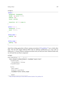**src/App.css**

```
.button {
  background: transparent;
  border: 1px solid #171212;
 padding: 5px;
  cursor: pointer;
  transition: all 0.1s ease-in;
}
.button: hover {
 background: #171212;
 color: #ffffff;
}
.button_small {
  padding: 5px;
}
.button_large {
  padding: 10px;
}
```
Apart from styling approaches in React, naming conventions [\(CSS guidelines](https://developer.mozilla.org/en-US/docs/MDN/Contribute/Guidelines/Code_guidelines/CSS)<sup>167</sup>) are a whole other topic. The last CSS snippet followed BEM rules by defining modifications of a class with an underscore (\_). Choose whatever naming convention suits you and your team. Without further ado, we will style the next React component:

**src/App.js**

```
const SearchForm = ({\{ \ldots \}}) => (
  <form onSubmit={onSearchSubmit} className="search-form">
    <InputWithLabel ... >
      <strong>Search: </strong>
    </InputWithLabel>
    <button
      type="submit"
      disabled={!searchTerm}
      className="button button_large"
    >
      Submit
```
<span id="page-138-0"></span> $^{167}\!$ [https://developer.mozilla.org/en-US/docs/MDN/Contribute/Guidelines/Code\\_guidelines/CSS](https://developer.mozilla.org/en-US/docs/MDN/Contribute/Guidelines/Code_guidelines/CSS)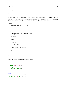```
</button>
  </form>
);
```
We can also pass the className attribute as a prop to React components. For example, we can use this option to pass the SearchForm component a flexible style with a className prop from a range of predefined classes from a CSS file. Lastly, style the InputWithLabel component:

**src/App.js**

```
const InputWithLabel = ({..., )} => {
  ...
  return (
    \langle \rangle<label htmlFor={id} className="label">
         {children}
      </label>
       
      <input
        ref={inputRef}
        id = {id}type={type}
         value={value}
        onChange={onInputChange}
         className="input"
      />
    \langle/>
  );
};
```
In your *src/App.css* file, add the remaining classes:

**src/App.css**

```
.search-form {
 padding: 10px 0 20px 0;
 display: flex;
 align-items: baseline;
}
.label {
 border-top: 1px solid #171212;
 border-left: 1px solid #171212;
```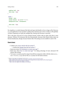```
padding-left: 5px;
  font-size: 24px;
}
.input {
  border: none;
  border-bottom: 1px solid #171212;
  background-color: transparent;
  font-size: 24px;
}
```
For simplicity, we styled elements like label and input individually in the *src/App.css* file. However, in a real application it may be better to define these elements once in the *src/index.css* file globally. As React components are split into multiple files, sharing style becomes a necessity.

This is the basic CSS most of us have already learned, written with an inline style that is more dynamic. Without CSS extensions like Sass (Syntactically Awesome Style Sheets) inline styles can become burdensome, though, because features like CSS nesting are not available in native CSS.

- Confirm your [source code for the last section](https://codesandbox.io/s/github/the-road-to-learn-react/hacker-stories/tree/hs/CSS-in-React)<sup>168</sup>.
	- Confirm the [changes from the last section](https://github.com/the-road-to-learn-react/hacker-stories/compare/hs/react-modern-final...hs/CSS-in-React?expand=1)<sup>169</sup>.
- Read more about [CSS stylesheets in create-react-app](https://create-react-app.dev/docs/adding-a-stylesheet)<sup>170</sup>.
- Read more about [Sass in create-react-app](https://create-react-app.dev/docs/adding-a-sass-stylesheet)<sup>171</sup> for taking advantage of more advanced CSS features like nesting.
- Try to pass className prop from App to SearchForm component, either with the value button\_ small or button\_large and use this as className for the button element.

<span id="page-140-0"></span> $^{168}\rm{https://codesandbox.io/s/github/the road-to-learn-react/hacker- stories/tree/hs/CSS-in-React}$ 

<span id="page-140-1"></span><sup>169</sup><https://github.com/the-road-to-learn-react/hacker-stories/compare/hs/react-modern-final...hs/CSS-in-React?expand=1>

<span id="page-140-2"></span> $\frac{170}{\text{https://create-react-app.dev/docs/adding-a-stylesheet}}$  $\frac{170}{\text{https://create-react-app.dev/docs/adding-a-stylesheet}}$  $\frac{170}{\text{https://create-react-app.dev/docs/adding-a-stylesheet}}$ 

<span id="page-140-3"></span><sup>171</sup><https://create-react-app.dev/docs/adding-a-sass-stylesheet>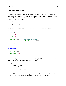## **CSS Modules in React**

CSS Modules are an advanced **CSS-in-CSS** approach. The CSS file stays the same, where you could apply CSS extensions like Sass, but its use in React components changes. To enable CSS modules in create-react-app, rename the *src/App.css* file to *src/App.module.css*. This action is performed in the command line from your project's directory:

**Command Line**

```
mv src/App.css src/App.module.css
```
In the renamed *src/App.module.css*, start with the first CSS class definitions, as before:

**src/App.module.css**

```
.container {
 height: 100vw;
  padding: 20px;
  background: #83a4d4; /* fallback for old browsers */
  background: linear-gradient(to left, #b6fbff, #83a4d4);
  color: #171212;
}
.headlinePrimary {
  font-size: 48px;
  font-weight: 300;
  letter-spacing: 2px;
}
```
Import the *src/App.module.css* file with a relative path again. This time, import it as a JavaScript object where the name of the object (here styles) is up to you:

**src/App.js**

```
import React from 'react';
import axios from 'axios';
import styles from './App.module.css';
```
Instead of defining the className as a string mapped to a CSS file, access the CSS class directly from the styles object, and assigns it with a JavaScript in JSX expression to your elements.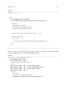const App =  $()$  => {

#### **src/App.js**

```
...
 return (
    <div className={styles.container}>
      <h1 className={styles.headlinePrimary}>My Hacker Stories</h1>
      <SearchForm
        searchTerm={searchTerm}
        onSearchInput={handleSearchInput}
        onSearchSubmit={handleSearchSubmit}
      />
      {stories.isError && <p>Something went wrong ...</p>}
      {stories.isLoading ? (
        <p>Loading ...</p>
      ) : (
        <List list={stories.data} onRemoveItem={handleRemoveStory} />
      )}
    \langle/div\rangle);
};
```
There are various ways to add multiple CSS classes via the styles object to the element's single className attribute. Here, we use JavaScript template literals:

**src/App.js**

```
const Item = ({item, onRemoveItem }) => (<div className={styles.item}>
    <span style={{ width: '40%' }}>
      \langle a \nvert href={item.url}>{item.title}\langle a \rangle</span>
    <span style={{ width: '30%' }}>{item.author}</span>
    <span style={{ width: '10%' }}>{item.num_comments}</span>
    <span style={{ width: '10%' }}>{item.points}</span>
    <span style={{ width: '10%' }}>
      <button
        type="button"
        onClick=\{() \Rightarrow onRemoveItem(item)\}className={`${styles.button} ${styles.buttonSmall}`}
```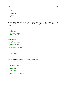```
>
           Dismiss
        </button>
     </span>
   \langle/div\rangle);
```
We can also add inline styles as more dynamic styles in JSX again. It's also possible to add a CSS extension like Sass to enable advanced features like CSS nesting. We will stick to native CSS features though:

**src/App.module.css**

```
.item {
 display: flex;
 align-items: center;
 padding-bottom: 5px;
}
.item > span {
 padding: 0 5px;
 white-space: nowrap;
 overflow: hidden;
 white-space: nowrap;
 text-overflow: ellipsis;
}
.item > span > a {
 color: inherit;
}
```
Then the button CSS classes in the *src/App.module.css* file:

```
src/App.module.css
```

```
.button {
 background: transparent;
 border: 1px solid #171212;
 padding: 5px;
 cursor: pointer;
  transition: all 0.1s ease-in;
}
```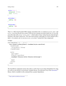```
.button hover {
  background: #171212;
  color: #ffffff;
}
.buttonSmall {
  padding: 5px;
}
.buttonLarge {
  padding: 10px;
}
```
There is a shift toward pseudo BEM naming conventions here, in contrast to button\_small and button\_large from the previous section. If the previous naming convention holds true, we can only access the style with styles['button\_small'] which makes it more verbose because of JavaScript's limitation with object underscores. The same shortcomings would apply for classes defined with a dash (-). In contrast, now we can use styles. buttonSmall instead (see: Item component):

**src/App.js**

```
const SearchForm = ({\{ \ldots \}}) => (
  <form onSubmit={onSearchSubmit} className={styles.searchForm}>
    <InputWithLabel ... >
      <strong>Search:</strong>
    </InputWithLabel>
    <button
      type="submit"
      disabled={!searchTerm}
      className={`${styles.button} ${styles.buttonLarge}`}
    >
      Submit
    </button>
  </form>
);
```
The SearchForm component receives the styles as well. It has to use string interpolation for using two styles in one element via JavaScript's template literals. One alternative way is the [classnames](https://github.com/JedWatson/classnames)<sup>172</sup> library, which is installed via the command line as project dependency:

<span id="page-144-0"></span> $\rm ^{172}$ <https://github.com/JedWatson/classnames>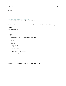**src/App.js**

```
import cs from 'classnames';
...
// somewhere in a className attribute
className={cs(styles.button, styles.buttonLarge)}
```
The library offers conditional stylings as well. Finally, continue with the InputWithLabel component:

**src/App.js**

```
const InputWithLabel = ({..., ) \Rightarrow {
  ...
  return (
    \langle \rangle<label htmlFor={id} className={styles.label}>
         {children}
       </label>
        
       <input
         ref={inputRef}
         id = {id}type={type}
         value={value}
         onChange={onInputChange}
         className={styles.input}
      />
    \langle / \rangle);
};
```
And finish up the remaining style in the *src/App.module.css* file: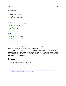```
src/App.module.css
```

```
.searchForm {
  padding: 10px 0 20px 0;
  display: flex;
  align-items: baseline;
}
.label {
  border-top: 1px solid #171212;
  border-left: 1px solid #171212;
  padding-left: 5px;
  font-size: 24px;
}
.input {
  border: none;
  border-bottom: 1px solid #171212;
  background-color: transparent;
  font-size: 24px;
}
```
The same caution applies as the last section: some of these styles like input and label might be more efficient in a global *src/index.css* file without CSS modules.

Again, CSS Modules–like any other CSS-in-CSS approach–can use Sass for more advanced CSS features like nesting. The advantage of CSS modules is that we receive an error in the JavaScript each time a style isn't defined. In the standard CSS approach, unmatched styles in the JavaScript and CSS files might go unnoticed.

### **Exercises:**

- Confirm your [source code for the last section](https://codesandbox.io/s/github/the-road-to-learn-react/hacker-stories/tree/hs/CSS-Modules-in-React) $173$ .
	- **–** Confirm the [changes from the last section](https://github.com/the-road-to-learn-react/hacker-stories/compare/hs/react-modern-final...hs/CSS-Modules-in-React?expand=1)<sup>174</sup>.
- Read more about [CSS Modules in create-react-app](https://create-react-app.dev/docs/adding-a-css-modules-stylesheet)<sup>175</sup>.

<span id="page-146-0"></span> $^{173}$ <https://codesandbox.io/s/github/the-road-to-learn-react/hacker-stories/tree/hs/CSS-Modules-in-React>

<span id="page-146-2"></span><span id="page-146-1"></span><sup>&</sup>lt;sup>174</sup><https://github.com/the-road-to-learn-react/hacker-stories/compare/hs/react-modern-final...hs/CSS-Modules-in-React?expand=1> 175<https://create-react-app.dev/docs/adding-a-css-modules-stylesheet>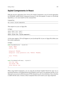# **Styled Components in React**

With the previous approaches from CSS-in-CSS, Styled Components is one of several approaches for **CSS-in-JS**. I picked Styled Components because it's the most popular. It comes as a JavaScript dependency, so we must install it on the command line:

**Command Line**

npm install styled-components

Then import it in your *src/App.js* file:

**src/App.js**

```
import React from 'react';
import axios from 'axios';
import styled from 'styled-components';
```
As the name suggests, CSS-in-JS happens in your JavaScript file. In your *src/App.js* file, define your first styled components:

**src/App.js**

```
const StyledContainer = styled.div`
  height: 100vw;
  padding: 20px;
  background: #83a4d4;
  background: linear-gradient(to left, #b6fbff, #83a4d4);
  color: #171212;
`;
const StyledHeadlinePrimary = styled.h1`
  font-size: 48px;
  font-weight: 300;
  letter-spacing: 2px;
`;
```
When using Styled Components, you are using the JavaScript template literals the same way as JavaScript functions. Everything between the backticks can be seen as an argument and the styled object gives you access to all the necessary HTML elements (e.g. div, h1) as functions. Once a function is called with the style, it returns a React component that can be used in your App component: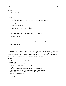const App =  $()$  => {

### **src/App.js**

```
...
 return (
    <StyledContainer>
      <StyledHeadlinePrimary>My Hacker Stories</StyledHeadlinePrimary>
      <SearchForm
        searchTerm={searchTerm}
        onSearchInput={handleSearchInput}
        onSearchSubmit={handleSearchSubmit}
      />
      {stories.isError && <p>Something went wrong ...</p>}
      {stories.isLoading ? (
        <p>Loading ...</p>
      ) : (
        <List list={stories.data} onRemoveItem={handleRemoveStory} />
      )}
    </StyledContainer>
  );
};
```
This kind of React component follows the same rules as a common React component. Everything passed between its element tags is passed automatically as React children prop. For the Item component, we are not using inline styles this time, but defining a dedicated styled component for it. StyledColumn receives its styles dynamically using a React prop:

```
src/App.js
```

```
const Item = ({item, onRemoveItem }) => (<StyledItem>
     <StyledColumn width="40%">
       \langle a \nvert \nvert = \{ \text{item}.\text{url} \} \rangle \{ \text{item}.\text{title} \} \langle a \rangle</StyledColumn>
     <StyledColumn width="30%">{item.author}</StyledColumn>
     <StyledColumn width="10%">{item.num_comments}</StyledColumn>
     <StyledColumn width="10%">{item.points}</StyledColumn>
     <StyledColumn width="10%">
       <StyledButtonSmall
         type="button"
```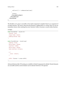```
onClick={() \Rightarrow onRemoveItem(intem)}>
         Dismiss
      </StyledButtonSmall>
    </StyledColumn>
  </StyledItem>
);
```
The flexible width prop is accessible in the styled component's template literal as an argument of an inline function. The return value from the function is applied there as a string. Since we can use immediate returns when omitting the arrow function's body, it becomes a concise inline function:

**src/App.js**

```
const StyledItem = styled.div`
  display: flex;
  align-items: center;
  padding-bottom: 5px;
\ddot{\phantom{a}}const StyledColumn = styled.span`
  padding: 0 5px;
  white-space: nowrap;
  overflow: hidden;
  white-space: nowrap;
  text-overflow: ellipsis;
  a {
    color: inherit;
  }
  width: ${props => props.width};
 `;
```
Advanced features like CSS nesting are available in Styled Components by default. Nested elements are accessible and the current element can be selected with the & CSS operator: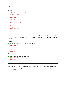```
const StyledButton = styled.button`
  background: transparent;
  border: 1px solid #171212;
  padding: 5px;
  cursor: pointer;
  transition: all 0.1s ease-in;
  &:hover {
    background: #171212;
    color: #ffffff;
  }
`;
```
You can also create specialized versions of styled components by passing another component to the library's function. The specialized button receives all the base styles from the previously defined StyledButton component:

### **src/App.js**

```
const StyledButtonSmall = styled(StyledButton)`
  padding: 5px;
\ddot{\phantom{1}};
const StyledButtonLarge = styled(StyledButton)`
  padding: 10px;
`;
const StyledSearchForm = styled.form`
  padding: 10px 0 20px 0;
  display: flex;
  align-items: baseline;
`;
```
When we use a styled component like StyledSearchForm, its underlying elements (form, button) are used in the real HTML output. We can continue using the native HTML attributes (onSubmit, type, disabled) there: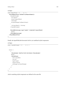```
const SearchForm = ({..., )} => (
  <StyledSearchForm onSubmit={onSearchSubmit}>
    <InputWithLabel
      id="search"
      value={searchTerm}
      isFocused
      onInputChange={onSearchInput}
    >
      <strong>Search:</strong>
    </InputWithLabel>
    <StyledButtonLarge type="submit" disabled={!searchTerm}>
      Submit
    </StyledButtonLarge>
  </StyledSearchForm>
);
```
Finally, the InputWithLabel decorated with its yet undefined styled components:

**src/App.js**

```
const InputWithLabel = ({..., ) \Rightarrow {
  ...
  return (
    \leftrightarrow<StyledLabel htmlFor={id}>{children}</StyledLabel>
        
       <StyledInput
         ref={inputRef}
         id = {id}type={type}
         value={value}
         onChange={onInputChange}
      />
    \langle/>
  );
};
```
And its matching styled components are defined in the same file: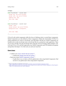```
const StyledLabel = styled.label`
  border-top: 1px solid #171212;
  border-left: 1px solid #171212;
  padding-left: 5px;
  font-size: 24px;
`;
const StyledInput = styled.input`
  border: none;
  border-bottom: 1px solid #171212;
  background-color: transparent;
  font-size: 24px;
\ddot{\phantom{1}};
```
CSS-in-JS with styled components shifts the focus of defining styles to actual React components. Styled Components are style defined as React components without the intermediate CSS file. If a styled component isn't used in a JavaScript, your IDE/editor will tell you. Styled Components are bundled next to other JavaScript assets in JavaScript files for a production-ready application. There are no extra CSS files, but only JavaScript when using the CSS-in-JS strategy. Both strategies, CSSin-JS and CSS-in-CSS, and their approaches (e.g. Styled Components and CSS Modules) are popular among React developers. Use what suits you and your team best.

### **Exercises:**

- Confirm your [source code for the last section](https://codesandbox.io/s/github/the-road-to-learn-react/hacker-stories/tree/hs/Styled-Components-in-React)<sup>176</sup>.
	- **–** Confirm the [changes from the last section](https://github.com/the-road-to-learn-react/hacker-stories/compare/hs/react-modern-final...hs/Styled-Components-in-React?expand=1)<sup>177</sup>.
- Read more about [Styled Components in React](https://www.robinwieruch.de/react-styled-components)<sup>178</sup>.
	- **–** Usually there is no *src/index.css* file for global styles when using Styled Components. Find out how to use global styles when using Styled Components.

<span id="page-152-2"></span><span id="page-152-1"></span>177<https://github.com/the-road-to-learn-react/hacker-stories/compare/hs/react-modern-final...hs/Styled-Components-in-React?expand=1> 178<https://www.robinwieruch.de/react-styled-components>

<span id="page-152-0"></span><sup>176</sup><https://codesandbox.io/s/github/the-road-to-learn-react/hacker-stories/tree/hs/Styled-Components-in-React>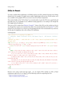# **SVGs in React**

To create a modern React application, we'll likely need to use SVGs. Instead of giving every button element text, for example, we might want to make it lightweight with an icon. In this section, we'll use a scalable vector graphic (SVG) as an icon in one of our React components.

This section builds on the "CSS in React" we covered earlier, to give the SVG icon a good look and feel right away. It's acceptable to use a different styling approach, or no styling at all, though the SVG might look off without it.

This icon as SVG is taken from [Flaticon's Freepick](https://www.flaticon.com/authors/freepik)<sup>179</sup>. Many of the SVGs on this website are free to use, though they require you to mention the author. You can download the icon from [here](https://www.flaticon.com/free-icon/check_109748)<sup>180</sup> as SVG and put it in your project as *src/check.svg*. Downloading the file is the recommended way, however, for the sake of completion, this is the verbose SVG definition:

**Code Playground**

| xml version="1.0" encoding="iso-8859-1"?                                                                                                                                                                                                                                                                                                                                                                                                                                                                                                                                                                                                                                                                                                                                                                                                                                                                                                                                                                                                                                                     |
|----------------------------------------------------------------------------------------------------------------------------------------------------------------------------------------------------------------------------------------------------------------------------------------------------------------------------------------------------------------------------------------------------------------------------------------------------------------------------------------------------------------------------------------------------------------------------------------------------------------------------------------------------------------------------------------------------------------------------------------------------------------------------------------------------------------------------------------------------------------------------------------------------------------------------------------------------------------------------------------------------------------------------------------------------------------------------------------------|
| Generator: Adobe Illustrator 18.0.0, SVG Export Plug-In . SVG Version: 6.00 Bui\</td></tr><tr><td><math>1d\theta</math>)                                                                                                                                                                                                                                                                                                                                                                                                                                                                                                                                                                                                                                                                                                                                                                                                                                                                                                                                                                     |
| svg PUBLIC "-//W3C//DTD SVG 1.1//EN" "http://www.w3.org/Graphics/SVG/1.1/D\</td                                                                                                                                                                                                                                                                                                                                                                                                                                                                                                                                                                                                                                                                                                                                                                                                                                                                                                                                                                                                              |
| TD/svq11. dtd"                                                                                                                                                                                                                                                                                                                                                                                                                                                                                                                                                                                                                                                                                                                                                                                                                                                                                                                                                                                                                                                                               |
| <svg <math="" id="Capa_1" version="1.1" xmlns="http://www.w3.org/2000/svg" xmlns:xlink="http:\&lt;/td&gt;&lt;/tr&gt;&lt;tr&gt;&lt;td&gt;//www.w3.org/1999/xlink">x = "Qpx" <math>y = "Qpx"</math></svg>                                                                                                                                                                                                                                                                                                                                                                                                                                                                                                                                                                                                                                                                                                                                                                                                                                                                                      |
| viewBox="0 0 297 297" style="enable-background:new 0 0 297 297;" xml:space="prese\                                                                                                                                                                                                                                                                                                                                                                                                                                                                                                                                                                                                                                                                                                                                                                                                                                                                                                                                                                                                           |
| rve"                                                                                                                                                                                                                                                                                                                                                                                                                                                                                                                                                                                                                                                                                                                                                                                                                                                                                                                                                                                                                                                                                         |
| $\langle g \rangle$                                                                                                                                                                                                                                                                                                                                                                                                                                                                                                                                                                                                                                                                                                                                                                                                                                                                                                                                                                                                                                                                          |
| <path d="M113.636, 272.638c-2.689, 0-5.267-1.067-7.168-2.97L2.967, 166.123c-3.956-3\&lt;/td&gt;&lt;/tr&gt;&lt;tr&gt;&lt;td&gt;.957-3.956-10.371-0.001-14.329154.673-54.703&lt;/td&gt;&lt;/tr&gt;&lt;tr&gt;&lt;td&gt;c1.9-1.9, 4.479-2.97, 7.167-2.97c2.689, 0, 5.268, 1.068, 7.169, 2.969141.661, 41.676L2\&lt;/td&gt;&lt;/tr&gt;&lt;tr&gt;&lt;td&gt;25.023, 27.332c1.9-1.901, 4.48-2.97, 7.168-2.9710, 0&lt;/td&gt;&lt;/tr&gt;&lt;tr&gt;&lt;td&gt;&lt;math&gt;c2.688, 0, 5.268, 1.068, 7.167, 2.97154.675, 54.701c3.956, 3.957, 3.956, 10.372, 0.14.32\&lt;/math&gt;&lt;/td&gt;&lt;/tr&gt;&lt;tr&gt;&lt;td&gt;8L120.803, 269.668&lt;/td&gt;&lt;/tr&gt;&lt;tr&gt;&lt;td&gt;C118.903, 271.57, 116.325, 272.638, 113.636, 272.638z M24.463, 158.958189.173, 89.209\&lt;/td&gt;&lt;/tr&gt;&lt;tr&gt;&lt;td&gt;1158.9-158.971-40.346-40.364L120.803,160.264&lt;/td&gt;&lt;/tr&gt;&lt;tr&gt;&lt;td&gt;&lt;math&gt;c-1.9, 1.902-4.478, 2.971-7.167, 2.971c-2.688, 0-5.267-1.068-7.168-2.971-41.66-41. \setminus&lt;/math&gt;&lt;/td&gt;&lt;/tr&gt;&lt;tr&gt;&lt;td&gt;674L24.463,158.958z"></path> |
| $\langle$ /g>                                                                                                                                                                                                                                                                                                                                                                                                                                                                                                                                                                                                                                                                                                                                                                                                                                                                                                                                                                                                                                                                                |
| $\langle$ /svg $\rangle$                                                                                                                                                                                                                                                                                                                                                                                                                                                                                                                                                                                                                                                                                                                                                                                                                                                                                                                                                                                                                                                                     |

Because we're using create-react-app again , we can import SVGs (similar to CSS) as React components right away. In *src/App.js*, use the following syntax for importing the SVG:

<span id="page-153-0"></span><sup>179</sup><https://www.flaticon.com/authors/freepik>

<span id="page-153-1"></span><sup>180&</sup>lt;sub>[https://www.flaticon.com/free-icon/check\\_109748](https://www.flaticon.com/free-icon/check_109748)</sub>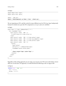### **src/App.js**

```
import React from 'react';
import axios from 'axios';
import './App.css';
import { ReactComponent as Check } from './check.svg';
```
We are importing an SVG, and this works for many different uses for SVGs (e.g. logo, background). Instead of a button text, pass the SVG component as a height and width attribute:

**src/App.js**

```
const Item = ({item, onRemoveItem }) => (<div className="item">
    <span style={{ width: '40%' }}>
      \langle a \nvert \nvert = \{item.url\} \rangle \{item.title\} \langle a \rangle</span>
    <span style={{ width: '30%' }}>{item.author}</span>
    <span style={{ width: '10%' }}>{item.num_comments}</span>
    <span style={{ width: '10%' }}>{item.points}</span>
    <span style={{ width: '10%' }}>
      <button
        type="button"
        onClick={() => onRemoveItem(item)}
        className="button button_small"
      >
         <Check height="18px" width="18px" />
      </button>
    </span>
  </div>
);
```
Regardless of the styling approach you are using, you can give your SVG icon in the button a hover effect too. In the basic CSS approach, it would look like the following in the *src/App.css* file:

**src/App.css**

```
.button:hover > svg > g {
 fill: #ffffff;
 stroke: #ffffff;
}
```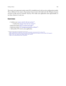The create-react-app project makes using SVGs straightforward, with no extra configuration needed. This is different if you create a React project from scratch with build tools like Webpack, because you have to take care of it yourself. Anyway, SVGs make your application more approachable, so use them whenever it suits you.

### **Exercises:**

- Confirm your [source code for the last section](https://codesandbox.io/s/github/the-road-to-learn-react/hacker-stories/tree/hs/CSS-in-React-SVG) $181$ .
	- Confirm the [changes from the last section](https://github.com/the-road-to-learn-react/hacker-stories/compare/hs/CSS-in-React...hs/CSS-in-React-SVG?expand=1)<sup>182</sup>.
- Read more about [SVGs in create-react-app](https://create-react-app.dev/docs/adding-images-fonts-and-files)<sup>183</sup>.
- Read more about [SVG background patterns in React](https://www.robinwieruch.de/react-svg-patterns)<sup>184</sup>.
- Add another SVG icon in your application.

<span id="page-155-1"></span>182<https://github.com/the-road-to-learn-react/hacker-stories/compare/hs/CSS-in-React...hs/CSS-in-React-SVG?expand=1>

<span id="page-155-0"></span> $^{\rm 181}$ <https://codesandbox.io/s/github/the-road-to-learn-react/hacker-stories/tree/hs/CSS-in-React-SVG>

<span id="page-155-2"></span> $^{\mathtt{183} \mathtt{https://create-react-app.dev/docs/adding-images-fonts-and-files}$  $^{\mathtt{183} \mathtt{https://create-react-app.dev/docs/adding-images-fonts-and-files}$  $^{\mathtt{183} \mathtt{https://create-react-app.dev/docs/adding-images-fonts-and-files}$ 

<span id="page-155-3"></span><sup>184&</sup>lt;sub><https://www.robinwieruch.de/react-svg-patterns></sub>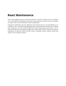# **React Maintenance**

Once a React application grows, maintenance becomes a priority. To prepare for this eventuality, we'll cover performance optimization, type safety, testing, and project structure. Each can strengthen your app to take on more functionality without losing quality.

Performance optimization prevents applications from slowing down by assuring efficient use of available resource. Typed programming languages like TypeScript detect bugs earlier in the feedback loop. Testing gives us more explicit feedback than typed programming, and provides a way to understand which actions can break the application. Lastly, project structure supports the organized management of assets into folders and files, which is especially useful in scenarios where team members work in different domains.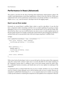## **Performance in React (Advanced)**

This section is just here for the sake of learning about performance improvements in React. We wouldn't need optimizations in most React applications, as React is fast out of the box. While more sophisticated tools exist for performance measurements in JavaScript and React, we will stick to a simple console.log() and our browser's developer tools for the logging output.

### **Don't run on first render**

Previously we covered React's useEffect Hook, which is used for side-effects. It runs the first time a component renders (mounting), and then every re-render (updating). By passing an empty dependency array to it as a second argument, we can tell the hook to run on the first render only. Out of the box, there is no way to tell the hook to run only on every re-render (update) and not on the first render (mount). For example, examine this custom hook for state management with React's useState Hook and its semi persistent state with local storage using React's useEffect Hook:

**src/App.js**

```
const useSemiPersistentState = (key, initialState) => {
 const [value, setValue] = React.useState(
    localStorage.getItem(key) || initialState
 );
 React.useEffect() => {
   console.log('A');
    localStorage.setItem(key, value);
 }, [value, key]);
 return [value, setValue];
};
```
With a closer look at the developer's tools, we can see the log for a first time render of the component using this custom hook. It doesn't make sense to run the side-effect for the initial rendering of the component, because there is nothing to store in the local storage except the initial value. It's a redundant function invocation, and should only run for every update (re-rendering) of the component.

As mentioned, there is no React Hook that runs on every re-render, and there is no way to tell the useEffect hook in a React idiomatic way to call its function only on every re-render. However, by using React's useRef Hook which keeps its ref.current property intact over re-renders, we can keep a *made up state* (without re-rendering the component on state updates) of our component's lifecycle: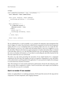```
const useSemiPersistentState = (key, initialState) => {
 const isMounted = React.useRef(false);
 const [value, setValue] = React.useState(
    localStorage.getItem(key) || initialState
 );
 React.useEffect() => {
    if (!isMounted.current) {
      isMounted.current = true;
   } else {
     console.log('A');
      localStorage.setItem(key, value);
    }
 }, [value, key]);
 return [value, setValue];
};
```
We are exploiting the ref and its mutable current property for imperative state management that doesn't trigger a re-render. Once the hook is called from its component for the first time (component render), the ref's current is initialized with a false boolean called is Mounted. As a result, the sideeffect function in useEffect isn't called; only the boolean flag for isMounted is toggled to true in the side-effect. Whenever the hook runs again (component re-render), the boolean flag is evaluated in the side-effect. Since it's true, the side-effect function runs. Over the lifetime of the component, the isMounted boolean will remaintrue. It was there to avoid calling the side-effect function for the first time render that uses our custom hook.

The above was only about preventing the invocation of one simple function for a component rendering for the first time. But imagine you have an expensive computation in your side-effect, or the custom hook is used frequently in the application. It's more practical to deploy this technique to avoid unnecessary function invocations.

*Note: This technique isn't only used for performance optimizations, but for the sake of having a sideeffect run only when a component re-renders. I used it several times, and I suspect you'll stumble on one or the other use case for it eventually.*

### **Don't re-render if not needed**

Earlier, we explored React's re-rendering mechanism. We'll repeat this exercise for the App and List components. For both components, add a logging statement.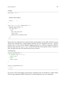```
const App = () => {
  ...
 console.log('B:App');
 return ( ... );
};
const List = ({ list, onRemoveItem }) =>
  console.log('B:List') ||
  list.map(item => (
    <Item
      key={item.objectID}
      item={item}
      onRemoveItem={onRemoveItem}
    />
  ));
```
Because the List component has no function body, and developers are lazy folks who don't want to refactor the component for a simple logging statement, the List component uses the || operator instead. This is a neat trick for adding a logging statement to a function component without a function body. Since the console.log() on the left hand side of the operator always evaluates to false, the right hand side of the operator gets always executed.

**Code Playground**

```
function getTheTruth() {
  if (console.log('B:List')) {
    return true;
  } else {
    return false;
  }
}
console.log(getTheTruth());
// B:List
// false
```
Let's focus on the actual logging in the browser's developer tools. You should see a similar output. First the App component renders, followed by its child components (e.g. List component).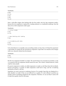| Visualization |  |  |
|---------------|--|--|
| B:App         |  |  |
| B:List        |  |  |
| B : App       |  |  |
| B : App       |  |  |
| <b>B:List</b> |  |  |

Since a side-effect triggers data fetching after the first render, only the App component renders, because the List component is replaced by a loading indicator in a conditional rendering. Once the data arrives, both components render again.

**Visualization**

| // initial render             |
|-------------------------------|
| B: App                        |
| B:List                        |
| // data fetching with loading |
| B: App                        |
| // re-rendering with data     |
| B: App                        |
| B:List                        |
|                               |

So far, this behavior is acceptable, since everything renders on time. Now we'll take this experiment a step further, by typing into the SearchForm component's input field. You should see the changes with every character entered into the element:

| Visualization |  |  |
|---------------|--|--|
| B : App       |  |  |
| B:List        |  |  |
|               |  |  |

But the List component shouldn't re-render. The search feature isn't executed via its button, so the list passed to the List component should remain the same. This is React's default behavior, which surprises many people.

If a parent component re-renders, its child components re-render as well. React does this by default, because preventing a re-render of child components could lead to bugs, and the re-rendering mechanism of React is still fast.

Sometimes we want to prevent re-rendering, however. For example, huge data sets displayed in a table shouldn't re-render if they are not affected by an update. It's more efficient to perform an equality check if something changed for the component. Therefore, we can use React's memo API to make this equality check for the props: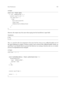```
const List = React.memo(
  ({ list, onRemoveItem }) =>
    console.log('B:List') ||
    listmap(item \Rightarrow (<Item
        key={item.objectID}
        item={item}
        onRemoveItem={onRemoveItem}
      />
    ))
);
```
However, the output stays the same when typing into the SearchForm's input field:

**Visualization** B:App B:List

The list passed to the List component is the same, but the onRemoveItem callback handler isn't. If the App component re-renders, it always creates a new version of this callback handler. Earlier, we used React's useCallacbk Hook to prevent this behavior, by creating a function only on a re-render (if one of its dependencies has changed).

**src/App.js**

```
const App = () => {
  ...
  const handleRemoveStory = React.useCallback(item => {
    dispatchStories({
      type: 'REMOVE_STORY',
      payload: item,
    });
  }, []);
  ...
  console.log('B:App');
  return (... );
};
```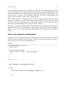Since the callback handler gets the item passed as an argument in its function signature, it doesn't have any dependencies and is declared only once when the App component initially renders. None of the props passed to the List component should change now. Try it with the combination of memo and useCallback, to search via the SearchForm's input field. The "B:List" output disappears, and only the App component re-renders with its "B:App" output.

While all props passed to a component stay the same, the component renders again if its parent component is forced to re-render. That's React's default behavior, which works most of the time because the re-rendering mechanism is fast enough. However, if re-rendering decreases the performance of a React application, memo helps prevent re-rendering.

Sometimes memo alone doesn't help, though. Callback handlers are re-defined each time in the parent component and passed as *changed* props to the component, which causes another re-render. In that case, useCallback is used for making the callback handler only change when its dependencies change.

### **Don't rerun expensive computations**

Sometimes we'll have performance-intensive computations in our React components – between a component's function signature and return block – which run on every render. For this scenario, we must create a use case in our current application first.

**src/App.js**

```
const getSumComments = stories => {
  console.log('C');
  return stories.data.reduce(
    (result, value) => result + value.num_comments,
    0
  );
};
const App = () => {
  ...
  const sumComments = getSumComments(stories);
  return (
    <div>
      <h1>My Hacker Stories with {sumComments} comments.</h1>
      ...
    \langle/div\rangle
```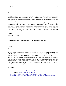### React Maintenance 154

|        | $\lambda$<br>$\cdot$ |  |
|--------|----------------------|--|
| $\}$ ; |                      |  |

If all arguments are passed to a function, it's acceptable to have it outside the component. It prevents creating the function on every render, so the useCallback hook becomes unnecessary. The function still computes the value of summed comments on every render, which becomes a problem for more expensive computations.

Each time text is typed in the input field of the SearchForm component, this computation runs again with an output of "C". This may be fine for a non-heavy computation like this one, but imagine this computation would take more than 500ms. It would give the re-rendering a delay, because everything in the component has to wait for this computation. We can tell React to only run a function if one of its dependencies has changed. If no dependency changed, the result of the function stays the same. React's useMemo Hook helps us here:

**src/App.js**

```
const App = () \Rightarrow {
  ...
  const sumComments = React.useMemo(() => getSumComments(stories), [
    stories,
  ]);
  return ( ... );
};
```
For every time someone types in the SearchForm, the computation shouldn't run again. It only runs if the dependency array, here stories, has changed. After all, this should only be used for cost expensive computations which could lead to a delay of a (re-)rendering of a component.

Now, after we went through these scenarios for useMemo, useCallback, and memo, remember that these shouldn't necessarily be used by default. Apply these performance optimization only if you run into a performance bottlenecks. Most of the time this shouldn't happen, because React's rendering mechanism is pretty efficient by default. Sometimes the check for utilities like memo can be more expensive than the re-rendering itself.

### **Exercises:**

- Confirm your [source code for the last section](https://codesandbox.io/s/github/the-road-to-learn-react/hacker-stories/tree/hs/Performance-in-React)<sup>185</sup>.
	- Confirm the [changes from the last section](https://github.com/the-road-to-learn-react/hacker-stories/compare/hs/react-modern-final...hs/Performance-in-React?expand=1)<sup>186</sup>.

<span id="page-163-0"></span><sup>185</sup><https://codesandbox.io/s/github/the-road-to-learn-react/hacker-stories/tree/hs/Performance-in-React>

<span id="page-163-1"></span><sup>186</sup><https://github.com/the-road-to-learn-react/hacker-stories/compare/hs/react-modern-final...hs/Performance-in-React?expand=1>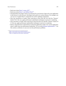- Read more about [React's memo API](https://reactjs.org/docs/react-api.html#reactmemo)<sup>187</sup>.
- Read more about [React's useCallback Hook](https://reactjs.org/docs/hooks-reference.html#usecallback)<sup>188</sup>.
- Download *React Developer Tools* as an extension for your browser. Open it for your application in the browser via the browser's developer tools and try its various features. For example, you can use it to visualize React's component tree and its updating components.
- Does the SearchForm re-render when removing an item from the List with the "Dismiss" button? If it's the case, apply performance optimization techniques to prevent re-rendering.
- Does each Item re-render when removing an item from the List with the "Dismiss" button? If it's the case, apply performance optimization techniques to prevent re-rendering.
- Remove all performance optimizations to keep the application simple. Our current application doesn't suffer from any performance bottlenecks. Try to avoid [premature optimzations](https://en.wikipedia.org/wiki/Program_optimization)<sup>189</sup>. Use this section as reference, in case you run into performance problems.

<span id="page-164-0"></span><sup>187</sup><https://reactjs.org/docs/react-api.html#reactmemo>

<span id="page-164-1"></span> $^{\rm 188}$ <https://reactjs.org/docs/hooks-reference.html#usecallback>

<span id="page-164-2"></span><sup>189</sup>[https://en.wikipedia.org/wiki/Program\\_optimization](https://en.wikipedia.org/wiki/Program_optimization)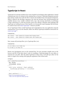# **TypeScript in React**

TypeScript for JavaScript and React have many benefits for developing robust applications. Instead of getting type errors on runtime in the command line or browser, TypeScript integration presents them during compile time inside the IDE. It shortens the feedback loop of JavaScript development. While it improves the developer experience, the code also becomes more self-documenting and readable, because every variable is defined with a type. Also moving code blocks or performing a larger refactoring of a code base becomes much more efficient. Statically typed languages like TypeScript are trending because of their benefits over dynamically typed languages like JavaScript. It's useful to learn more [about Typescript](https://www.typescriptlang.org/index.html)<sup>190</sup> whenever possible.

To use TypeScript in React, install TypeScript and its dependencies into your application using the command line. If you run into obstacles, follow the official TypeScript installation instructions for  $create$ -react-app<sup>191</sup>:

**Command Line**

```
npm install --save typescript @types/node @types/react
npm install --save typescript @types/react-dom @types/jest
```
Next, rename all JavaScript files (*.js*) to TypeScript files (*.tsx*).

#### **Command Line**

mv src/index.js src/index.tsx mv src/App.js src/App.tsx

Restart your development server in the command line. You may encounter compile errors in the browser and IDE. If the latter doesn't work, try installing a TypeScript plugin for your editor, or extension for your IDE. After the initial TypeScript in React setup, we'll add type safety for the entire *src/App.tsx* file, starting with typing the arguments of the custom hook:

**src/App.tsx**

```
const useSemiPersistentState = (
  key: string,
  initialState: string
) \Rightarrow {
  const [value, setValue] = React.useState(
    localStorage.getItem(key) || initialState
  );
```
React.useEffect $()$  =>  $\{$ 

<span id="page-165-0"></span><sup>190</sup><https://www.typescriptlang.org/index.html>

<span id="page-165-1"></span><sup>191&</sup>lt;sub><https://create-react-app.dev/docs/adding-typescript/></sub>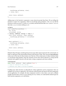React Maintenance 157

```
localStorage.setItem(key, value);
  }, [value, key]);
  return [value, setValue];
};
```
Adding types to the function's arguments is more about Javascript than React. We are telling the function to expect two arguments, which are JavaScript string primitives. Also, we can tell the function to return an array ([]) with a string (state), and tell functions like state updater function that take a value to return nothing (void):

```
src/App.tsx
```

```
const useSemiPersistentState = (
 key: string,
 initialState: string
): [string, (newValue: string) => void] => {
 const [value, setValue] = React.useState(
    localStorage.getItem(key) || initialState
 );
 React.useEffect(() => {
    localStorage.setItem(key, value);
 }, [value, key]);
 return [value, setValue];
};
```
Related to React though, considering the previous type safety improvements for the custom hook, we hadn't to add types to the internal React hooks in the function's body. That's because **type inference** works most of the time for React hooks out of the box. If the *initial state* of a React useState Hook is a JavaScript string primitive, then the returned *current state* will be inferred as a string and the returned *state updater function* will only take a string as argument and return nothing:

**Code Playground**

```
const [value, setValue] = React.useState('React');
// value is inferred to be a string
// setValue only takes a string as argument
```
If adding type safety becomes an aftermath for a React application and its components, there are multiple ways on how to approach it. We will start with the props and state for the leaf components of our application. For example, the Item component receives a story (here item) and a callback handler function (here onRemoveItem). Starting out very verbose, we could add the inlined types for both function arguments as we did before: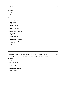**src/App.tsx**

```
const Item = ({}item,
  onRemoveItem,
}: {
  item: {
    objectID: string;
    url: string;
    title: string;
    author: string;
    num_comments: number;
    points: number;
  };
  onRemoveItem: (item: {
    objectID: string;
    url: string;
    title: string;
    author: string;
    num_comments: number;
    points: number;
  }) => void;
}) => (
  <div>
    ...
  \langle/div\rangle);
```
There are two problems: the code is verbose, and it has duplications. Let's get rid of both problems by defining a custom Story type outside the component, at the top of *src/App.js*:

**src/App.tsx**

```
type Story = {
  objectID: string;
  url: string;
  title: string;
  author: string;
  num_comments: number;
  points: number;
};
```
...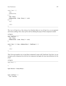#### React Maintenance 159

```
const Item = ({}item,
  onRemoveItem,
}: {
  item: Story;
  onRemoveItem: (item: Story) => void;
}) => (
  <div>
    ...
  \langle/div\rangle);
```
The item is of type Story; the onRemoveItem function takes an item of type Story as an argument and returns nothing. Next, clean up the code by defining the props of Item component outside:

**src/App.tsx**

```
type ItemProps = {
  item: Story;
  onRemoveItem: (item: Story) => void;
};
const Item = ({ item, onRemoveItem }: ItemProps) => (
  <div>
    ...
  </div>
);
```
That's the most popular way to type React component's props with TypeScript. From here, we can navigate up the component tree into the List component and apply the same type definitions for the props:

**src/App.tsx**

```
type Story = \{...
};
type Stories = Array<Story>;
...
type ListProps = {
  list: Stories;
```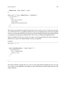```
onRemoveItem: (item: Story) => void;
};
const List = ({ list, onRemoveItem }: ListProps) =>
  list.map(item => (
    <Item
      key={item.objectID}
      item={item}
      onRemoveItem={onRemoveItem}
    />
  ));
```
The onRemoveItem function is typed twice for the ItemProps and ListProps. To be more accurate, you *could* extract this to a standalone defined OnRemoveItem TypeScript type and reuse it for both onRemoveItem prop type definitions. Note, however, that development becomes increasingly difficult as components are split up into different files. That's why we will keep the duplication here.

Since we already have the Story and Stories types, we can repurpose them for other components. Add the Story type to the callback handler in the App component:

**src/App.tsx**

```
const App = () => {
  ...
  const handleRemoveStory = (item: Story) => {
    dispatchStories({
      type: 'REMOVE_STORY',
      payload: item,
    });
  };
  ...
};
```
The reducer function manages the Story type as well, except without looking into the state and action types. As the application's developer, we know both objects and their shapes passed to this reducer function: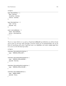**src/App.tsx**

```
type StoriesState = {
  data: Stories;
  isLoading: boolean;
  isError: boolean;
};
type StoriesAction = {
  type: string;
  payload: any;
};
const storiesReducer = (
  state: StoriesState,
  action: StoriesAction
) => {
  ...
};
```
The Action type with its string and any (TypeScript **wildcard**) type definitions are still too broad; and we gain no real type safety through it, because actions are not distinguishable. We can do better by specifying each action TypeScript type as an **interface**, and using a **union type** (here StoriesAction) for the final type safety:

**src/App.tsx**

```
interface StoriesFetchInitAction {
  type: 'STORIES_FETCH_INIT';
}
interface StoriesFetchSuccessAction {
  type: 'STORIES_FETCH_SUCCESS';
 payload: Stories;
}
interface StoriesFetchFailureAction {
  type: 'STORIES_FETCH_FAILURE';
}
interface StoriesRemoveAction {
 type: 'REMOVE_STORY';
 payload: Story;
}
```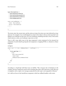```
type StoriesAction =
  | StoriesFetchInitAction
  | StoriesFetchSuccessAction
  | StoriesFetchFailureAction
  | StoriesRemoveAction;
const storiesReducer = (
  state: StoriesState,
  action: StoriesAction
) \Rightarrow {
  ...
};
```
The stories state, the current state, and the action are types; the return new state (inferred) are type safe now. For example, if you would dispatch an action to the reducer with an action type that's not defined, you would get an type error. Or if you would pass something else than a story to the action which removes a story, you would get a type error as well.

There is still a type safety issue in the App component's return statement for the returned List component. It can be fixed by giving the List component a wrapping HTML div element or a React fragment:

**src/App.tsx**

```
const List = ({ list, onRemoveItem }: ListProps) => (
  <>
    {list.map(item => (
      <Item
        key={item.objectID}
        item={item}
        onRemoveItem={onRemoveItem}
      />
    ))}
  </>
);
```
According to a TypeScript with React issue on GitHub: *"This is because due to limitations in the compiler, function components cannot return anything other than a JSX expression or null, otherwise it complains with a cryptic error message saying that the other type is not assignable to Element."*

Let's shift our focus to the SearchForm component, which has callback handlers with events: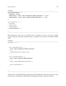React Maintenance 163

#### **src/App.tsx**

```
type SearchFormProps = {
 searchTerm: string;
  onSearchInput: (event: React.ChangeEvent<HTMLInputElement>) => void;
  onSearchSubmit: (event: React.FormEvent<HTMLFormElement>) => void;
};
const SearchForm = ({
 searchTerm,
 onSearchInput,
 onSearchSubmit,
}: SearchFormProps) => (
  ...
);
```
Often using React.SyntheticEvent instead of React.ChangeEvent or React.FormEvent is usually enough. Going up to the App component again, we apply the same type for the callback handler there:

#### **src/App.tsx**

```
const App = () \Rightarrow {
  ...
  const handleSearchInput = (
    event: React.ChangeEvent<HTMLInputElement>
  ) \Rightarrow {
    setSearchTerm(event.target.value);
  };
  const handleSearchSubmit = (
    event: React.FormEvent<HTMLFormElement>
  ) \Rightarrow {
    setUrl(`${API_ENDPOINT}${searchTerm}`);
    event.preventDefault();
  };
  ...
};
```
All that's left is the InputWithLabel component. Before handling this component's props, let's take a look at the ref from React's useRef Hook. Unfortunately, the return value isn't inferred: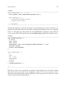**src/App.tsx**

```
const InputWithLabel = ({..., }) => {
 const inputRef = React.useRef<HTMLInputElement>(null!);
 React.useEffect() => {
    if (isFocused && inputRef.current) {
      inputRef.current.focus();
    }
 }, [isFocused]);
```
We made the returned ref type safe, and typed it as read-only because we only execute the focus method on it (read). React takes over for us there, setting the DOM element to the current property.

Lastly, we will apply type safety checks for the InputWithLabel component's props. Note the children prop with its React specific type and the **optional types** signaled with a question mark:

**src/App.tsx**

```
type InputWithLabelProps = {
  id: string;
  value: string;
  type?: string;
  onInputChange: (event: React.ChangeEvent<HTMLInputElement>) => void;
  isFocused?: boolean;
  children: React.ReactNode;
};
const InputWithLabel = ({
  id,
 value,
  type = 'text',
  onInputChange,
  isFocused,
 children,
}: InputWithLabelProps) => {
  ...
};
```
Both the type and isFocused properties are optional. Using TypeScript, you can tell the compiler these don't need to be passed to the component as props. The children prop has a lot of TypeScript type definitions that could be applicable to this concept, the most universal of which is React.ReactNode from the React library.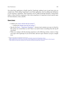Our entire React application is finally typed by TypeScript, making it easy to spot type errors on compile time. When adding TypeScript to your React application, start by adding type definitions to your function's arguments. These functions can be vanilla JavaScript functions, custom React hooks, or React function components. Only when using React is it important to know specific types for form elements, events, and JSX.

### **Exercises:**

- Confirm your [source code for the last section](https://codesandbox.io/s/github/the-road-to-learn-react/hacker-stories/tree/hs/TypeScript-in-React)<sup>192</sup>.
	- Confirm the [changes from the last section](https://github.com/the-road-to-learn-react/hacker-stories/compare/hs/react-modern-final...hs/TypeScript-in-React?expand=1)<sup>193</sup>.
- Dig into the [React + TypeScript Cheatsheet](https://github.com/typescript-cheatsheets/react-typescript-cheatsheet#reacttypescript-cheatsheets)<sup>194</sup>, because most common use cases we faced in this section are covered there as well. There is no need to know everything from the top off your head.
- While you continue with the learning experience in the following sections, remove or keep your types with TypeScript. If you do the latter, add new types whenever you get a compile error.

<span id="page-174-1"></span><sup>193</sup><https://github.com/the-road-to-learn-react/hacker-stories/compare/hs/react-modern-final...hs/TypeScript-in-React?expand=1>

<span id="page-174-0"></span> $^{192}\mathrm{https://codesandbox.io/s/github/the road-to-learn-react/hacker- stories/tree/hs/TypeScript-in-Reach-eta-bath-cact/hacker-stories/tree/hs/TypeScript-in-Reach-React-hacker-stories/tree/his/TypeScript-in-Reach-React-hacker-stories/tree/his/TypeScript-in-Reach-React-hacker-stories/tree/his/TypeScript-in-Reach-React-hacker-stories/tree/his/TypeScript-in-Reach-React-hacker-stories/tree/his/TypeScript-in-Reach-React-hacker-stories/tree/his/TypeScript-in-Reach-React-hacker-stories/tree/his/TypeScript-in-Reach-React-hacker-stories/tree/his/TypeScript-in-Reach-React-hacker-$ 

<span id="page-174-2"></span><sup>194</sup><https://github.com/typescript-cheatsheets/react-typescript-cheatsheet#reacttypescript-cheatsheets>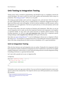# **Unit Testing to Integration Testing**

Testing source code is essential to programming, and should be seen as a mandatory exercise for serious developers. We want to verify our source code's quality and functionality before using it in production. The [testing pyramid](https://martinfowler.com/articles/practical-test-pyramid.html)<sup>195</sup> will serve as our guide.

The testing pyramid includes end-to-end tests, integration tests, and unit tests. Unit tests are used for small, isolated blocks of code, such as a single function or component. Integration tests help us figure out if these units work well together. An end-to-end test simulates a real-life scenario, such as the login flow in a web application. Unit tests are quick and easy to write and maintain; end-to-end tests are the opposite.

We want to have many unit tests covering our functions and components. After that, we can use several integration tests to make sure the most important functions and components work together as expected. Finally, we may need a few end-to-end tests to simulate critical scenarios. In this learning experience, we will cover **unit and integration tests**, along with a component specific testing technique called **snapshot tests**. **E2E tests** will be part of the exercise.

Since there are [many testing libraries](https://www.robinwieruch.de/react-testing-tutorial)<sup>196</sup>, it can be challenging to choose one as a beginner to React. We will use [Jest](https://jestjs.io/)<sup>197</sup> by Facebook as a testing framework to avoid making this tutorial too opinionated. Most of the other testing libraries for React use Jest as foundation, so it's a good introduction.

### **Unit to Integration Testing**

Often the lines between unit and integration tests are unclear. Testing the List component with its Item component could be considered an integration test, but it could also be a unit test for two tightly coupled components. In this section, we start with unit testing and move towards integration testing. Everything in between is a spectrum between both.

Let's start with a pseudo test in your *src/App.test.js* file:

**src/App.test.js**

```
describe('something truthy', () => {
  it('true to be true', () => {
    expect(true).toBe(true);
  });
});
```
Fortunately, create-react-app comes with Jest. You can run the test using the interactive create-reactapp test script on the command line. The output for all test cases will be presented in your command line interface.

<span id="page-175-0"></span> $^{\rm 195}$ <https://martinfowler.com/articles/practical-test-pyramid.html>

<span id="page-175-1"></span> $^{\rm 196}$ <https://www.robinwieruch.de/react-testing-tutorial>

<span id="page-175-2"></span><sup>197&</sup>lt;sub><https://jestjs.io/></sub>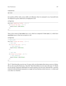React Maintenance 167

**Command Line**

npm test

Jest matches all files with a *test.js* suffix in its filename when its command is run. Successful tests are displayed in green; failed tests are displayed in red:

**src/App.test.js**

```
describe('something truthy', () => {
 it('true to be true', () => {
   expect(true).toBe(false);
 });
});
```
Tests in Jest consist of **test suites** (describe), which are comprised of **test cases** (it), which have **assertions** (expect) that turn out green or red:

**src/App.test.js**

```
// test suite
describe('truthy and falsy', () => {
 // test case
 it('true to be true', () => {
   // test assertion
   expect(true).toBe(true);
 });
 // test case
 it('false to be false', () => {
   // test assertion
   expect(false).toBe(false);
 });
});
```
The "it"-block describes one test case. It comes with a test description that returns success or failure. We can also wrap this block into a "describe"-block that defines our test suite with many "it"-blocks for one specific component. Both blocks are used to organize your test cases. Note that the it function is known in the JavaScript community as a single-test case function; in Jest, however, it is often used as an alias test function.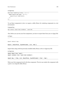**src/App.test.js**

```
describe('something truthy', () => {
 test('true to be true', () => {
   expect(true).toBe(false);
 });
});
```
To use React components in Jest, we require a utility library for rendering components in a test environment:

#### **Command Line**

npm install react-test-renderer --save-dev

Also, before you can test your first components, you have to export them from your *src/App.js* file:

**src/App.js**

...

```
export default App;
```

```
export { SearchForm, InputWithLabel, List, Item };
```
Import them along with the previously installed utility library in the *src/App.test.js* file:

**src/App.test.js**

```
import React from 'react';
import renderer from 'react-test-renderer';
```
**import App, { Item, List, SearchForm, InputWithLabel } from './App';**

Write your first component test for the Item component. The test case renders the component with a given item using the utility library: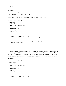### **src/App.test.js**

```
import React from 'react';
import renderer from 'react-test-renderer';
import App, { Item, List, SearchForm, InputWithLabel } from './App';
describe('Item', () => {
 const item = {
   title: 'React',
   url: 'https://reactjs.org/',
   author: 'Jordan Walke',
   num_comments: 3,
   points: 4,
   objectID: 0,
 };
 it('renders all properties', () => {
    const component = renderer.create(<Item item={item} />);
    expect(component.root.findByType('a').props.href).toEqual(
      'https://reactjs.org/'
   );
 });
});
```
Information about a component's or element's attributes are available via the props property. In the test assertion, we find the anchor tag (a) and its href attribute, and perform an equality check. If the test turns out green, we can be sure the anchor tag's href attribute is set to the correct url property of the item. In the same test case, we can add more test assertions for the other item's properties:

#### **src/App.test.js**

```
describe('Item', () => {
 const item = {
   title: 'React',
   url: 'https://reactjs.org/',
   author: 'Jordan Walke',
   num_comments: 3,
   points: 4,
   objectID: 0,
 };
 it('renders all properties', () => {
```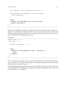```
const component = renderer.create(<Item item={item} \rightarrow );
    expect(component.root.findByType('a').props.href).toEqual(
      'https://reactjs.org/'
    );
    expect(
      component.root.findAllByType('span')[1].props.children
    ).toEqual('Jordan Walke');
  });
});
```
Since there are multiple span elements, we find all of them and select the second one (index is 1 , because we count from 0) and compare its React children prop to the item's author. This test isn't thorough enough, though. Once the order of span elements in the Item component changes, the test fails. Avoid this flaw by changing the assertion to:

**src/App.test.js**

```
describe('Item', () => {
 const item = \{ \ldots \};
  it('renders all properties', () => {
    ...
    expect(
      component.root.findAllByProps({ children: 'Jordan Walke' })
        .length
    ).toEqual(1);
  });
});
```
The test assertion isn't as specific anymore. It just tests whether there is one element with the item's author property. You can apply this technique for all the other properties of the item yourself. Otherwise, leave it for later as exercise.

We tested whether the Item component renders as text or HTML attributes (href), but we didn't test the callback handler. The following test case makes this assertion by simulating a click event via the button element's onClick attribute: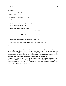#### **src/App.test.js**

```
describe('Item', () => {
 const item = \{ \ldots \};
 it('renders all properties', () => {
    ...
 });
 it('calls onRemoveItem on button click', () => {
    const handleRemoveItem = jest.fn();
   const component = renderer.create(
      <Item item={item} onRemoveItem={handleRemoveItem} />
    );
   component.root.findByType('button').props.onClick();
    expect(handleRemoveItem).toHaveBeenCalledTimes(1);
    expect(handleRemoveItem).toHaveBeenCalledWith(item);
    expect(component.root.findAllByType(Item).length).toEqual(1);
 });
});
```
Jest lets us pass a test-specific function to the Item component as prop. These test specific functions are called **spy**, **stub**, or **mock**; each is used for different test scenarios. The jest.fn() returns us a *mock* for the actual function, which lets us capture when it's called. As a result, we can use Jest assertions like toHaveBeenCalledTimes, which lets us assert a number of times the function has been called; and toHaveBeenCalledWith, to verify arguments that are passed to it.

Item component's unit test is complete, because we tested input (item) and output (onRemoveItem). The two shouldn't be confused with input (arguments) and output (JSX) of the function component, which were also tested as. One last improvement makes the test suite for the Item component more concise by giving it a shared setup function: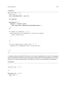**src/App.test.js**

```
\overline{\text{describe}}('Item', () \Rightarrowconst item = \{ \ldots \};
 const handleRemoveItem = jest.fn();
  let component;
  beforeEach(() => {
    component = renderer.create(
      <Item item={item} onRemoveItem={handleRemoveItem} />
    );
 });
  it('renders all properties', () => {
    expect(component.root.findByType('a').props.href).toEqual(
      'https://reactjs.org/'
    );
    ...
 });
  it('calls onRemoveItem on button click', () => {
    component.root.findByType('button').props.onClick();
    ...
 });
});
```
A common setup (or teardown) function in tests removes duplicated code. Since the component must be rendered for both test cases, and the props are the same for both renderings, we can share this code in a common setup function. From there, we'll move on to testing the List component:

**src/App.test.js**

...

```
describe('Item', () => {
 ...
});
describe('List', () => {
 const list = [
    {
```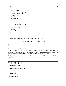React Maintenance 173

```
title: 'React',
      url: 'https://reactjs.org/',
      author: 'Jordan Walke',
      num_comments: 3,
      points: 4,
      objectID: 0,
   },
    {
     title: 'Redux',
      url: 'https://redux.js.org/',
      author: 'Dan Abramov, Andrew Clark',
      num_comments: 2,
      points: 5,
     objectID: 1,
   },
 ];
 it('renders two items', () => {
    const component = renderer.create(<List list={list} />);
    expect(component.root.findAllByType(Item).length).toEqual(2);
 });
});
```
The test checks straightforward whether two Item components are rendered for the two items in the list. You could continue testing the List component by checking whether each callback handler (onRemoveItem) is called for each Item component, which would have a similar solution to the previous Item component's test. Is this test still a unit test or already an integration test?

Keeping this question in the room, we will move on to the SearchForm with InputWithLabel component:

**src/App.test.js**

```
describe('SearchForm', () => {
 const searchFormProps = {
    searchTerm: 'React',
   onSearchInput: jest.fn(),
   onSearchSubmit: jest.fn(),
 };
 let component;
 beforeEach(() => {
```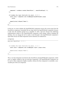```
component = renderer.create(<SearchForm {...searchFormProps} />);
 });
 it('renders the input field with its value', () => {
    const value = component.root.findByType(InputWithLabel).props
      .value;
    expect(value).toEqual('React');
 });
});
```
In this test, we assert whether the InputWithLabel component receives the correct prop from the SearchForm component. Essentially the test stops before the InputWithLabel component, because it only tests the interface (props) of it. Arguably it's still a unit test, because the underlying implementation details of the InputWithLabel component could change without changing the interface. You can change the test to make it work through to the InputWithLabel component's input field, because all child components and its elements are rendered too:

**src/App.test.js**

```
describe('SearchForm', () => {
  ...
 it('renders the input field with its value', () => {
    const value = component.root.findByType('input').props.value;
   expect(value).toEqual('React');
 });
});
```
This is our first integration test between the SearchForm and InputWithLabel components, which aren't as tightly coupled as the List and Item components. The InputWithLabel component can be used in other components (highly reusable), whereas the Item component is essentially a nonreusable part of the List component.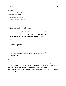#### **src/App.test.js**

```
describe('SearchForm', () => {
 const searchFormProps = {
    searchTerm: 'React',
   onSearchInput: jest.fn(),
    onSearchSubmit: jest.fn(),
 };
  ...
 it('changes the input field', () => {
    const pseudoEvent = { target: 'Redux' };
    component.root.findByType('input').props.onChange(pseudoEvent);
    expect(searchFormProps.onSearchInput).toHaveBeenCalledTimes(1);
    expect(searchFormProps.onSearchInput).toHaveBeenCalledWith(
      pseudoEvent
    );
 });
 it('submits the form', () \Rightarrow {
    const pseudoEvent = {};
    component.root.findByType('form').props.onSubmit(pseudoEvent);
    expect(searchFormProps.onSearchSubmit).toHaveBeenCalledTimes(1);
    expect(searchFormProps.onSearchSubmit).toHaveBeenCalledWith(
      pseudoEvent
   );
 });
});
```
Like the Item component, the last two tests asserted the component's callback handler(s). All input (non function props) and output (callback handler function) props are tested for the SearchForm component's interface and integration with the InputWithLabel component.

You can test edge cases like a disabled button as well. The update() method on the rendered test component helps us provide new props to the component at stake: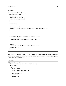#### **src/App.test.js**

```
describe('SearchForm', () => {
 const searchFormProps = {
    searchTerm: 'React',
   onSearchInput: jest.fn(),
   onSearchSubmit: jest.fn(),
 };
 let component;
 beforeEach(() => {
   component = renderer.create(<SearchForm {...searchFormProps} />);
 });
  ...
 it('disables the button and prevents submit', () => {
   component.update(
      <SearchForm {...searchFormProps} searchTerm="" />
    );
   expect(
      component.root.findByType('button').props.disabled
    ).toBeTruthy();
 });
});
```
Now we'll move one level higher in our application's component hierarchy. The App component fetches the list data, which is provided to the List component. After importing the App component, a naive test would look like this:

```
src/App.test.js
```

```
describe('App', () => {
 it('succeeds fetching data with a list', () => {
   const list = [
      {
        title: 'React',
        url: 'https://reactjs.org/',
        author: 'Jordan Walke',
        num_comments: 3,
        points: 4,
        objectID: 0,
```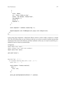```
},
      {
       title: 'Redux',
       url: 'https://redux.js.org/',
        author: 'Dan Abramov, Andrew Clark',
        num_comments: 2,
       points: 5,
       objectID: 1,
     },
   ];
   const component = renderer.create(<App />);
    expect(component.root.findByType(List).props.list).toEqual(list);
 });
});
```
In the actual App component, a third-party library (axios) is used to make a request to a remote API. This API returns data we can't foresee in the test, so we have to mock it instead. Jest provides mechanisms that mock entire libraries and their methods. In this case, we want to mock the get() method of axios to return our desired data:

#### **src/App.test.js**

```
import React from 'react';
import renderer from 'react-test-renderer';
import axios from 'axios';
jest.mock('axios');
...
describe('App', () \Rightarrow {
  it('succeeds fetching data with a list', () => {
    const list = [ ... ];
    const promise = Promise.resolve({
      data: {
        hits: list,
      },
    });
    axios.get.mockImplementationOnce(() => promise);
```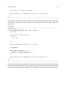React Maintenance 178

```
const component = renderer.create(<App />);
   expect(component.root.findByType(List).props.list).toEqual(list);
 });
});
```
The test reads synchronously, but we still have to deal with the asynchronous data. The component should re-render when its state updates. We can perform this with our utility library and async/await:

**src/App.test.js**

```
describe('App', () => {
 it('succeeds fetching data with a list', async () => {
    const list = [ ... ];
   const promise = Promise.resolve({
     data: {
       hits: list,
      },
    });
   axios.get.mockImplementationOnce(() => promise);
    let component;
   await renderer.act(async () => {
      component = renderer.create(<App />);
   });
   expect(component.root.findByType(List).props.list).toEqual(list);
 });
});
```
Instead of rendering the App component, we mocked the response from the remote API by mocking the method that fetches the data. To stay on the *happy path*, we told the test to treat the component as an asynchronously updating component. You can apply a similar strategy to the *unhappy path*: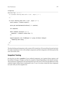**src/App.test.js**

```
describe('App', () => {
 it('succeeds fetching data with a list', async () => {
    ...
 });
 it('fails fetching data with a list', async () => {
    const promise = Promise.reject();
   axios.get.mockImplementationOnce(() => promise);
    let component;
    await renderer.act(async () => {
      component = renderer.create(<App />);
   });
    expect(component.root.findByType('p').props.children).toEqual(
      'Something went wrong ...'
   );
 });
});
```
The data fetching and integration with a remote API is tested now. We moved from focused unit tests for single components to tests with multiple components and their integration with third-parties like axios and remote APIs.

## **Snapshot Testing**

Jest also lets you take a **snapshot** of your rendered component, run it against future captures, and be notified of changes. Changes can then be accepted or denied depending on the desired outcome. This mechanism complements unit and integration tests well, since it only tests the differences of the rendered output without heavy maintenance costs. To see it in action, extend the Item component test suite with your first snapshot test: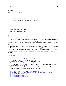#### **src/App.test.js**

```
describe('Item', () => {
  ...
  beforeEach(() => {
    component = renderer.create(
      <Item item={item} onRemoveItem={handleRemoveItem} />
    );
  });
  ...
  test('renders snapshot', () => {
    let tree = component.toJSON();
    expect(tree).toMatchSnapshot();
  });
});
```
Run your tests again and observe how they succeed or fail. Once we change the output of the render block in Item component in the *src/App.js* file, by changing the structure of the returned HTML, the snapshot test fails. We can then decide whether to update the snapshot or to investigate the Item component.

Jest stores snapshots in a folder so it can validate the difference against future snapshot tests. Users can share these snapshots across teams for version control (e.g. git). Running a snapshot test for the first time creates the snapshot file in your project's folder. When the test is run again, the snapshot is expected to match the version from the latest test run. This is how we make sure the DOM stays the same.

### **Exercises:**

- Confirm your [source code for the last section](https://codesandbox.io/s/github/the-road-to-learn-react/hacker-stories/tree/hs/react-testing)<sup>198</sup>.
- **–** Confirm the [changes from the last section](https://github.com/the-road-to-learn-react/hacker-stories/compare/hs/react-modern-final...hs/react-testing?expand=1)<sup>199</sup>.
- Add one snapshot test for each of all the other components.
- Read more about [testing React components](https://www.robinwieruch.de/react-testing-tutorial)<sup>200</sup>.
- Read more about [Jest](https://jestjs.io/)<sup>201</sup> and [Jest for React](https://www.robinwieruch.de/react-testing-jest/)<sup>202</sup> for unit, integration and snapshot tests.
- Read more about [E2E tests in React](https://www.robinwieruch.de/react-testing-cypress)<sup>203</sup>.
- While you continue with the learning experience in the upcoming sections, keep your tests green and add new tests whenever you feel the need for it.

<span id="page-189-0"></span><sup>&</sup>lt;sup>198</sup><https://codesandbox.io/s/github/the-road-to-learn-react/hacker-stories/tree/hs/react-testing>

<span id="page-189-2"></span><span id="page-189-1"></span><sup>&</sup>lt;sup>199</sup><https://github.com/the-road-to-learn-react/hacker-stories/compare/hs/react-modern-final...hs/react-testing?expand=1> <sup>200</sup><https://www.robinwieruch.de/react-testing-tutorial>

<span id="page-189-3"></span><sup>&</sup>lt;sup>201</sup><https://jestjs.io/>

<span id="page-189-4"></span>²⁰²<https://www.robinwieruch.de/react-testing-jest/>

<span id="page-189-5"></span><sup>&</sup>lt;sup>203</sup><https://www.robinwieruch.de/react-testing-cypress>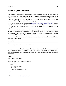## **React Project Structure**

With multiple React components in one file, you might wonder why we didn't put components into different files for the *src/App.js* file from the start. We already have multiple components in the file that can be defined in their own files/folders (also called modules). For learning, it's more practical to keep these components in one place. Once our application grows, we'll consider splitting these components into multiple modules so it scales properly.

Before we restructure our React project, recap [JavaScript's import and export statements](https://www.robinwieruch.de/javascript-import-export)<sup>204</sup>. Importing and exporting files are two fundamental concepts in JavaScript you must learn before React. There's no right way to structure a React application, as they evolve naturally along with the project's structure.

We'll complete a simple refactoring for the project's folder/file structure for the sake of learning about the process. Afterward, there will be a few additional options about restructuring this project or React projects in general. You can continue with the restructured project, though we'll continue developing with the *src/App.js* file to keep things simple.

On the command line in your project's folder, navigate into the *src/* folder and create the following component dedicated files:

**Command Line**

```
cd src
touch List.js InputWithLabel.js SearchForm.js
```
Move every component from the *src/App.js* file in its own file, except for the List component which has to share its place with the Item component in the *src/List.js* file. Then in every file make sure to import React and to export the component which needs to be used from the file. For example, in *src/List.js* file:

**src/List.js**

```
const List = ({list, onRemoveItem }) =>
  listmap(item \Rightarrow (<Item
      key={item.objectID}
      item={item}
      onRemoveItem={onRemoveItem}
    />
  ));
```
**import React from 'react';**

<span id="page-190-0"></span><sup>&</sup>lt;sup>204</sup><https://www.robinwieruch.de/javascript-import-export>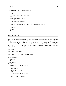React Maintenance 182

```
const Item = ({item, onRemoveItem }) => (<div>
     <span>
        \langle a \nvert href={item.url}>{item.title}\langle a \rangle</span>
     <span>{item.author}</span>
     <span>{item.num_comments}</span>
     <span>{item.points}</span>
     <span>
        \left\{\text{button type} = \text{button} \text{ on} \text{Click} = \{()\} \Rightarrow \text{on} \text{RemoveItem}(\text{item})\}Dismiss
        </button>
     </span>
  </div>
);
export default List;
```
Since only the List component uses the Item component, we can keep it in the same file. If this changes because the Item component is used elsewhere, we can give the Item component its own file. The SearchForm component in the *src/SearchForm.js* file must import the InputWithLabel component. Like the Item component, we could have left the InputWithLabel component next to the SearchForm; but our goal is to make InputWithLabel component reusable with other components. We'll probably import it eventually.

**src/SearchForm.js**

```
import React from 'react';
import InputWithLabel from './InputWithLabel';
const SearchForm = ({
  searchTerm,
 onSearchInput,
 onSearchSubmit,
\}) \Rightarrow (<form onSubmit={onSearchSubmit}>
    <InputWithLabel
      id="search"
      value={searchTerm}
      isFocused
      onInputChange={onSearchInput}
    >
      <strong>Search:</strong>
```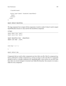```
</InputWithLabel>
    <button type="submit" disabled={!searchTerm}>
      Submit
    </button>
  </form>
);
```

```
export default SearchForm;
```
The App component has to import all the components it needs to render. It doesn't need to import InputWithLabel, because it's only used for the SearchForm component.

**src/App.js**

```
import React from 'react';
import axios from 'axios';
import SearchForm from './SearchForm';
import List from './List';
...
const App = () => {
  ...
};
export default App;
```
Components that are used in other components now have their own file. Only if a component (e.g. Item) is dedicated to another component (e.g. List) do we keep it in the same file. If a component should be used as a reusable component (e.g. InputWithLabel), it also receives its own file. From here, there are several strategies to structure your folder/file hierarchy. One scenario is to create a folder for every component: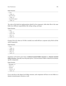#### **Project Structure**

| v.<br>× |  |
|---------|--|
|---------|--|

- -- index.js
- SearchForm/
- -- index.js
- InputWithLabel/
- -- index.js

The *index.js* file holds the implementation details for the component, while other files in the same folder have different responsibilities like styling, testing, and types:

**Project Structure**

| - List/      |
|--------------|
| -- index.js  |
| -- style.css |
| -- test.js   |
| -- types.js  |

If using CSS-in-JS, where no CSS file is needed, one could still have a separate *style.js* file for all the styled components:

**Project Structure**

| - List/     |  |  |
|-------------|--|--|
| -- index.js |  |  |
| -- style.js |  |  |
| -- test.js  |  |  |
| -- types.js |  |  |

Sometimes we'll need to move from a **technical-oriented folder structure** to a **domain-oriented folder structure**, especially once the project grows. Universal*shared/* folder is shared across domain specific components:

**Project Structure**

- Messages.js
- Users.js
- shared/
- -- Button.js
- -- Input.js

If you scale this to the deeper level folder structure, each component will have its own folder in a domain-oriented project structure as well: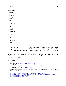**Project Structure**

There are many ways on how to structure your React project from small to large project: simple to complex folder structure; one-level nested to two-level nested folder nesting; dedicated folders for styling, types and testing next to implementation logic. There is no right way for folder/file structures.

A project's requirements evolve over time and so should its structure. If keeping all assets in one file feels right, then there is no rule against it. Just try to keep the nesting level shallow, otherwise you could get lost deep in folders.

### **Exercises:**

- Confirm your [source code for the last section](https://codesandbox.io/s/github/the-road-to-learn-react/hacker-stories/tree/hs/React-Folder-Structure)<sup>205</sup>. - Confirm the [changes from the last section](https://github.com/the-road-to-learn-react/hacker-stories/compare/hs/react-modern-final...hs/React-Folder-Structure?expand=1)<sup>206</sup>.
- Read more about [JavaScript's import and export statements](https://www.robinwieruch.de/javascript-import-export)<sup>207</sup>.
- Read more about [React Folder Structures](https://www.robinwieruch.de/react-folder-structure)<sup>208</sup>.
- Keep the current folder structure if you feel confident. The ongoing sections will omit it, only using the *src/App.js* file.

<span id="page-194-1"></span><span id="page-194-0"></span><sup>&</sup>lt;sup>205</sup><https://codesandbox.io/s/github/the-road-to-learn-react/hacker-stories/tree/hs/React-Folder-Structure>

 $^{206}\rm{https://github.com/the-road-to-learn-react/hacker-stories/compare/hs/react-modern-final...hs/React-Folder-Structure?expand=1$  $^{206}\rm{https://github.com/the-road-to-learn-react/hacker-stories/compare/hs/react-modern-final...hs/React-Folder-Structure?expand=1$ 

<span id="page-194-2"></span><sup>&</sup>lt;sup>207</sup><https://www.robinwieruch.de/javascript-import-export>

<span id="page-194-3"></span><sup>&</sup>lt;sup>208</sup><https://www.robinwieruch.de/react-folder-structure>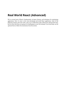# **Real World React (Advanced)**

We've covered most of React's fundamentals, its legacy features, and techniques for maintaining applications. Now it's time to dive into developing real-world React applications. Each of the following sections will come with a task. Try to tackle these tasks without the *optional hints* first, but be aware that these are going to be challenging on your first attempt. If you need help, use the *optional hints* or follow the instructions from the section.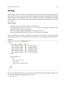## **Sorting**

**Task:** Working with a list of items often includes interactions that make data more approachable by users. So far, every item was listed with each of its properties. To make it explorable, the list should enable sorting of each property by title, author, comments, and points in ascending or descending order. Sorting in only one direction is fine, because sorting in the other direction will be part of the next section.

#### **Optional Hints:**

- Introduce a new sort state in the App or List component.
- For each property (e.g. title, author, points, num\_comments) implement an HTML button which sets the sort state for this property.
- Use the sort state to apply an appropriate sort function on the list.
- Using a utility library like [Lodash](https://lodash.com/)<sup>209</sup> for its sortBy function is encouraged.

We will treat the list of data like a table. Each row represents an item of the list and each column represents one property of the item. Headers provide the user more guidance about each column:

**src/App.js**

```
const List = ({ list, onRemoveItem }) => (
  <div>
    <div style={{ display: 'flex' }}>
      <span style={{ width: '40%' }}>Title</span>
      <span style={{ width: '30%' }}>Author</span>
      <span style={{ width: '10%' }}>Comments</span>
      <span style={{ width: '10%' }}>Points</span>
      <span style={{ width: '10%' }}>Actions</span>
    </div>
    {list.map(item => (
      <Item
        key={item.objectID}
        item={item}
        onRemoveItem={onRemoveItem}
      />
    ))}
  </div>
);
```
We are using inline style for the most basic layout. To match the layout of the header with the rows, give the rows in the Item component a layout as well:

<span id="page-196-0"></span><sup>209</sup><https://lodash.com/>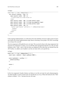#### **src/App.js**

```
const Item = ({item, onRemoveItem }) => (<div style={{ display: 'flex' }}>
     <span style={{ width: '40%' }}>
       \langle a \nvert \nvert = \{item.url\} \rangle \{item.title\} \langle a \rangle</span>
     <span style={{ width: '30%' }}>{item.author}</span>
     <span style={{ width: '10%' }}>{item.num_comments}</span>
     <span style={{ width: '10%' }}>{item.points}</span>
     <span style={{ width: '10%' }}>
       \left\{\text{button type} = \text{button} \text{ on} \text{Click} = \{()\} \Rightarrow \text{on} \text{RemoveItem}(\text{item})\}Dismiss
       </button>
     </span>
  </div>
);
```
In the ongoing implementation, we will remove the style attributes, because it takes up lots of space and clutters the actual implementation logic (hence extracting it into proper CSS). But I encourage you to keep it for yourself.

The List component will handle the new sort state. This can also be done in the App component, but only the List component is in play, so we can lift the state management directly to it. The sort state initializes with a 'NONE' state, so the list items are displayed in the order they are fetched from the API. Further, we added a new handler to set the sort state with a sort-specific key.

**src/App.js**

```
const List = ({ list, onRemoveItem }) => {
  const [sort, setSort] = React.useState('NONE');
  const handleSort = sortKey => {
    setSort(sortKey);
  };
  return (
    ...
  );
};
```
In the List component's header, buttons can help us to set the sort state for each column/property. An inline handler is used to sneak in the sort-specific key (sortKey). When the button for the "Title" column is clicked, 'TITLE' becomes the new sort state.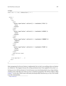```
src/App.js
```

```
const List = ({list, onRemoveItem }) => {
  ...
 return (
    <div>
      <div>
        <span>
          <button type="button" onClick={() => handleSort('TITLE')}>
            Title
          </button>
        </span>
        <span>
          <button type="button" onClick={() => handleSort('AUTHOR')}>
            Author
          </button>
        </span>
        <span>
          <button type="button" onClick={() => handleSort('COMMENT')}>
            Comments
          </button>
        </span>
        <span>
          <button type="button" onClick={() => handleSort('POINT')}>
            Points
          </button>
        </span>
        <span>Actions</span>
      \langle/div\rangle\{listmap(item = \dots) \}</div>
  );
};
```
State management for the new feature is implemented, but we don't see anything when our buttons are clicked yet. This happens because the sorting mechanism hasn't been applied to the actual list.

Sorting an array with JavaScript isn't trivial, because every JavaScript primitive (e.g. string, boolean, number) comes with edge cases when an array is sorted by its properties. We will use a library called [Lodash](https://lodash.com/)<sup>210</sup> to solve this, which comes with many JavaScript utility functions (e.g. sortBy). First, install it via the command line:

<span id="page-198-0"></span> $\sqrt[210]{\text{https://lodash.com/}}$  $\sqrt[210]{\text{https://lodash.com/}}$  $\sqrt[210]{\text{https://lodash.com/}}$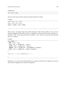#### **Command Line**

npm install lodash

Second, at the top of your file, import the utility function for sorting:

**src/App.js**

```
import React from 'react';
import axios from 'axios';
import { sortBy } from 'lodash';
```
...

Third, create a JavaScript object (also called dictionary) with all the possible sortKey and sort function mappings. Each specific sort key is mapped to a function that sorts the incoming list. Sorting by 'NONE' returns the unsorted list; sorting by 'POINT' returns a list and its items sorted by the points property.

**src/App.js**

```
const SORTS = {
 NONE: list => list,
 TITLE: list => sortBy(list, 'title'),
 AUTHOR: list => sortBy(list, 'author'),
 COMMENT: list => sortBy(list, 'num_comments').reverse(),
 POINT: list => sortBy(list, 'points').reverse(),
};
const List = ({list, onRemoveItem }) => {
  ...
};
```
With the sort (sortKey) state and all possible sort variations with SORTS at our disposal, we can sort the list before mapping it over each Item component: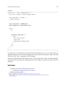#### **src/App.js**

```
const List = ({ list, onRemoveItem }) => {
  const [sort, setSort] = React.useState('NONE');
  const handleSort = sortKey => {
    setSort(sortKey);
  };
  const sortFunction = SORTS[sort];
  const sortedList = sortFunction(list);
  return (
    <div>
      ...
      {sortedList.map(item => (
        <Item
          key={item.objectID}
          item={item}
          onRemoveItem={onRemoveItem}
        />
      ))}
    </div>
  );
};
```
It's done. First we extracted the sort function from the dictionary by its sortKey (state). Then, we applied the function to the list, before mapping it to render each Item component. Again, the initial sort state will be 'NONE', meaning it will sort nothing.

Second we rendered more HTML buttons to give our users interaction. Then, we added implementation details for each button by changing the sort state. Finally, we used the sort state to sort the actual list.

### **Exercises:**

- Confirm your [source code for the last section](https://codesandbox.io/s/github/the-road-to-learn-react/hacker-stories/tree/hs/Sort)<sup>211</sup>.
	- Confirm the [changes from the last section](https://github.com/the-road-to-learn-react/hacker-stories/compare/hs/react-modern-final...hs/Sort?expand=1)<sup>212</sup>.
- Read more about [Lodash](https://lodash.com/)<sup>213</sup>.

<span id="page-200-0"></span><sup>&</sup>lt;sup>211</sup><https://codesandbox.io/s/github/the-road-to-learn-react/hacker-stories/tree/hs/Sort>

<span id="page-200-2"></span><span id="page-200-1"></span><sup>&</sup>lt;sup>212</sup><https://github.com/the-road-to-learn-react/hacker-stories/compare/hs/react-modern-final...hs/Sort?expand=1>  $213$ <https://lodash.com/>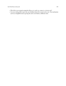Real World React (Advanced) 192

- Why did we use numeric properties like points and num\_comments a reverse sort?
- Use your styling skills to give the user feedback about the current active sort. This mechanism can be as straightforward as giving the active sort button a different color.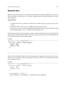## **Reverse Sort**

**Task:** The sort feature works, but the ordering only includes one direction. Implement a reverse sort when the button is clicked twice, so it becomes a toggle between normal (ascending) and reverse (descending) sort.

#### **Optional Hints:**

- Consider that reverse or normal sort could be just another state (e.g. isReverse) next to the sortKey.
- Set the new state in the handleSort handler based on the previous sort.
- Use the new isReverse state for sorting the list with the sort function from the dictionary with the optionally applied reverse() function from JavaScript arrays.

The initial sort direction works for strings, as well as numeric sorts like the reverse sort for JavaScript numbers that arranges them from high to low. Now we need another state to track whether the sort is reversed or normal, to make it more complex:

**src/App.js**

```
const List = ({list, onRemoveItem }) => {
 const [sort, setSort] = React.useState({
   sortKey: 'NONE',
    isReverse: false,
 });
  ...
};
```
Next, give the sort handler logic to see if the incoming sortKey triggers are a normal or reverse sort. If the sortKey is the same as the one in the state, it could be a reverse sort, but only if the sort state wasn't already reversed:

```
const List = ({list, onRemoveItem }) => {
 const [sort, setSort] = React.useState({
   sortKey: 'NONE',
    isReverse: false,
 });
 const handleSort = sortKey => {
   const isReverse = sort.sortKey === sortKey && !sort.isReverse;
```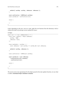```
setSort({ sortKey: sortKey, isReverse: isReverse });
 };
 const sortFunction = SORTS[sort.sortKey];
 const sortedList = sortFunction(list);
 return (
    ...
 );
};
```
Lastly, depending on the new isReverse state, apply the sort function from the dictionary with or without the built-in JavaScript reverse method for arrays:

**src/App.js**

```
const List = ({list, onRemoveItem }) => {
 const [sort, setSort] = React.useState({}sortKey: 'NONE',
   isReverse: false,
 });
 const handleSort = sortKey => {
   const isReverse = sort.sortKey === sortKey && !sort.isReverse;
   setSort({ sortKey, isReverse });
 };
 const sortFunction = SORTS[sort.sortKey];
 const sortedList = sort.isReverse
    ? sortFunction(list).reverse()
    : sortFunction(list);
 return (
    ...
 );
};
```
The reverse sort is now operational. For the object passed to the state updater function, we use what is called a **shorthand object initializer notation**: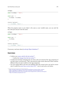#### **src/App.js**

```
const firstName = 'Robin';
const user = {
  firstName: firstName,
};
console.log(user);
```
*// { firstName: "Robin" }*

When the property name in your object is the same as your variable name, you can omit the key/value pair and just write the name:

**src/App.js**

```
const firstName = 'Robin';
const user = {
  firstName,
};
console.log(user);
// { firstName: "Robin" }
```
If necessary, read more about [JavaScript Object Initializers](https://developer.mozilla.org/en-US/docs/Web/JavaScript/Reference/Operators/Object_initializer)<sup>214</sup>.

### **Exercises:**

- Confirm your [source code for the last section](https://codesandbox.io/s/github/the-road-to-learn-react/hacker-stories/tree/hs/Reverse-Sort)<sup>215</sup>.
	- Confirm the [changes from the last section](https://github.com/the-road-to-learn-react/hacker-stories/compare/hs/Sort...hs/Reverse-Sort?expand=1)<sup>216</sup>.
- Consider the drawback of keeping the sort state in the List instead of the App component. If you don't know, sort the list by "Title" and search for other stories afterward. What would be different if the sort state would be in the App component.
- Use your styling skills to give the user feedback about the current active sort and its reverse state. It could be an [arrow up or arrow down SVG](https://www.flaticon.com/packs/arrow-set-2)<sup>217</sup> next to each active sort button.

<span id="page-204-0"></span><sup>&</sup>lt;sup>214</sup>[https://developer.mozilla.org/en-US/docs/Web/JavaScript/Reference/Operators/Object\\_initializer](https://developer.mozilla.org/en-US/docs/Web/JavaScript/Reference/Operators/Object_initializer)

<span id="page-204-1"></span><sup>215</sup><https://codesandbox.io/s/github/the-road-to-learn-react/hacker-stories/tree/hs/Reverse-Sort>

<span id="page-204-2"></span> $^{216}\rm{https://github.com/the-road-to-learn-react/hacker- stories/compare/hs/Sort...hs/Reverse-Sort?expand=1}$ 

<span id="page-204-3"></span><sup>&</sup>lt;sup>217</sup><https://www.flaticon.com/packs/arrow-set-2>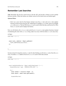## **Remember Last Searches**

**Task:** Remember the last five search terms to hit the API, and provide a button to move quickly between searches. When the buttons are clicked, stories for the search term are fetched again.

#### **Optional Hints:**

• Don't use a new state for this feature. Instead, reuse the url state and setUrl state updater function to fetch stories from the API. Adapt them to multiple urls as state, and to set multiple urls with setUrls. The last URL from urls can be used to fetch the data, and the last five URLs from urls can be used to display the buttons.

First, we will refactor all url to urls state and all setUrl to setUrls state updater functions. Instead of initializing the state with a url as a string, make it an array with the initial url as its only entry:

**src/App.js**

```
const App = () => {
  ...
  const [urls, setUrls] = React.useState([
    `${API_ENDPOINT}${searchTerm}`,
 ]);
  ...
};
```
Second, instead of using the current url state for data fetching, use the last url entry from the urls array. If another url is added to the list of urls, it is used to fetch data instead:

```
const App = () \Rightarrow {
  ...
  const handleFetchStories = React.useCallback(async () => {
    dispatchStories({ type: 'STORIES_FETCH_INIT' });
    try {
      const lastUrl = urls[urls.length - 1];
      const result = await axios.get(lastUrl);
      dispatchStories({
```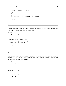```
type: 'STORIES_FETCH_SUCCESS',
        payload: result.data.hits,
      });
    } catch {
      dispatchStories({ type: 'STORIES_FETCH_FAILURE' });
    }
  }, [urls]);
  ...
};
```
And third, instead of storing url string as state with the state updater function, concat the new url with the previous urls in an array for the new state:

**src/App.js**

```
const App = () \Rightarrow {
  ...
  const handleSearchSubmit = event => {
    const url = `${API_ENDPOINT}${searchTerm}`;
    setUrls(urls.concat(url));
    event.preventDefault();
  };
  ...
};
```
With each search, another URL is stored in our state of urls. Next, render a button for each of the last five URLs. We'll include a new universal handler for these buttons, and each passes a specific url with a more specific inline handler:

```
const getLastSearches = urls => urls.slice(-5);
...
const App = () => {
  ...
 const handleLastSearch = url => {
   // do something
```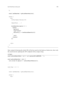```
};
  const lastSearches = getLastSearches(urls);
  return (
    <div>
      <h1>My Hacker Stories</h1>
      <SearchForm ... />
      {lastSearches.map(url => (
        <button
          key={url}
          type="button"
          onClick={() => handleLastSearch(url)}
        >
          {url}
        </button>
      ))}
      ...
    </div>
  );
};
```
Next, instead of showing the whole URL of the last search in the button as button text, show only the search term by replacing the API's endpoint with an empty string:

```
const extractSearchTerm = url => url.replace(API_ENDPOINT, '');
const getLastSearches = urls =>
 urls.slice(-5).map(url => extractSearchTerm(url));
...
const App = () => {
  ...
 const lastSearches = getLastSearches(urls);
 return (
    <div>
```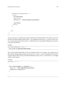```
...
      {lastSearches.map(searchTerm => (
         <button
          key={searchTerm}
          type="button"
          onClick={() => handleLastSearch(searchTerm)}
        \rightarrow{searchTerm}
         </button>
      ))}
      ...
    </div>
  );
};
```
The getLastSearches function now returns search terms instead of URLs. The actual searchTermis passed to the inline handler instead of the url. By mapping over the list of urls in getLastSearches, we can extract the search term for each url within the array's map method. Making it more concise, it can also look like this:

**src/App.js**

```
const getLastSearches = urls =>
 urls.slice(-5).map(extractSearchTerm);
```
Now we'll provide functionality for the new handler used by every button, since clicking one of these buttons should trigger another search. Since we use the urls state for fetching data, and since we know the last URL is always used for data fetching, concat a new url to the list of urls to trigger another search request:

```
const App = () => {
  ...
  const handleLastSearch = searchTerm => {
    const url = `${API_ENDPOINT}${searchTerm}`;
    setUrls(urls.concat(url));
  };
  ...
};
```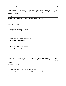If you compare this new handler's implementation logic to the handleSearchSubmit, you may see some common functionality. Extract this common functionality to a new handler and a new extracted utility function:

**src/App.js**

```
const getUrl = searchTerm => `${API_ENDPOINT}${searchTerm}`;
...
const App = () => {
  ...
 const handleSearchSubmit = event => {
   handleSearch(searchTerm);
   event.preventDefault();
 };
 const handleLastSearch = searchTerm => {
   handleSearch(searchTerm);
 };
 const handleSearch = searchTerm => {
   const url = getUrl(searchTerm);
   setUrls(urls.concat(url));
 };
 ...
};
```
The new utility function can be used somewhere else in the App component. If you extract functionality that can be used by two parties, always check to see if it can be used by a third party.

```
const App = () \Rightarrow {
  ...
  // important: still wraps the returned value in []
 const [urls, setUrls] = React.useState([getUrl(searchTerm)]);
  ...
```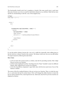The functionality should work, but it complains or breaks if the same search term is used more than once, because searchTerm is used for each button element as key attribute. Make the key more specific by concatenating it with the index of the mapped array.

**src/App.js**

```
const App = () \Rightarrow {
  ...
  return (
    <div>
      ...
      {lastSearches.map((searchTerm, index) => (
         <button
           key={searchTerm + index}
           type="button"
           onClick={() => handleLastSearch(searchTerm)}
         >
           {searchTerm}
         </button>
      ))}
      ...
    \langlediv>
  );
};
```
It's not the perfect solution, because the index isn't a stable key (especially when adding items to the list; however, it doesn't break in this scenario. The feature works now, but you can add further UX improvements by following the tasks below.

#### **More Tasks:**

- (1) Do not show the current search as a button, only the five preceding searches. Hint: Adapt the getLastSearches function.
- (2) Don't show duplicated searches. Searching twice for "React" shouldn't create two different buttons. Hint: Adapt the getLastSearches function.
- (3) Set the SearchForm component's input field value with the last search term if one of the buttons is clicked.

The source of the five rendered buttons is the getLastSearches function. There, we take the array of urls and return the last five entries from it. Now we'll change this utility function to return the last six entries instead of five, removing the last one. Afterward, only the five *previous* searches are displayed as buttons.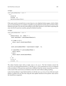#### **src/App.js**

```
const getLastSearches = urls =>
  urls
    .slice(-6)
    .slice(0, -1)
    .map(extractSearchTerm);
```
If the same search is executed twice or more times in a row, duplicate buttons appear, which is likely not your desired behavior. It would be acceptable to group identical searches into one button if they followed each other. We will solve this problem in the utility function as well. Before separating the array into the five previous searches, group the identical searches:

**src/App.js**

```
const getLastSearches = urls =>
 urls
    .reduce((result, url, index) => {
      const searchTerm = extractSearchTerm(url);
      if (index === 0) {
        return result.concat(searchTerm);
      }
      const previousSearchTerm = result[result.length - 1];
      if (searchTerm === previousSearchTerm) {
        return result;
      } else {
        return result.concat(searchTerm);
      }
   }, [])
    .slice(-6)
    slice(0, -1);
```
The reduce function starts with an empty array as its result. The first iteration concats the searchTerm we extracted from the first url into the result. Every extracted searchTerm is compared to the one before it. If the previous search term is different from the current, concat the searchTerm to the result. If the search terms are identical, return the result without adding anything.

Lastly, the SearchForm's input field should be set with the new searchTerm if one of the last search buttons is clicked. We can solve this using the state updater function for the specific value used in the SearchForm component.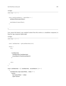#### **src/App.js**

```
const App = () => {
  ...
  const handleLastSearch = searchTerm => {
    setSearchTerm(searchTerm);
    handleSearch(searchTerm);
  };
  ...
};
```
Last, extract the feature's new rendered content from this section as a standalone component, to keep the App component lightweight:

```
const App = () => {
  ...
  const lastSearches = getLastSearches(urls);
  return (
    <div>
      ...
      <LastSearches
        lastSearches={lastSearches}
        onLastSearch={handleLastSearch}
      />
      ...
    </div>
  );
};
const LastSearches = ({ lastSearches, onLastSearch }) => (
  <>
    {lastSearches.map((searchTerm, index) => (
      <button
        key={searchTerm + index}
        type="button"
```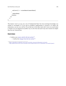```
onClick={() => onLastSearch(searchTerm)}
      >
        {searchTerm}
      </button>
    ))}
  </>
);
```
This feature wasn't an easy one. Lots of fundamental React but also JavaScript knowledge was needed to accomplish it. If you had no problems implementing it yourself or to follow the instructions, you are very well set. If you had one or the other issue, don't worry too much about it. Maybe you even figured out another way to solve this task and it may have turned out simpler than the one I showed here.

## **Exercises:**

- Confirm your [source code for the last section](https://codesandbox.io/s/github/the-road-to-learn-react/hacker-stories/tree/hs/Remember-Last-Searches)<sup>218</sup>.
	- Confirm the [changes from the last section](https://github.com/the-road-to-learn-react/hacker-stories/compare/hs/Reverse-Sort...hs/Remember-Last-Searches?expand=1)<sup>219</sup>.

<span id="page-213-1"></span>²¹⁹<https://github.com/the-road-to-learn-react/hacker-stories/compare/hs/Reverse-Sort...hs/Remember-Last-Searches?expand=1>

<span id="page-213-0"></span><sup>&</sup>lt;sup>218</sup><https://codesandbox.io/s/github/the-road-to-learn-react/hacker-stories/tree/hs/Remember-Last-Searches>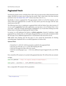## **Paginated Fetch**

Searching for popular stories via Hacker News API is only one step towards a fully-functional search engine, and there are many ways to fine-tune the search. Take a closer look at the data structure and observe how [the Hacker News API](https://hn.algolia.com/api)<sup>220</sup> returns more than a list of hits.

Specifically, it returns a paginated list. The page property, which is  $\circ$  in the first response, can be used to fetch more paginated lists as results. You only need to pass the next page with the same search term to the API.

The following shows how to implement a paginated fetch with the Hacker News data structure. If you are used to **pagination** from other applications, you may have a row of buttons from 1-10 in your mind – where the currently selected page is highlighted 1-[3]-10 and where clicking one of the buttons leads to fetching and displaying this subset of data.

In contrast, we will implement the feature as **infinite pagination**. Instead of rendering a single paginated list on a button click, we will render *all paginated lists as one list* with *one* button to fetch the next page. Every additional *paginated list* is concatenated at the end of the *one list*.

**Task:** Rather than fetching only the first page of a list, extend the functionality for fetching succeeding pages. Implement this as an infinite pagination on button click.

#### **Optional Hints:**

- Extend the API\_ENDPOINT with the parameters needed for the paginated fetch.
- Store the page from the result as state after fetching the data.
- Fetch the first page (0) of data with every search.
- Fetch the succeeding page (page + 1) for every additional request triggered with a new HTML button.

First, extend the API constant so it can deal with paginated data later. We will turn this one constant:

**src/App.js**

```
const API_ENDPOINT = 'https://hn.algolia.com/api/v1/search?query=';
```

```
const getUrl = searchTerm => `${API_ENDPOINT}${searchTerm}`;
```
Into a composable API constant with its parameters:

<span id="page-214-0"></span> $\rm ^{220}$ <https://hn.algolia.com/api>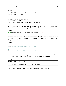Real World React (Advanced) 206

**src/App.js**

```
const API_BASE = 'https://hn.algolia.com/api/v1';
const API_SEARCH = '/search';
const PARAM_SEARCH = 'query=';
// careful: notice the ? in between
const getUrl = searchTerm =>
  `${API_BASE}${API_SEARCH}?${PARAM_SEARCH}${searchTerm}`;
```
Fortunately, we don't need to adjust the API endpoint, because we extracted a common getUrl function for it. However, there is one spot where we must address this logic for the future:

**src/App.js**

**const** extractSearchTerm = url => url.replace(API\_ENDPOINT, '');

In the next steps, it won't be sufficient to replace the base of our API endpoint, which is no longer in our code. With more parameters for the API endpoint, the URL becomes more complex. It will change from X to Y:

**src/App.js**

*// X* https:*//hn.algolia.com/api/v1/search?query=react*

```
// Y
https://hn.algolia.com/api/v1/search?query=react&page=0
```
It's better to extract the search term by extracting everything between ? and &. Also consider that the query parameter is directly after the ? and all other parameters like page follow it.

**src/App.js**

```
const extractSearchTerm = url =>
 url
    .substring(url.lastIndexOf('?') + 1, url.lastIndexOf('&'));
```
The key ( query=) also needs to be replaced, leaving only the value (searchTerm):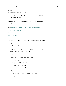Real World React (Advanced) 207

**src/App.js**

```
const extractSearchTerm = url =>
 url
    .substring(url.lastIndexOf('?') + 1, url.lastIndexOf('&'));
    .replace(PARAM_SEARCH, '');
```
Essentially, we'll trim the string until we leave only the search term:

**src/App.js**

```
// url
https://hn.algolia.com/api/v1/search?query=react&page=0
// url after substring
```
query=react *// url after replace*

react

The returned result from the Hacker News API delivers us the page data:

**src/App.js**

```
const App = () => {
  ...
  const handleFetchStories = React.useCallback(async () => {
    dispatchStories({ type: 'STORIES_FETCH_INIT' });
    try {
      const lastUrl = urls[urls.length - 1];
      const result = await axios.get(lastUrl);
      dispatchStories({
        type: 'STORIES_FETCH_SUCCESS',
        payload: {
          list: result.data.hits,
          page: result.data.page,
        },
      });
    } catch {
      dispatchStories({ type: 'STORIES_FETCH_FAILURE' });
    }
  }, [urls]);
```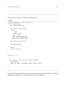... };

We need to store this data to make paginated fetches later:

**src/App.js**

```
const storiesReducer = (state, action) => {
  switch (action.type) {
    case 'STORIES_FETCH_INIT':
      ...
    case 'STORIES_FETCH_SUCCESS':
     return {
        ...state,
        isLoading: false,
        isError: false,
        data: action.payload.list,
        page: action.payload.page,
      };
    case 'STORIES_FETCH_FAILURE':
      ...
    case 'REMOVE_STORY':
      ...
    default:
      throw new Error();
  }
};
const App = () => {
  ...
  const [stories, dispatchStories] = React.useReducer(
    storiesReducer,
    { data: [], page: 0, isLoading: false, isError: false }
  );
  ...
};
```
Extend the API endpoint with the new page parameter. This change was covered by our premature optimizations earlier, when we extracted the search term from the URL.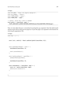#### **src/App.js**

```
const API_BASE = 'https://hn.algolia.com/api/v1';
const API_SEARCH = '/search';
const PARAM_SEARCH = 'query=';
const PARAM_PAGE = 'page=';
// careful: notice the ? and & in between
const getUrl = (searchTerm, page) =>
  `${API_BASE}${API_SEARCH}?${PARAM_SEARCH}${searchTerm}&${PARAM_PAGE}${page}`;
```
Next, we must adjust all getUr1 invocations by passing the page argument. Since the initial search and last search always fetch the first page (0), we pass this page as an argument to the function for retrieving the appropriate URL:

#### **src/App.js**

```
const App = () => {
  ...
 const [urls, setUrls] = React.useState([getUrl(searchTerm, 0)]);
  ...
 const handleSearchSubmit = event => {
   handleSearch(searchTerm, 0);
   event.preventDefault();
  };
 const handleLastSearch = searchTerm => {
    setSearchTerm(searchTerm);
   handleSearch(searchTerm, 0);
  };
  const handleSearch = (searchTerm, page) => {
    const url = getUrl(searchTerm, page);
    setUrls(urls.concat(url));
 };
  ...
};
```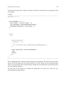To fetch the next page when a button is clicked, we'll need to increment the page argument in this new handler:

```
src/App.js
```

```
const App = () => {
  ...
  const handleMore = () => {
    const lastUrl = urls[urls.length - 1];
    const searchTerm = extractSearchTerm(lastUrl);
    handleSearch(searchTerm, stories.page + 1);
  };
  ...
 return (
    <div>
      ...
      {stories.isLoading ? (
        <p>Loading ...</p>
      ) : (
        <List list={stories.data} onRemoveItem={handleRemoveStory} />
      )}
      <button type="button" onClick={handleMore}>
        More
      </button>
    \langlediv>
  );
};
```
We've implemented data fetching with the dynamic page argument. The initial and last searches always use the first page, and every fetch with the new "More" button uses an incremented page. There is one crucial bug when trying the feature, though: the new fetches don't extend the previous list, but completely replace it.

We solve this in the reducer by avoiding the replacement of current data with new data, concatenating the paginated lists: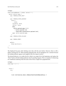```
src/App.js
```

```
const storiesReducer = (state, action) => {
  switch (action.type) {
    case 'STORIES_FETCH_INIT':
      ...
    case 'STORIES_FETCH_SUCCESS':
      return {
        ...state,
        isLoading: false,
        isError: false,
        data:
          action.payload.page === 0
            ? action.payload.list
            : state.data.concat(action.payload.list),
        page: action.payload.page,
      };
    case 'STORIES_FETCH_FAILURE':
      ...
    case 'REMOVE_STORY':
      ...
    default:
      throw new Error();
  }
};
```
The displayed list grows after fetching more data with the new button. However, there is still a flicker straining the UX. When fetching paginated data, the list disappears for a moment because the loading indicator appears and reappears after the request resolves.

The desired behavior is to render the list–which is an empty list in the beginning–and replace the "More" button with the loading indicator only for pending requests. This is a common UI refactoring for conditional rendering when the task evolves from a single list to paginated lists.

**src/App.js**

```
const App = () => {
  ...
  return (
    <div>
      ...
      <List list={stories.data} onRemoveItem={handleRemoveStory} />
```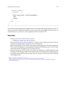```
{stories.isLoading ? (
         <p>Loading ...</p>
       ) : (
         <button type="button" onClick={handleMore}>
           More
         </button>
       )}
    \langle/div\rangle);
};
```
It's possible to fetch ongoing data for popular stories now. When working with third-party APIs, it's always a good idea to explore its boundaries. Every remote API returns different data structures, so its features may vary, and can be used in applications that consume the API.

### **Exercises:**

- Confirm your [source code for the last section](https://codesandbox.io/s/github/the-road-to-learn-react/hacker-stories/tree/hs/Paginated-Fetch)<sup>221</sup>.
	- **–** Confirm the [changes from the last section](https://github.com/the-road-to-learn-react/hacker-stories/compare/hs/Remember-Last-Searches...hs/Paginated-Fetch?expand=1)[²²²](#page-221-1).
- Revisit the [Hacker News API documentation](https://hn.algolia.com/api)<sup>223</sup>: Is there a way to fetch more items in a list for a page by just adding further parameters to the API endpoint?
- Revisit the beginning of this section which speaks about pagination and infinite pagination. How would you implement a normal pagination component with buttons from 1-[3]-10, where each button fetches and displays only one page of the list.
- Instead of having one "More" button, how would you implement an infinite pagination with an infinite scroll technique? Rather than clicking a button for fetching the next page explicitly, the infinite scroll could fetch the next page once the viewport of the browser hits the bottom of the displayed list.

<span id="page-221-0"></span><sup>&</sup>lt;sup>221</sup><https://codesandbox.io/s/github/the-road-to-learn-react/hacker-stories/tree/hs/Paginated-Fetch>

<span id="page-221-2"></span><span id="page-221-1"></span>²²²<https://github.com/the-road-to-learn-react/hacker-stories/compare/hs/Remember-Last-Searches...hs/Paginated-Fetch?expand=1> ²²³<https://hn.algolia.com/api>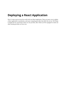# **Deploying a React Application**

Now it's time to get out into the world with your React application. There are many ways to deploy a React application to production, and many competing providers that offer this service. We'll keep it simple here by narrowing it down on one provider, after which you'll be equipped to check out other hosting providers on your own.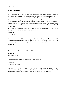## **Build Process**

So far, everything we've done has been the *development stage* of the application, when the development server handles everything: packaging all files to one application and serving it on localhost on your local machine. As a result, our code isn't available for anyone else.

The next step is to take your application to the *production stage* by hosting it on a remote server, called deployment, making it accessible for users of your application. Before an application can go public, it needs to be packaged as one essential application. Redundant code, testing code, and duplications are removed. There is also a process called minification at work which reduces the code size once more.

Fortunately, optimizations and packaging, also called bundling, comes with the build tools in createreact-app. First, build your application on the command line:

**Command Line**

npm run build

This creates a new *build/* folder in your project with the bundled application. You could take this folder and deploy it on a hosting provider now, but we'll use a local server to mimic this process before engaging in the real thing. First, install an HTTP server on your machine:

**Command Line**

npm install -g http-server

Next, serve your application with this local HTTP server:

**Command Line**

http-server build/

The process can also be done on demand with a single command:

**Command Line**

npx http-server build/

After entering one of the commands, a URL is presented that provides access to your optimized, packaged and hosted application. It's sent through a local IP address that can be made available over your local network, meaning we're hosting the application on our local machine.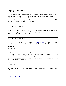Deploying a React Application 215

## **Deploy to Firebase**

After we've built a full-fledged application in React, the final step is deployment. It is the tipping point of getting your ideas into the world, from learning how to code to producing applications. We will use Firebase Hosting for deployment.

Firebase works for create-react-app, as well as most libraries and frameworks like Angular and Vue. First, install the Firebase CLI globally to the node modules:

**Command Line**

npm install -g firebase-tools

Using a global installation of the Firebase CLI lets us deploy applications without concern over project dependency. For any globally-installed node package, remember to update it to a newer version with the same command as often as you can:

**Command Line**

npm install -g firebase-tools

If you don't have a Firebase project yet, sign up for a [Firebase account](https://console.firebase.google.com/)<sup>224</sup> and create a new project there. Then you can associate the Firebase CLI with the Firebase account (Google account):

**Command Line**

| firebase login |  |  |  |  |  |  |  |
|----------------|--|--|--|--|--|--|--|
|----------------|--|--|--|--|--|--|--|

A URL will display in the command line that you can open in a browser, or the Firebase CLI opens it. Choose a Google account to create a Firebase project, and give Google the necessary permissions. Return to the command line to verify a successful login.

Next, move to the project's folder and execute the following command, which initializes a Firebase project for the Firebase hosting features:

**Command Line**

firebase init

Next, choose the Hosting option. If you're interested in using another tool next to Firebase Hosting, add other options:

<span id="page-224-0"></span>²²⁴<https://console.firebase.google.com/>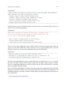#### **Command Line**

? Which Firebase CLI features **do** you want to set up **for this** folder? Press Space to \ select features, then Enter to confirm your choices. ? Database: Deploy Firebase Realtime Database Rules ? Firestore: Deploy rules and create indexes **for** Firestore ? Functions: Configure and deploy Cloud Functions -> Hosting: Configure and deploy Firebase Hosting sites ? Storage: Deploy Cloud Storage security rules

Google becomes aware of all Firebase projects associated with an account after login, and we can select one from the Firebase platform:

#### **Command Line**

```
First, let's associate this project directory with a Firebase project.
You can create multiple project aliases by running firebase use --add,
but for now we'll just set up a default project.
```
? Select a **default** Firebase project **for this** directory:

-> my-react-project-abc123 (my-react-project)

i Using project my-react-project-abc123 (my-react-project)

There are a few other configuration steps to define. Instead of using the default *public/* folder, we want to use the *build/* folder from create-react-app. If you set up the bundling with a tool like Webpack yourself, you can choose the appropriate name for the build folder:

**Command Line**

```
? What do you want to use as your public directory? build
? Configure as a single-page app (rewrite all urls to /index.html)? Yes
? File public/index.html already exists. Overwrite? No
```
The create-react-app application creates a *build/* folder after we perform the npm run build for the first time. The folder contains all the merged content from the *public/* folder and the *src/* folder. Since it is a single page application, we want to redirect the user to the *index.html* file, so the React router can handle client-side routing.

Now your Firebase initialization is complete. This step created a few configuration files for Firebase Hosting in your project's folder. You can read more about them in [Firebase's documentation](https://firebase.google.com/docs/hosting/full-config)<sup>225</sup> for configuring redirects, a 404 page, or headers. Finally, deploy your React application with Firebase in the command line:

<span id="page-225-0"></span><sup>&</sup>lt;sup>225</sup><https://firebase.google.com/docs/hosting/full-config>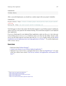#### **Command Line**

firebase deploy

After a successful deployment, you should see a similar output with your project's identifier:

**Command Line**

Project Console: https:*//console.firebase.google.com/project/my-react-project-abc123\* /overview Hosting URL: https:*//my-react-project-abc123.firebaseapp.com*

Visit both pages to observe the results. The first link navigates to your Firebase project's dashboard, where you'll see a new panel for the Firebase Hosting. The second link navigates to your deployed

React application. If you see a blank page for your deployed React application, make sure the public key/value pair in the *firebase.json* is set to build, or whichever name you chose for this folder. Second, verify you've run the build script for your React app with npm run build. Finally, check out the [official](https://create-react-app.dev/docs/deployment) [troubleshoot area for deploying create-react-app applications to Firebase](https://create-react-app.dev/docs/deployment)<sup>226</sup>. Try another deployment

with firebase deploy.

### **Exercises**

- Read more about [Firebase Hosting](https://firebase.google.com/docs/hosting/)<sup>227</sup>.
- [Connect your domain to your Firebase deployed application](https://firebase.google.com/docs/hosting/custom-domain)<sup>228</sup>.
- Optional: If you want to have a managed cloud server, check out [DigitalOcean](https://m.do.co/c/fb27c90322f3)<sup>229</sup>. It's more work, but it allows more control. [I host all my websites, web applications, and backend APIs](https://www.robinwieruch.de/deploy-applications-digital-ocean/) [there](https://www.robinwieruch.de/deploy-applications-digital-ocean/)<sup>230</sup>.

<span id="page-226-0"></span><sup>&</sup>lt;sup>226</sup><https://create-react-app.dev/docs/deployment>

<span id="page-226-1"></span><sup>&</sup>lt;sup>227</sup><https://firebase.google.com/docs/hosting/>

<span id="page-226-2"></span><sup>&</sup>lt;sup>228</sup><https://firebase.google.com/docs/hosting/custom-domain>

<span id="page-226-3"></span> $^{229}$ <https://m.do.co/c/fb27c90322f3>

<span id="page-226-4"></span><sup>&</sup>lt;sup>230</sup><https://www.robinwieruch.de/deploy-applications-digital-ocean/>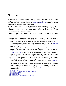# **Outline**

We've reached the end of the road to React, and I hope you enjoyed reading it, and that it helped you gain some traction in React. If you liked the book, share it with your friends who are interested in learning more about React. Also, a review on [Amazon](https://amzn.to/2JHlP42)<sup>231</sup> or [Goodreads](https://www.goodreads.com/book/show/37503118-the-road-to-learn-react)<sup>232</sup> would help me provide better content in the future based on your feedback.

From here, I recommend you extend the application to create your own React projects before engaging another book, course or tutorial. Try it for a week, take it to production by deploying it, and reach out to me or others to showcase it. I am always interested in seeing what my readers built, and learning how I can help them along.

If you're looking for extensions for your application, I recommend several learning paths after you've mastered the basics:

- **Connecting to a Database and/or Authentication:** Growing React applications will eventually require persistent data. The data should be stored in a database so that keeps it intact after browser sessions, to be shared with different users. Firebase is one of the simplest ways to introduce a database without writing a backend application. In my book titled ["The Road](https://www.roadtofirebase.com/) to Firebase<sup>"233</sup>, you will find a step-by-step guide on how to use Firebase authentication and database in React.
- **Connecting to a Backend:** React handles frontend applications, and we've only requested data from a third-party backend's API thus far. You can also introduce an API with a backend application that connects to a database and manages authentication/authorization. In ["The](https://www.roadtographql.com/) [Road to GraphQL"](https://www.roadtographql.com/)<sup>234</sup>, I teach you how to use GraphQL for client-server communication. You'll learn how to connect your backend to a database, how to manage user sessions, and how to talk from a frontend to your backend application via a GraphQL API.
- **State Management:** You have used React to manage local component state exclusively in this learning experience. It's a good start for most applications, but there are also external state management solutions for React. I explore the most popular one in my book ["The Road to](https://www.roadtoredux.com/) [Redux"](https://www.roadtoredux.com/)<sup>235</sup>.
- **Tooling with Webpack and Babel:** We used *create-react-app* to set up the application in this book. At some point you may want to learn the tooling around it, to create projects without *create-react-app*. I recommend a minimal setup with [Webpack](https://www.robinwieruch.de/minimal-react-webpack-babel-setup/)<sup>236</sup>, after which you can apply additional tooling.

<span id="page-227-0"></span><sup>&</sup>lt;sup>231</sup><https://amzn.to/2JHlP42>

<span id="page-227-1"></span>²³²<https://www.goodreads.com/book/show/37503118-the-road-to-learn-react>

<span id="page-227-2"></span>²³³<https://www.roadtofirebase.com/>

<span id="page-227-3"></span> $^{234}\text{https://www.roadtographql.com/}$  $^{234}\text{https://www.roadtographql.com/}$  $^{234}\text{https://www.roadtographql.com/}$ 

<span id="page-227-4"></span><sup>&</sup>lt;sup>235</sup><https://www.roadtoredux.com/>

<span id="page-227-5"></span><sup>&</sup>lt;sup>236</sup><https://www.robinwieruch.de/minimal-react-webpack-babel-setup/>